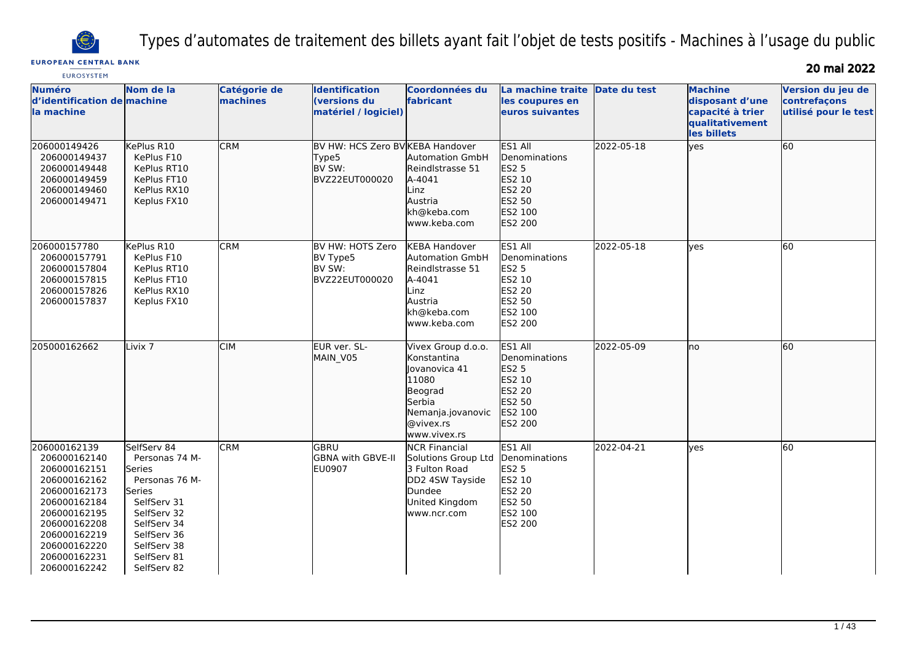

Types d'automates de traitement des billets ayant fait l'objet de tests positifs - Machines à l'usage du public

## **EUROPEAN CENTRAL BANK**

20 mai 2022

| <b>EUROSYSTEM</b>                                                                                                                                                                            |                                                                                                                                                                              |                          |                                                                       |                                                                                                                                    |                                                                                                            |              |                                                                                         |                                                           |
|----------------------------------------------------------------------------------------------------------------------------------------------------------------------------------------------|------------------------------------------------------------------------------------------------------------------------------------------------------------------------------|--------------------------|-----------------------------------------------------------------------|------------------------------------------------------------------------------------------------------------------------------------|------------------------------------------------------------------------------------------------------------|--------------|-----------------------------------------------------------------------------------------|-----------------------------------------------------------|
| <b>Numéro</b><br>d'identification de machine<br>la machine                                                                                                                                   | Nom de la                                                                                                                                                                    | Catégorie de<br>machines | Identification<br>(versions du<br>matériel / logiciel)                | <b>Coordonnées du</b><br>fabricant                                                                                                 | La machine traite<br>les coupures en<br>euros suivantes                                                    | Date du test | <b>Machine</b><br>disposant d'une<br>capacité à trier<br>qualitativement<br>les billets | Version du jeu de<br>contrefaçons<br>utilisé pour le test |
| 206000149426<br>206000149437<br>206000149448<br>206000149459<br>206000149460<br>206000149471                                                                                                 | KePlus R10<br>KePlus F10<br>KePlus RT10<br>KePlus FT10<br>KePlus RX10<br>Keplus FX10                                                                                         | <b>CRM</b>               | BV HW: HCS Zero BV KEBA Handover<br>Type5<br>BV SW:<br>BVZ22EUT000020 | Automation GmbH<br>Reindlstrasse 51<br>A-4041<br>Linz<br>Austria<br>kh@keba.com<br>www.keba.com                                    | ES1 All<br>Denominations<br>ES2 5<br>ES2 10<br>ES2 20<br>ES2 50<br>ES2 100<br>ES2 200                      | 2022-05-18   | lyes                                                                                    | 60                                                        |
| 206000157780<br>206000157791<br>206000157804<br>206000157815<br>206000157826<br>206000157837                                                                                                 | KePlus R10<br>KePlus F10<br>KePlus RT10<br>KePlus FT10<br>KePlus RX10<br>Keplus FX10                                                                                         | <b>CRM</b>               | BV HW: HOTS Zero<br>BV Type5<br>BV SW:<br>BVZ22EUT000020              | <b>KEBA Handover</b><br><b>Automation GmbH</b><br>Reindlstrasse 51<br>A-4041<br>Linz<br>Austria<br>kh@keba.com<br>www.keba.com     | ES1 All<br>Denominations<br><b>ES2 5</b><br>ES2 10<br>ES2 20<br>ES2 50<br>ES2 100<br><b>ES2 200</b>        | 2022-05-18   | lves                                                                                    | 60                                                        |
| 205000162662                                                                                                                                                                                 | Livix 7                                                                                                                                                                      | <b>CIM</b>               | EUR ver. SL-<br>MAIN_V05                                              | Vivex Group d.o.o.<br>Konstantina<br>Jovanovica 41<br>11080<br>Beograd<br>Serbia<br>Nemanja.jovanovic<br>@vivex.rs<br>www.vivex.rs | ES1 All<br>Denominations<br>ES2 5<br>ES2 10<br>ES2 20<br>ES2 50<br>ES2 100<br>ES2 200                      | 2022-05-09   | lno                                                                                     | 60                                                        |
| 206000162139<br>206000162140<br>206000162151<br>206000162162<br>206000162173<br>206000162184<br>206000162195<br>206000162208<br>206000162219<br>206000162220<br>206000162231<br>206000162242 | SelfServ 84<br>Personas 74 M-<br>Series<br>Personas 76 M-<br>Series<br>SelfServ 31<br>SelfServ 32<br>SelfServ 34<br>SelfServ 36<br>SelfServ 38<br>SelfServ 81<br>SelfServ 82 | <b>CRM</b>               | GBRU<br>GBNA with GBVE-II<br>EU0907                                   | <b>NCR Financial</b><br>Solutions Group Ltd<br>3 Fulton Road<br>DD2 4SW Tayside<br>Dundee<br>United Kingdom<br>www.ncr.com         | ES1 All<br>Denominations<br><b>ES2 5</b><br>ES2 10<br><b>ES2 20</b><br>ES2 50<br>ES2 100<br><b>ES2 200</b> | 2022-04-21   | <b>ves</b>                                                                              | 60                                                        |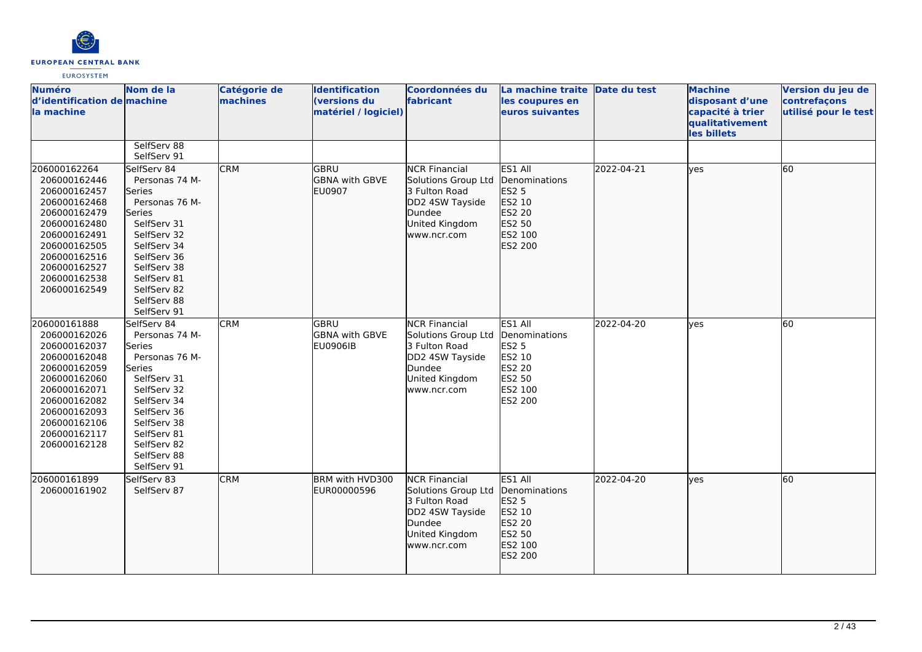

| <b>Numéro</b><br>d'identification de machine<br>la machine                                                                                                                                   | Nom de la                                                                                                                                                                                                   | Catégorie de<br>machines | <b>Identification</b><br><b>(versions du</b><br>matériel / logiciel) | <b>Coordonnées du</b><br>fabricant                                                                                         | La machine traite Date du test<br>les coupures en<br>euros suivantes                                  |            | <b>Machine</b><br>disposant d'une<br>capacité à trier<br>qualitativement<br>les billets | Version du jeu de<br>contrefaçons<br>utilisé pour le test |
|----------------------------------------------------------------------------------------------------------------------------------------------------------------------------------------------|-------------------------------------------------------------------------------------------------------------------------------------------------------------------------------------------------------------|--------------------------|----------------------------------------------------------------------|----------------------------------------------------------------------------------------------------------------------------|-------------------------------------------------------------------------------------------------------|------------|-----------------------------------------------------------------------------------------|-----------------------------------------------------------|
|                                                                                                                                                                                              | SelfServ 88<br>SelfServ 91                                                                                                                                                                                  |                          |                                                                      |                                                                                                                            |                                                                                                       |            |                                                                                         |                                                           |
| 206000162264<br>206000162446<br>206000162457<br>206000162468<br>206000162479<br>206000162480<br>206000162491<br>206000162505<br>206000162516<br>206000162527<br>206000162538<br>206000162549 | SelfServ 84<br>Personas 74 M-<br>lSeries<br>Personas 76 M-<br>Series<br>SelfServ 31<br>SelfServ 32<br>SelfServ 34<br>SelfServ 36<br>SelfServ 38<br>SelfServ 81<br>SelfServ 82<br>SelfServ 88<br>SelfServ 91 | <b>CRM</b>               | <b>GBRU</b><br>GBNA with GBVE<br><b>EU0907</b>                       | <b>NCR Financial</b><br>Solutions Group Ltd<br>3 Fulton Road<br>DD2 4SW Tayside<br>Dundee<br>United Kingdom<br>www.ncr.com | ES1 All<br>Denominations<br><b>ES2 5</b><br>ES2 10<br>ES2 20<br>ES2 50<br>ES2 100<br>ES2 200          | 2022-04-21 | lves                                                                                    | 60                                                        |
| 206000161888<br>206000162026<br>206000162037<br>206000162048<br>206000162059<br>206000162060<br>206000162071<br>206000162082<br>206000162093<br>206000162106<br>206000162117<br>206000162128 | SelfServ 84<br>Personas 74 M-<br>Series<br>Personas 76 M-<br>Series<br>SelfServ 31<br>SelfServ 32<br>SelfServ 34<br>SelfServ 36<br>SelfServ 38<br>SelfServ 81<br>SelfServ 82<br>SelfServ 88<br>SelfServ 91  | <b>CRM</b>               | GBRU<br><b>GBNA with GBVE</b><br><b>EU0906IB</b>                     | <b>NCR Financial</b><br>Solutions Group Ltd<br>3 Fulton Road<br>DD2 4SW Tayside<br>Dundee<br>United Kingdom<br>www.ncr.com | ES1 All<br>Denominations<br><b>ES2 5</b><br>ES2 10<br>ES2 20<br>ES2 50<br>ES2 100<br>ES2 200          | 2022-04-20 | lves                                                                                    | 60                                                        |
| 206000161899<br>206000161902                                                                                                                                                                 | SelfServ 83<br>SelfServ 87                                                                                                                                                                                  | <b>CRM</b>               | BRM with HVD300<br>IEUR00000596                                      | <b>NCR Financial</b><br>Solutions Group Ltd<br>3 Fulton Road<br>DD2 4SW Tayside<br>Dundee<br>United Kingdom<br>www.ncr.com | ES1 All<br><b>I</b> Denominations<br><b>ES2 5</b><br>ES2 10<br>ES2 20<br>ES2 50<br>ES2 100<br>ES2 200 | 2022-04-20 | lyes                                                                                    | 60                                                        |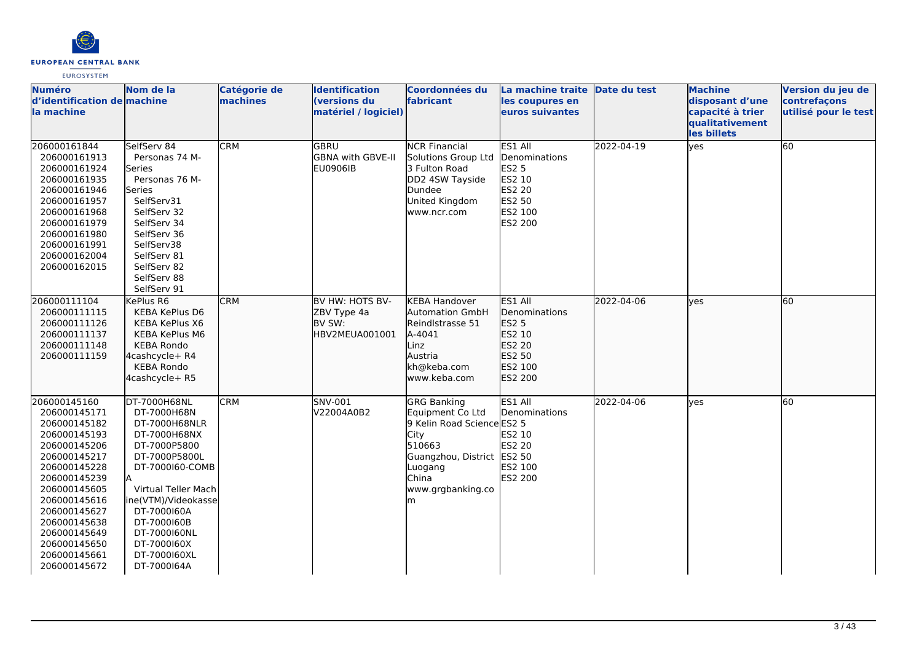

| <b>Numéro</b><br>d'identification de machine<br>la machine                                                                                                                                                                                                   | Nom de la                                                                                                                                                                                                                                                        | <b>Catégorie de</b><br>machines | <b>Identification</b><br>(versions du<br>matériel / logiciel) | Coordonnées du<br>fabricant                                                                                                                                                 | La machine traite Date du test<br>les coupures en<br>euros suivantes                                |            | <b>Machine</b><br>disposant d'une<br>capacité à trier | Version du jeu de<br>contrefaçons<br>utilisé pour le test |
|--------------------------------------------------------------------------------------------------------------------------------------------------------------------------------------------------------------------------------------------------------------|------------------------------------------------------------------------------------------------------------------------------------------------------------------------------------------------------------------------------------------------------------------|---------------------------------|---------------------------------------------------------------|-----------------------------------------------------------------------------------------------------------------------------------------------------------------------------|-----------------------------------------------------------------------------------------------------|------------|-------------------------------------------------------|-----------------------------------------------------------|
|                                                                                                                                                                                                                                                              |                                                                                                                                                                                                                                                                  |                                 |                                                               |                                                                                                                                                                             |                                                                                                     |            | qualitativement<br>les billets                        |                                                           |
| 206000161844<br>206000161913<br>206000161924<br>206000161935<br>206000161946<br>206000161957<br>206000161968<br>206000161979<br>206000161980<br>206000161991<br>206000162004<br>206000162015                                                                 | SelfServ 84<br>Personas 74 M-<br>Series<br>Personas 76 M-<br>Series<br>SelfServ31<br>SelfServ 32<br>SelfServ 34<br>SelfServ 36<br>SelfServ38<br>SelfServ 81<br>SelfServ 82<br>SelfServ 88<br>SelfServ 91                                                         | <b>CRM</b>                      | GBRU<br>GBNA with GBVE-II<br><b>EU0906IB</b>                  | <b>NCR Financial</b><br>Solutions Group Ltd<br>3 Fulton Road<br>DD2 4SW Tayside<br>Dundee<br>United Kingdom<br>www.ncr.com                                                  | ES1 All<br>Denominations<br><b>ES2 5</b><br>ES2 10<br><b>ES2 20</b><br>ES2 50<br>ES2 100<br>ES2 200 | 2022-04-19 | yes                                                   | 60                                                        |
| 206000111104<br>206000111115<br>206000111126<br>206000111137<br>206000111148<br>206000111159                                                                                                                                                                 | KePlus R6<br>KEBA KePlus D6<br>KEBA KePlus X6<br><b>KEBA KePlus M6</b><br><b>KEBA Rondo</b><br>4cashcycle+ R4<br><b>KEBA Rondo</b><br>4cashcycle+ R5                                                                                                             | <b>CRM</b>                      | BV HW: HOTS BV-<br>ZBV Type 4a<br>BV SW:<br>HBV2MEUA001001    | <b>KEBA Handover</b><br><b>Automation GmbH</b><br>Reindlstrasse 51<br>A-4041<br>Linz<br>Austria<br>kh@keba.com<br>www.keba.com                                              | ES1 All<br>Denominations<br>ES2 5<br>ES2 10<br>ES2 20<br>ES2 50<br>ES2 100<br>ES2 200               | 2022-04-06 | lves                                                  | 60                                                        |
| 206000145160<br>206000145171<br>206000145182<br>206000145193<br>206000145206<br>206000145217<br>206000145228<br>206000145239<br>206000145605<br>206000145616<br>206000145627<br>206000145638<br>206000145649<br>206000145650<br>206000145661<br>206000145672 | DT-7000H68NL<br>DT-7000H68N<br>DT-7000H68NLR<br>DT-7000H68NX<br>DT-7000P5800<br>DT-7000P5800L<br>DT-7000160-COMB<br>lΑ<br>Virtual Teller Mach<br>ine(VTM)/Videokasse<br>DT-7000160A<br>DT-7000160B<br>DT-7000160NL<br>DT-7000160X<br>DT-7000160XL<br>DT-7000164A | <b>CRM</b>                      | SNV-001<br>V22004A0B2                                         | <b>GRG Banking</b><br><b>Equipment Co Ltd</b><br>9 Kelin Road Science ES2 5<br>City<br>510663<br>Guangzhou, District ES2 50<br>Luogang<br>China<br>www.grgbanking.co<br>lm. | ES1 All<br>Denominations<br>ES2 10<br><b>ES2 20</b><br>ES2 100<br><b>ES2 200</b>                    | 2022-04-06 | yes                                                   | 60                                                        |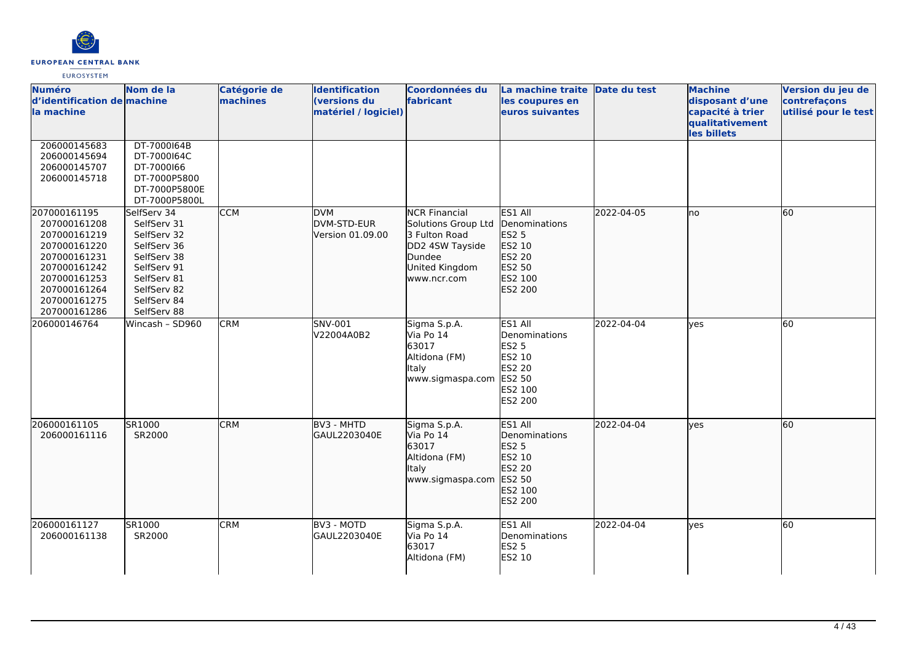

| <b>Numéro</b><br>d'identification de machine<br>la machine                                                                                                   | Nom de la                                                                                                                                          | <b>Catégorie de</b><br>machines | <b>Identification</b><br>(versions du<br>matériel / logiciel) | <b>Coordonnées du</b><br>fabricant                                                                                         | La machine traite<br>les coupures en<br>euros suivantes                                                    | Date du test | <b>Machine</b><br>disposant d'une<br>capacité à trier<br>qualitativement<br>les billets | Version du jeu de<br>contrefaçons<br>utilisé pour le test |
|--------------------------------------------------------------------------------------------------------------------------------------------------------------|----------------------------------------------------------------------------------------------------------------------------------------------------|---------------------------------|---------------------------------------------------------------|----------------------------------------------------------------------------------------------------------------------------|------------------------------------------------------------------------------------------------------------|--------------|-----------------------------------------------------------------------------------------|-----------------------------------------------------------|
| 206000145683<br>206000145694<br>206000145707<br>206000145718                                                                                                 | DT-7000164B<br>DT-7000164C<br>DT-7000166<br>DT-7000P5800<br>DT-7000P5800E<br>DT-7000P5800L                                                         |                                 |                                                               |                                                                                                                            |                                                                                                            |              |                                                                                         |                                                           |
| 207000161195<br>207000161208<br>207000161219<br>207000161220<br>207000161231<br>207000161242<br>207000161253<br>207000161264<br>207000161275<br>207000161286 | SelfServ 34<br>SelfServ 31<br>SelfServ 32<br>SelfServ 36<br>SelfServ 38<br>SelfServ 91<br>SelfServ 81<br>SelfServ 82<br>SelfServ 84<br>SelfServ 88 | <b>CCM</b>                      | <b>DVM</b><br>DVM-STD-EUR<br>Version 01.09.00                 | <b>NCR Financial</b><br>Solutions Group Ltd<br>3 Fulton Road<br>DD2 4SW Tayside<br>Dundee<br>United Kingdom<br>www.ncr.com | ES1 All<br>Denominations<br>ES2 5<br>ES2 10<br>ES2 20<br>ES2 50<br>ES2 100<br>ES2 200                      | 2022-04-05   | lno                                                                                     | 60                                                        |
| 206000146764                                                                                                                                                 | Wincash - SD960                                                                                                                                    | <b>CRM</b>                      | <b>SNV-001</b><br>V22004A0B2                                  | Sigma S.p.A.<br>Via Po 14<br>63017<br>Altidona (FM)<br>Italy<br>www.sigmaspa.com                                           | ES1 All<br>Denominations<br><b>ES2 5</b><br>ES2 10<br><b>ES2 20</b><br>ES2 50<br>ES2 100<br><b>ES2 200</b> | 2022-04-04   | <b>lves</b>                                                                             | 60                                                        |
| 206000161105<br>206000161116                                                                                                                                 | SR1000<br>SR2000                                                                                                                                   | <b>CRM</b>                      | BV3 - MHTD<br>GAUL2203040E                                    | Sigma S.p.A.<br>Via Po 14<br>63017<br>Altidona (FM)<br>Italy<br>www.sigmaspa.com                                           | ES1 All<br>Denominations<br>ES2 5<br>ES2 10<br>ES2 20<br>ES2 50<br>ES2 100<br>ES2 200                      | 2022-04-04   | lves                                                                                    | 60                                                        |
| 206000161127<br>206000161138                                                                                                                                 | SR1000<br>SR2000                                                                                                                                   | <b>CRM</b>                      | BV3 - MOTD<br>GAUL2203040E                                    | Sigma S.p.A.<br>Via Po 14<br>63017<br>Altidona (FM)                                                                        | ES1 All<br>Denominations<br><b>ES2 5</b><br>ES2 10                                                         | 2022-04-04   | <b>ves</b>                                                                              | 60                                                        |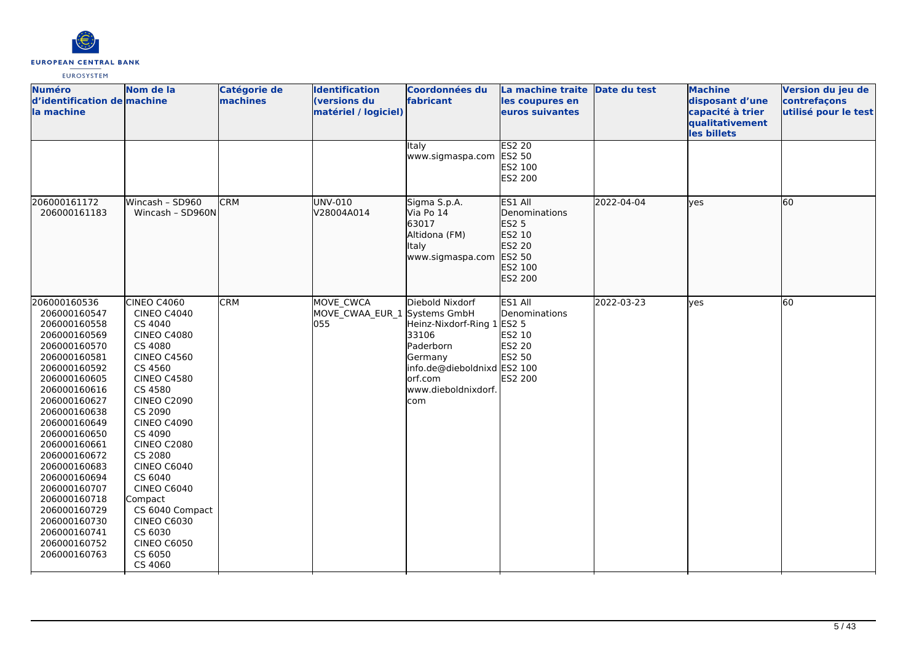

| <b>Numéro</b><br>d'identification de machine<br>la machine                                                                                                                                                                                                                                                                                                                                   | Nom de la                                                                                                                                                                                                                                                                                                                                                                                                     | <b>Catégorie de</b><br>machines | <b>Identification</b><br><b>(versions du</b><br>matériel / logiciel) | Coordonnées du<br>fabricant                                                                                                                            | La machine traite Date du test<br>les coupures en<br>euros suivantes                         |            | <b>Machine</b><br>disposant d'une<br>capacité à trier<br>qualitativement<br>les billets | Version du jeu de<br>contrefaçons<br>utilisé pour le test |
|----------------------------------------------------------------------------------------------------------------------------------------------------------------------------------------------------------------------------------------------------------------------------------------------------------------------------------------------------------------------------------------------|---------------------------------------------------------------------------------------------------------------------------------------------------------------------------------------------------------------------------------------------------------------------------------------------------------------------------------------------------------------------------------------------------------------|---------------------------------|----------------------------------------------------------------------|--------------------------------------------------------------------------------------------------------------------------------------------------------|----------------------------------------------------------------------------------------------|------------|-----------------------------------------------------------------------------------------|-----------------------------------------------------------|
|                                                                                                                                                                                                                                                                                                                                                                                              |                                                                                                                                                                                                                                                                                                                                                                                                               |                                 |                                                                      | Italy<br>www.sigmaspa.com                                                                                                                              | <b>ES2 20</b><br>ES2 50<br>ES2 100<br><b>ES2 200</b>                                         |            |                                                                                         |                                                           |
| 206000161172<br>206000161183                                                                                                                                                                                                                                                                                                                                                                 | Wincash - SD960<br>Wincash - SD960N                                                                                                                                                                                                                                                                                                                                                                           | <b>CRM</b>                      | UNV-010<br>V28004A014                                                | Sigma S.p.A.<br>Via Po 14<br>63017<br>Altidona (FM)<br>Italy<br>www.sigmaspa.com                                                                       | ES1 All<br>Denominations<br><b>ES2 5</b><br>ES2 10<br>ES2 20<br>ES2 50<br>ES2 100<br>ES2 200 | 2022-04-04 | lves                                                                                    | 60                                                        |
| 206000160536<br>206000160547<br>206000160558<br>206000160569<br>206000160570<br>206000160581<br>206000160592<br>206000160605<br>206000160616<br>206000160627<br>206000160638<br>206000160649<br>206000160650<br>206000160661<br>206000160672<br>206000160683<br>206000160694<br>206000160707<br>206000160718<br>206000160729<br>206000160730<br>206000160741<br>206000160752<br>206000160763 | CINEO C4060<br><b>CINEO C4040</b><br>CS 4040<br><b>CINEO C4080</b><br>CS 4080<br><b>CINEO C4560</b><br>CS 4560<br><b>CINEO C4580</b><br>CS 4580<br><b>CINEO C2090</b><br>CS 2090<br><b>CINEO C4090</b><br>CS 4090<br><b>CINEO C2080</b><br>CS 2080<br><b>CINEO C6040</b><br>CS 6040<br>CINEO C6040<br>Compact<br>CS 6040 Compact<br><b>CINEO C6030</b><br>CS 6030<br><b>CINEO C6050</b><br>CS 6050<br>CS 4060 | <b>CRM</b>                      | MOVE CWCA<br>MOVE CWAA EUR 1 Systems GmbH<br>055                     | Diebold Nixdorf<br>Heinz-Nixdorf-Ring 1 ES2 5<br>33106<br>Paderborn<br>Germany<br>info.de@dieboldnixd ES2 100<br>orf.com<br>www.dieboldnixdorf.<br>com | ES1 All<br>Denominations<br>ES2 10<br><b>ES2 20</b><br>ES2 50<br>ES2 200                     | 2022-03-23 | <b>ves</b>                                                                              | 60                                                        |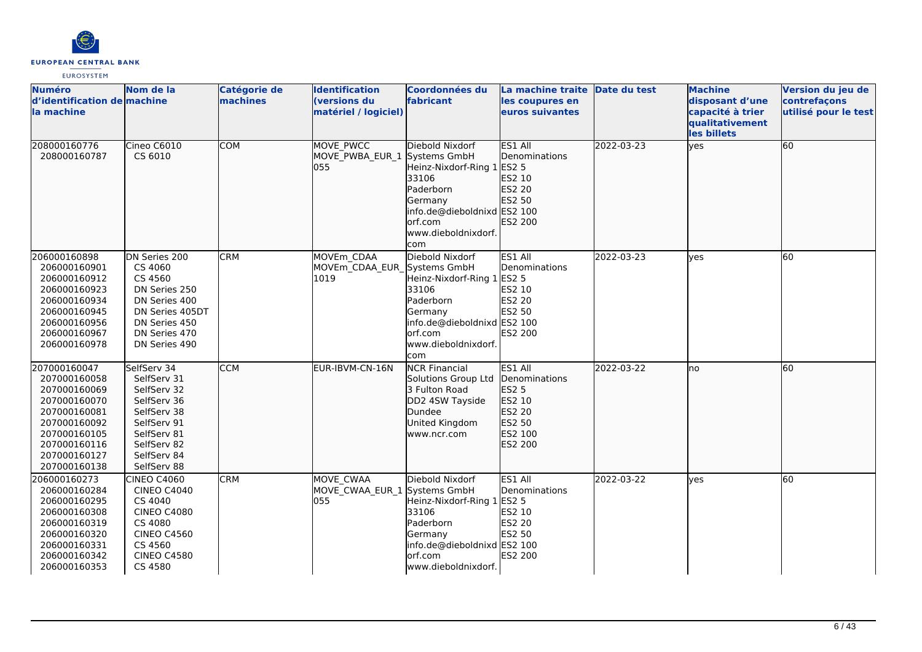

| <b>Numéro</b><br>d'identification de machine<br>la machine                                                                                                   | Nom de la                                                                                                                                              | Catégorie de<br>machines | <b>Identification</b><br>(versions du<br>matériel / logiciel) | Coordonnées du<br>fabricant                                                                                                                                            | La machine traite Date du test<br>les coupures en<br>euros suivantes                         |            | <b>Machine</b><br>disposant d'une<br>capacité à trier<br>qualitativement<br>les billets | Version du jeu de<br>contrefaçons<br>utilisé pour le test |
|--------------------------------------------------------------------------------------------------------------------------------------------------------------|--------------------------------------------------------------------------------------------------------------------------------------------------------|--------------------------|---------------------------------------------------------------|------------------------------------------------------------------------------------------------------------------------------------------------------------------------|----------------------------------------------------------------------------------------------|------------|-----------------------------------------------------------------------------------------|-----------------------------------------------------------|
| 208000160776<br>208000160787                                                                                                                                 | Cineo C6010<br>CS 6010                                                                                                                                 | <b>COM</b>               | <b>MOVE PWCC</b><br>MOVE PWBA EUR 1<br>055                    | Diebold Nixdorf<br>Systems GmbH<br>Heinz-Nixdorf-Ring 1 ES2 5<br>33106<br>Paderborn<br>Germany<br>info.de@dieboldnixd ES2 100<br>orf.com<br>www.dieboldnixdorf.<br>com | ES1 All<br>Denominations<br>ES2 10<br>ES2 20<br>ES2 50<br>ES2 200                            | 2022-03-23 | yes                                                                                     | 60                                                        |
| 206000160898<br>206000160901<br>206000160912<br>206000160923<br>206000160934<br>206000160945<br>206000160956<br>206000160967<br>206000160978                 | DN Series 200<br>CS 4060<br>CS 4560<br>DN Series 250<br>DN Series 400<br>DN Series 405DT<br>DN Series 450<br>DN Series 470<br>DN Series 490            | <b>CRM</b>               | MOVEm CDAA<br>MOVEm CDAA EUR Systems GmbH<br>1019             | Diebold Nixdorf<br>Heinz-Nixdorf-Ring 1<br>33106<br>Paderborn<br>Germany<br>info.de@dieboldnixd ES2 100<br>orf.com<br>www.dieboldnixdorf.<br>com                       | ES1 All<br>Denominations<br>ES2 5<br>ES2 10<br>ES2 20<br><b>ES2 50</b><br>ES2 200            | 2022-03-23 | lves                                                                                    | 60                                                        |
| 207000160047<br>207000160058<br>207000160069<br>207000160070<br>207000160081<br>207000160092<br>207000160105<br>207000160116<br>207000160127<br>207000160138 | SelfServ 34<br>SelfServ 31<br>SelfServ 32<br>SelfServ 36<br>SelfServ 38<br>SelfServ 91<br>SelfServ 81<br>SelfServ 82<br>SelfServ 84<br>SelfServ 88     | <b>CCM</b>               | EUR-IBVM-CN-16N                                               | <b>NCR Financial</b><br>Solutions Group Ltd<br>3 Fulton Road<br>DD2 4SW Tayside<br>Dundee<br>United Kingdom<br>www.ncr.com                                             | ES1 All<br>Denominations<br><b>ES2 5</b><br>ES2 10<br>ES2 20<br>ES2 50<br>ES2 100<br>ES2 200 | 2022-03-22 | no                                                                                      | 60                                                        |
| 206000160273<br>206000160284<br>206000160295<br>206000160308<br>206000160319<br>206000160320<br>206000160331<br>206000160342<br>206000160353                 | <b>CINEO C4060</b><br><b>CINEO C4040</b><br>CS 4040<br><b>CINEO C4080</b><br>CS 4080<br><b>CINEO C4560</b><br>CS 4560<br><b>CINEO C4580</b><br>CS 4580 | <b>CRM</b>               | MOVE CWAA<br>MOVE CWAA EUR 1 Systems GmbH<br>055              | Diebold Nixdorf<br>Heinz-Nixdorf-Ring 1<br>33106<br>Paderborn<br>Germany<br>info.de@dieboldnixd ES2 100<br>lorf.com<br>www.dieboldnixdorf.                             | ES1 All<br>Denominations<br><b>ES2 5</b><br>ES2 10<br>ES2 20<br>ES2 50<br>ES2 200            | 2022-03-22 | ves                                                                                     | 60                                                        |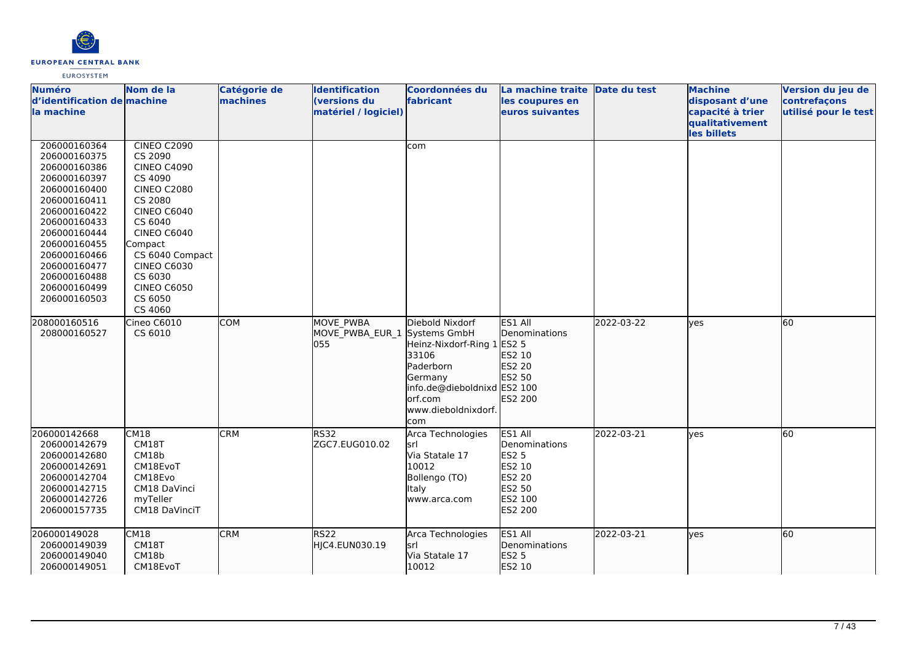

| <b>Numéro</b><br>d'identification de machine<br>la machine                                                                                                                                                                                   | Nom de la                                                                                                                                                                                                                                                         | Catégorie de<br>machines | <b>Identification</b><br>(versions du<br>matériel / logiciel) | <b>Coordonnées du</b><br>fabricant                                                                                                                               | La machine traite<br>les coupures en<br>euros suivantes                                             | Date du test | <b>Machine</b><br>disposant d'une<br>capacité à trier<br>qualitativement<br>les billets | Version du jeu de<br>contrefaçons<br>utilisé pour le test |
|----------------------------------------------------------------------------------------------------------------------------------------------------------------------------------------------------------------------------------------------|-------------------------------------------------------------------------------------------------------------------------------------------------------------------------------------------------------------------------------------------------------------------|--------------------------|---------------------------------------------------------------|------------------------------------------------------------------------------------------------------------------------------------------------------------------|-----------------------------------------------------------------------------------------------------|--------------|-----------------------------------------------------------------------------------------|-----------------------------------------------------------|
| 206000160364<br>206000160375<br>206000160386<br>206000160397<br>206000160400<br>206000160411<br>206000160422<br>206000160433<br>206000160444<br>206000160455<br>206000160466<br>206000160477<br>206000160488<br>206000160499<br>206000160503 | <b>CINEO C2090</b><br>CS 2090<br><b>CINEO C4090</b><br>CS 4090<br><b>CINEO C2080</b><br>CS 2080<br><b>CINEO C6040</b><br>CS 6040<br><b>CINEO C6040</b><br>Compact<br>CS 6040 Compact<br><b>CINEO C6030</b><br>CS 6030<br><b>CINEO C6050</b><br>CS 6050<br>CS 4060 |                          |                                                               | com                                                                                                                                                              |                                                                                                     |              |                                                                                         |                                                           |
| 208000160516<br>208000160527                                                                                                                                                                                                                 | Cineo C6010<br>CS 6010                                                                                                                                                                                                                                            | <b>COM</b>               | MOVE PWBA<br>MOVE PWBA EUR 1<br>055                           | Diebold Nixdorf<br>Systems GmbH<br>Heinz-Nixdorf-Ring 1<br>33106<br>Paderborn<br>Germany<br>info.de@dieboldnixd ES2 100<br>orf.com<br>www.dieboldnixdorf.<br>com | ES1 All<br>Denominations<br><b>ES2 5</b><br>ES2 10<br>ES2 20<br>ES2 50<br>ES2 200                   | 2022-03-22   | <b>yes</b>                                                                              | 60                                                        |
| 206000142668<br>206000142679<br>206000142680<br>206000142691<br>206000142704<br>206000142715<br>206000142726<br>206000157735                                                                                                                 | CM18<br>CM18T<br>CM18b<br>CM18EvoT<br>CM18Evo<br>CM18 DaVinci<br>myTeller<br>CM18 DaVinciT                                                                                                                                                                        | <b>CRM</b>               | <b>RS32</b><br>ZGC7.EUG010.02                                 | Arca Technologies<br>lsrl<br>Via Statale 17<br>10012<br>Bollengo (TO)<br><b>Italy</b><br>www.arca.com                                                            | ES1 All<br>Denominations<br><b>ES2 5</b><br>ES2 10<br><b>ES2 20</b><br>ES2 50<br>ES2 100<br>ES2 200 | 2022-03-21   | yes                                                                                     | 60                                                        |
| 206000149028<br>206000149039<br>206000149040<br>206000149051                                                                                                                                                                                 | CM18<br>CM18T<br>CM18b<br>CM18EvoT                                                                                                                                                                                                                                | <b>CRM</b>               | <b>RS22</b><br>HJC4.EUN030.19                                 | Arca Technologies<br>srl<br>Via Statale 17<br>10012                                                                                                              | ES1 All<br>Denominations<br><b>ES2 5</b><br>ES2 10                                                  | 2022-03-21   | lyes                                                                                    | 60                                                        |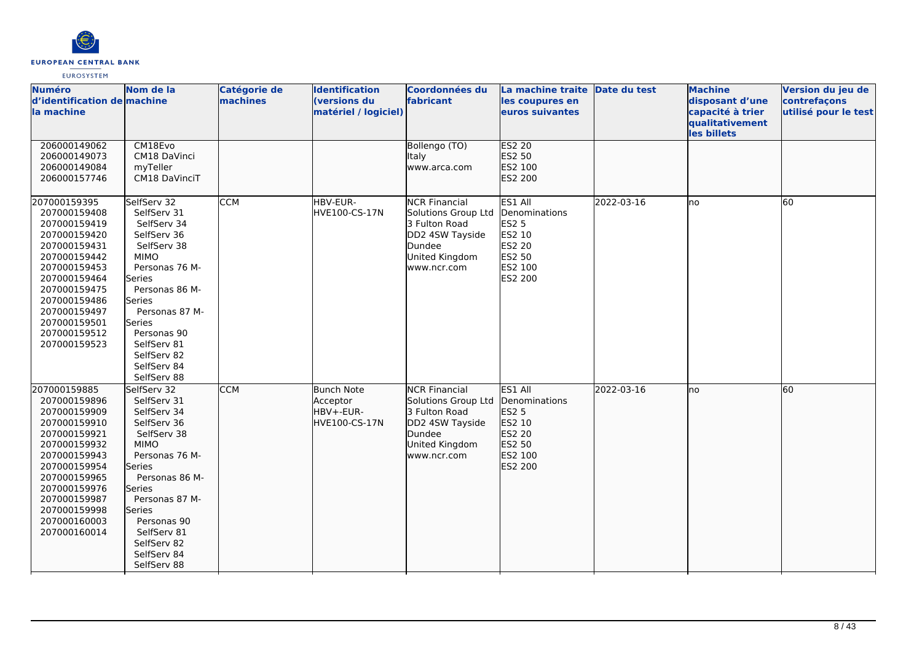

| <b>Numéro</b><br>d'identification de machine<br>la machine                                                                                                                                                                   | Nom de la                                                                                                                                                                                                                                                    | Catégorie de<br>machines | <b>Identification</b><br>(versions du<br>matériel / logiciel) | Coordonnées du<br>fabricant                                                                                                | La machine traite Date du test<br>les coupures en<br>euros suivantes                                |            | <b>Machine</b><br>disposant d'une<br>capacité à trier<br>qualitativement<br>les billets | Version du jeu de<br>contrefaçons<br>utilisé pour le test |
|------------------------------------------------------------------------------------------------------------------------------------------------------------------------------------------------------------------------------|--------------------------------------------------------------------------------------------------------------------------------------------------------------------------------------------------------------------------------------------------------------|--------------------------|---------------------------------------------------------------|----------------------------------------------------------------------------------------------------------------------------|-----------------------------------------------------------------------------------------------------|------------|-----------------------------------------------------------------------------------------|-----------------------------------------------------------|
| 206000149062<br>206000149073<br>206000149084<br>206000157746                                                                                                                                                                 | CM18Evo<br>CM18 DaVinci<br>myTeller<br>CM18 DaVinciT                                                                                                                                                                                                         |                          |                                                               | Bollengo (TO)<br><b>Italy</b><br>www.arca.com                                                                              | <b>ES2 20</b><br>ES2 50<br>ES2 100<br>ES2 200                                                       |            |                                                                                         |                                                           |
| 207000159395<br>207000159408<br>207000159419<br>207000159420<br>207000159431<br>207000159442<br>207000159453<br>207000159464<br>207000159475<br>207000159486<br>207000159497<br>207000159501<br>207000159512<br>207000159523 | SelfServ 32<br>SelfServ 31<br>SelfServ 34<br>SelfServ 36<br>SelfServ 38<br><b>MIMO</b><br>Personas 76 M-<br>Series<br>Personas 86 M-<br>Series<br>Personas 87 M-<br>Series<br>Personas 90<br>SelfServ 81<br>SelfServ 82<br>SelfServ 84<br>SelfServ 88        | <b>CCM</b>               | HBV-EUR-<br>HVE100-CS-17N                                     | <b>NCR Financial</b><br>Solutions Group Ltd<br>3 Fulton Road<br>DD2 4SW Tayside<br>Dundee<br>United Kingdom<br>www.ncr.com | ES1 All<br>Denominations<br><b>ES2 5</b><br>ES2 10<br>ES2 20<br>ES2 50<br>ES2 100<br><b>ES2 200</b> | 2022-03-16 | Ino                                                                                     | 60                                                        |
| 207000159885<br>207000159896<br>207000159909<br>207000159910<br>207000159921<br>207000159932<br>207000159943<br>207000159954<br>207000159965<br>207000159976<br>207000159987<br>207000159998<br>207000160003<br>207000160014 | SelfServ 32<br>SelfServ 31<br>SelfServ 34<br>SelfServ 36<br>SelfServ 38<br><b>MIMO</b><br>Personas 76 M-<br>Series<br>Personas 86 M-<br>Series<br>Personas 87 M-<br><b>Series</b><br>Personas 90<br>SelfServ 81<br>SelfServ 82<br>SelfServ 84<br>SelfServ 88 | <b>CCM</b>               | Bunch Note<br>Acceptor<br>HBV+-EUR-<br>HVE100-CS-17N          | <b>NCR Financial</b><br>Solutions Group Ltd<br>3 Fulton Road<br>DD2 4SW Tayside<br>Dundee<br>United Kingdom<br>www.ncr.com | ES1 All<br>Denominations<br>ES2 5<br>ES2 10<br>ES2 20<br>ES2 50<br>ES2 100<br>ES2 200               | 2022-03-16 | Ino                                                                                     | 60                                                        |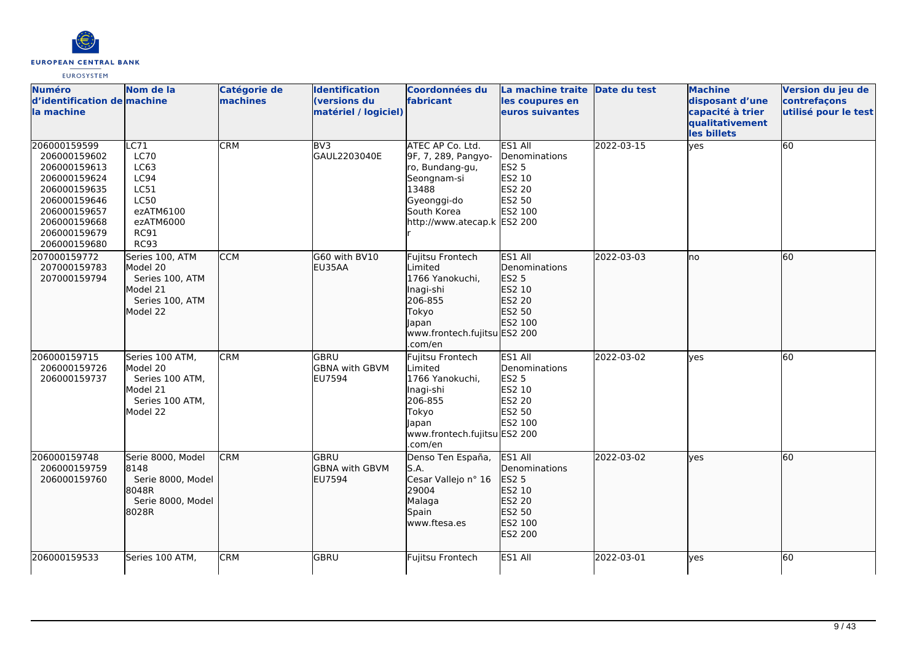

| <b>Numéro</b>                                                                                                                                                | Nom de la                                                                                                          | Catégorie de | <b>Identification</b>                          | <b>Coordonnées du</b>                                                                                                                           | La machine traite Date du test                                                               |            | <b>Machine</b>                                                        | Version du jeu de                    |
|--------------------------------------------------------------------------------------------------------------------------------------------------------------|--------------------------------------------------------------------------------------------------------------------|--------------|------------------------------------------------|-------------------------------------------------------------------------------------------------------------------------------------------------|----------------------------------------------------------------------------------------------|------------|-----------------------------------------------------------------------|--------------------------------------|
| d'identification de machine<br>la machine                                                                                                                    |                                                                                                                    | machines     | (versions du<br>matériel / logiciel)           | fabricant                                                                                                                                       | les coupures en<br>euros suivantes                                                           |            | disposant d'une<br>capacité à trier<br>qualitativement<br>les billets | contrefaçons<br>utilisé pour le test |
| 206000159599<br>206000159602<br>206000159613<br>206000159624<br>206000159635<br>206000159646<br>206000159657<br>206000159668<br>206000159679<br>206000159680 | LC71<br><b>LC70</b><br>LC63<br>LC94<br>LC51<br><b>LC50</b><br>ezATM6100<br>ezATM6000<br><b>RC91</b><br><b>RC93</b> | <b>CRM</b>   | BV3<br>GAUL2203040E                            | ATEC AP Co. Ltd.<br>9F, 7, 289, Pangyo-<br>ro, Bundang-gu,<br>Seongnam-si<br>13488<br>Gyeonggi-do<br>South Korea<br>http://www.atecap.k ES2 200 | ES1 All<br>Denominations<br><b>ES2 5</b><br>ES2 10<br>ES2 20<br>ES2 50<br>ES2 100            | 2022-03-15 | yes                                                                   | 60                                   |
| 207000159772<br>207000159783<br>207000159794                                                                                                                 | Series 100, ATM<br>Model 20<br>Series 100, ATM<br>Model 21<br>Series 100, ATM<br>Model 22                          | <b>CCM</b>   | G60 with BV10<br>EU35AA                        | Fujitsu Frontech<br>Limited<br>1766 Yanokuchi,<br>Inagi-shi<br>206-855<br>Tokyo<br>Japan<br>www.frontech.fujitsu ES2 200<br>.com/en             | ES1 All<br>Denominations<br>ES2 5<br>ES2 10<br>ES2 20<br>ES2 50<br>ES2 100                   | 2022-03-03 | lno                                                                   | 60                                   |
| 206000159715<br>206000159726<br>206000159737                                                                                                                 | Series 100 ATM,<br>Model 20<br>Series 100 ATM,<br>Model 21<br>Series 100 ATM,<br>Model 22                          | <b>CRM</b>   | GBRU<br><b>GBNA with GBVM</b><br>EU7594        | Fujitsu Frontech<br>Limited<br>1766 Yanokuchi,<br>Inagi-shi<br>206-855<br>Tokyo<br>Japan<br>www.frontech.fujitsu ES2 200<br>.com/en             | ES1 All<br>Denominations<br><b>ES2 5</b><br>ES2 10<br>ES2 20<br>ES2 50<br>ES2 100            | 2022-03-02 | yes                                                                   | 60                                   |
| 206000159748<br>206000159759<br>206000159760                                                                                                                 | Serie 8000, Model<br>8148<br>Serie 8000, Model<br>8048R<br>Serie 8000, Model<br>18028R                             | <b>CRM</b>   | <b>GBRU</b><br><b>GBNA</b> with GBVM<br>EU7594 | Denso Ten España,<br>S.A.<br>Cesar Vallejo nº 16<br>29004<br>Malaga<br>Spain<br>www.ftesa.es                                                    | ES1 All<br>Denominations<br><b>ES2 5</b><br>ES2 10<br>ES2 20<br>ES2 50<br>ES2 100<br>ES2 200 | 2022-03-02 | lves                                                                  | 60                                   |
| 206000159533                                                                                                                                                 | Series 100 ATM,                                                                                                    | <b>CRM</b>   | GBRU                                           | Fujitsu Frontech                                                                                                                                | ES1 All                                                                                      | 2022-03-01 | lyes                                                                  | 60                                   |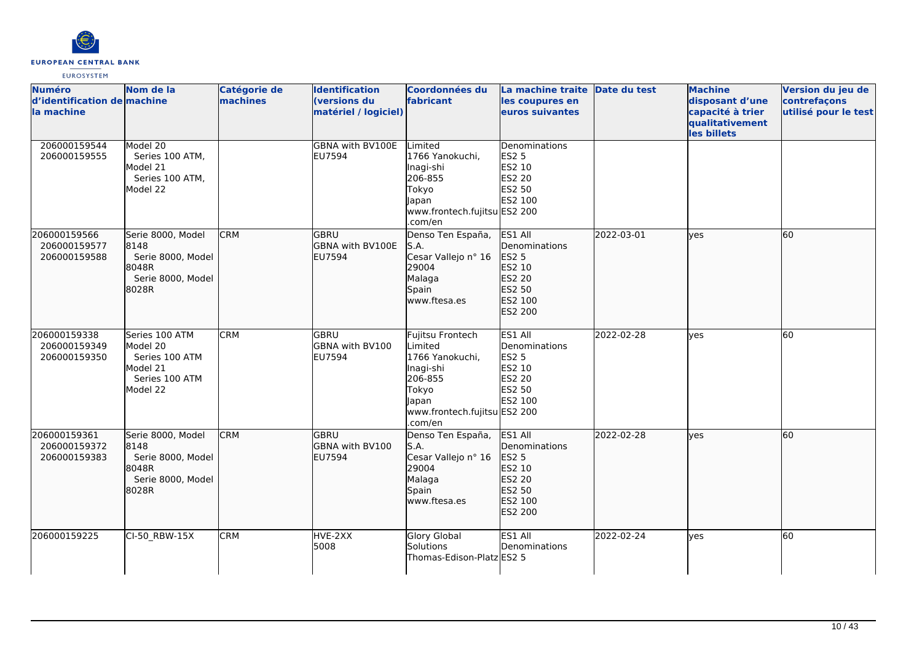

| <b>Numéro</b><br>d'identification de machine<br>la machine | Nom de la                                                                              | Catégorie de<br>machines | <b>Identification</b><br>(versions du<br>matériel / logiciel) | Coordonnées du<br>fabricant                                                                                                         | La machine traite Date du test<br>les coupures en<br>euros suivantes                  |            | <b>Machine</b><br>disposant d'une<br>capacité à trier<br>qualitativement<br>les billets | Version du jeu de<br>contrefaçons<br>utilisé pour le test |
|------------------------------------------------------------|----------------------------------------------------------------------------------------|--------------------------|---------------------------------------------------------------|-------------------------------------------------------------------------------------------------------------------------------------|---------------------------------------------------------------------------------------|------------|-----------------------------------------------------------------------------------------|-----------------------------------------------------------|
| 206000159544<br>206000159555                               | Model 20<br>Series 100 ATM,<br>Model 21<br>Series 100 ATM,<br>Model 22                 |                          | GBNA with BV100E<br>EU7594                                    | Limited<br>1766 Yanokuchi.<br>Inagi-shi<br>206-855<br>Tokyo<br>Japan<br>www.frontech.fujitsu ES2 200<br>.com/en                     | Denominations<br><b>ES2 5</b><br>ES2 10<br><b>ES2 20</b><br>ES2 50<br>ES2 100         |            |                                                                                         |                                                           |
| 206000159566<br>206000159577<br>206000159588               | Serie 8000, Model<br>8148<br>Serie 8000, Model<br>8048R<br>Serie 8000, Model<br>8028R  | <b>CRM</b>               | <b>GBRU</b><br>GBNA with BV100E<br>EU7594                     | Denso Ten España,<br>S.A.<br>Cesar Vallejo nº 16<br>29004<br>Malaga<br>Spain<br>www.ftesa.es                                        | ES1 All<br>Denominations<br>ES2 5<br>ES2 10<br>ES2 20<br>ES2 50<br>ES2 100<br>ES2 200 | 2022-03-01 | <b>lyes</b>                                                                             | 60                                                        |
| 206000159338<br>206000159349<br>206000159350               | Series 100 ATM<br>Model 20<br>Series 100 ATM<br>Model 21<br>Series 100 ATM<br>Model 22 | <b>CRM</b>               | <b>GBRU</b><br>GBNA with BV100<br><b>EU7594</b>               | Fujitsu Frontech<br>Limited<br>1766 Yanokuchi,<br>Inagi-shi<br>206-855<br>Tokyo<br>Japan<br>www.frontech.fujitsu ES2 200<br>.com/en | ES1 All<br>Denominations<br><b>ES2 5</b><br>ES2 10<br>ES2 20<br>ES2 50<br>ES2 100     | 2022-02-28 | lyes                                                                                    | 60                                                        |
| 206000159361<br>206000159372<br>206000159383               | Serie 8000, Model<br>8148<br>Serie 8000, Model<br>8048R<br>Serie 8000, Model<br>8028R  | <b>CRM</b>               | GBRU<br>GBNA with BV100<br>EU7594                             | Denso Ten España,<br>S.A.<br>Cesar Vallejo nº 16<br>29004<br>Malaga<br>Spain<br>www.ftesa.es                                        | ES1 All<br>Denominations<br>ES2 5<br>ES2 10<br>ES2 20<br>ES2 50<br>ES2 100<br>ES2 200 | 2022-02-28 | <b>lyes</b>                                                                             | 60                                                        |
| 206000159225                                               | CI-50_RBW-15X                                                                          | <b>CRM</b>               | HVE-2XX<br>5008                                               | Glory Global<br>Solutions<br>Thomas-Edison-Platz ES2 5                                                                              | ES1 All<br>Denominations                                                              | 2022-02-24 | lves                                                                                    | 60                                                        |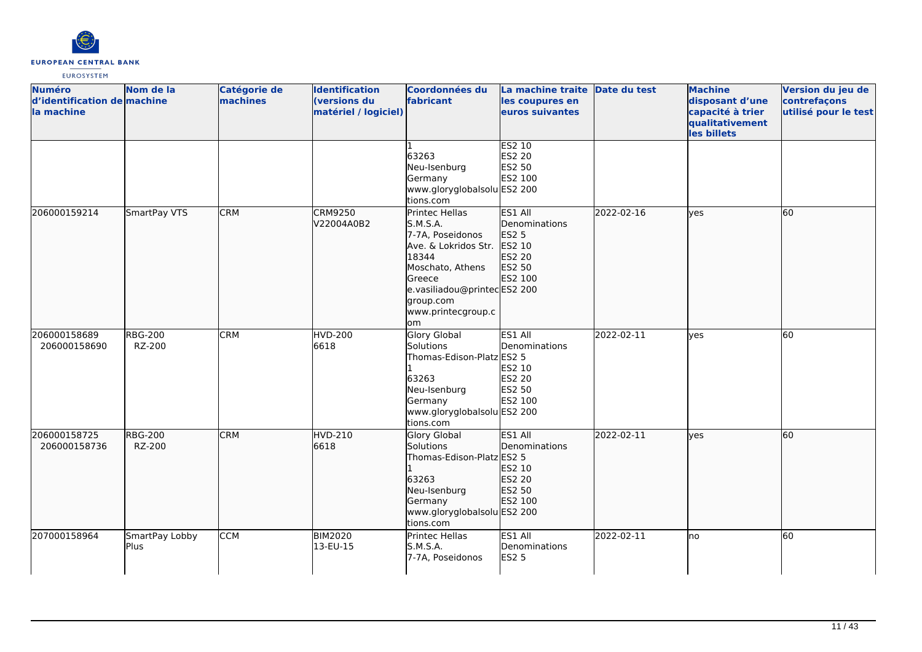

| <b>Numéro</b><br>d'identification de machine<br>la machine | Nom de la                | Catégorie de<br>machines | <b>Identification</b><br>(versions du<br>matériel / logiciel) | <b>Coordonnées du</b><br>fabricant                                                                                                                                                     | La machine traite Date du test<br>les coupures en<br>euros suivantes              |            | <b>Machine</b><br>disposant d'une<br>capacité à trier<br>qualitativement<br>les billets | Version du jeu de<br>contrefaçons<br>utilisé pour le test |
|------------------------------------------------------------|--------------------------|--------------------------|---------------------------------------------------------------|----------------------------------------------------------------------------------------------------------------------------------------------------------------------------------------|-----------------------------------------------------------------------------------|------------|-----------------------------------------------------------------------------------------|-----------------------------------------------------------|
|                                                            |                          |                          |                                                               | 63263<br>Neu-Isenburg<br>Germany<br>www.gloryglobalsolu ES2 200<br>tions.com                                                                                                           | <b>ES2 10</b><br>ES2 20<br>ES2 50<br>ES2 100                                      |            |                                                                                         |                                                           |
| 206000159214                                               | SmartPay VTS             | <b>CRM</b>               | <b>CRM9250</b><br>V22004A0B2                                  | Printec Hellas<br>S.M.S.A.<br>7-7A, Poseidonos<br>Ave. & Lokridos Str.<br>18344<br>Moschato, Athens<br>Greece<br>e.vasiliadou@printecES2 200<br>group.com<br>www.printecgroup.c<br>lom | ES1 All<br>Denominations<br><b>ES2 5</b><br>ES2 10<br>ES2 20<br>ES2 50<br>ES2 100 | 2022-02-16 | lyes                                                                                    | 60                                                        |
| 206000158689<br>206000158690                               | <b>RBG-200</b><br>RZ-200 | <b>CRM</b>               | <b>HVD-200</b><br>6618                                        | <b>Glory Global</b><br>Solutions<br>Thomas-Edison-Platz ES2 5<br>63263<br>Neu-Isenburg<br>Germany<br>www.gloryglobalsolu ES2 200<br>tions.com                                          | ES1 All<br>Denominations<br>ES2 10<br>ES2 20<br>ES2 50<br>ES2 100                 | 2022-02-11 | yes                                                                                     | 60                                                        |
| 206000158725<br>206000158736                               | <b>RBG-200</b><br>RZ-200 | <b>CRM</b>               | <b>HVD-210</b><br>6618                                        | <b>Glory Global</b><br>Solutions<br>Thomas-Edison-Platz ES2 5<br>63263<br>Neu-Isenburg<br>Germany<br>www.gloryglobalsolu ES2 200<br>tions.com                                          | ES1 All<br>Denominations<br>ES2 10<br>ES2 20<br>ES2 50<br>ES2 100                 | 2022-02-11 | lves                                                                                    | 60                                                        |
| 207000158964                                               | SmartPay Lobby<br>Plus   | <b>CCM</b>               | <b>BIM2020</b><br>13-EU-15                                    | Printec Hellas<br>S.M.S.A.<br>7-7A, Poseidonos                                                                                                                                         | ES1 All<br>Denominations<br><b>ES2 5</b>                                          | 2022-02-11 | Ino                                                                                     | 60                                                        |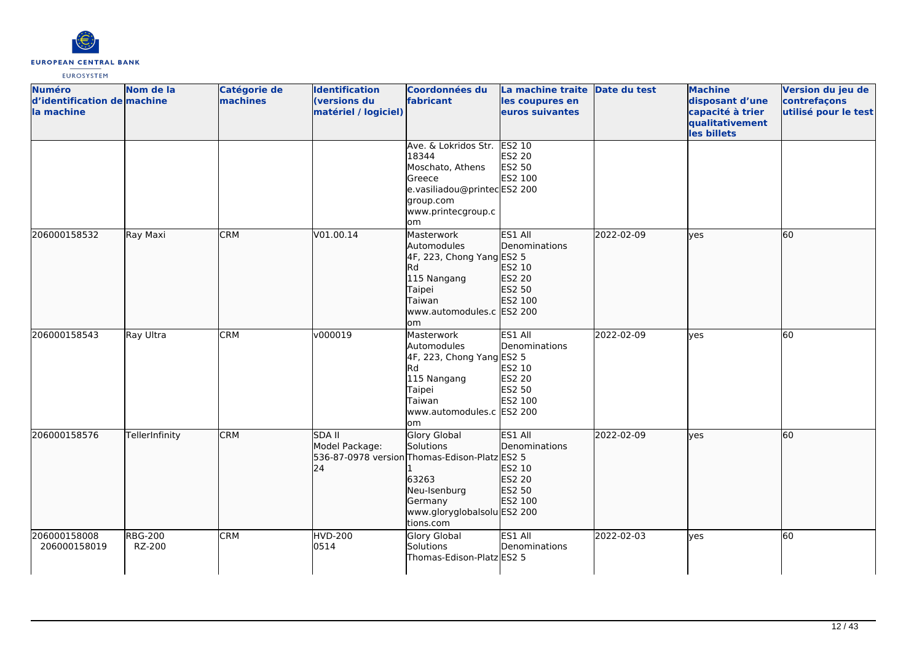

| <b>Numéro</b><br>d'identification de machine<br>la machine | Nom de la                | <b>Catégorie de</b><br>machines | <b>Identification</b><br>(versions du<br>matériel / logiciel) | Coordonnées du<br>fabricant                                                                                                                                       | La machine traite Date du test<br>les coupures en<br>euros suivantes |            | <b>Machine</b><br>disposant d'une<br>capacité à trier<br>qualitativement<br>les billets | Version du jeu de<br>contrefaçons<br>utilisé pour le test |
|------------------------------------------------------------|--------------------------|---------------------------------|---------------------------------------------------------------|-------------------------------------------------------------------------------------------------------------------------------------------------------------------|----------------------------------------------------------------------|------------|-----------------------------------------------------------------------------------------|-----------------------------------------------------------|
|                                                            |                          |                                 |                                                               | Ave. & Lokridos Str.<br>18344<br>Moschato, Athens<br>Greece<br>e.vasiliadou@printecES2 200<br>group.com<br>www.printecgroup.c<br>om                               | <b>ES2 10</b><br>ES2 20<br>ES2 50<br>ES2 100                         |            |                                                                                         |                                                           |
| 206000158532                                               | Ray Maxi                 | <b>CRM</b>                      | V01.00.14                                                     | Masterwork<br>Automodules<br>4F, 223, Chong Yang ES2 5<br>Rd<br>115 Nangang<br>Taipei<br>Taiwan<br>www.automodules.c ES2 200<br>om                                | ES1 All<br>Denominations<br>ES2 10<br>ES2 20<br>ES2 50<br>ES2 100    | 2022-02-09 | lyes                                                                                    | 60                                                        |
| 206000158543                                               | Ray Ultra                | <b>CRM</b>                      | v000019                                                       | Masterwork<br>Automodules<br>4F, 223, Chong Yang ES2 5<br>Rd<br>115 Nangang<br>Taipei<br>Taiwan<br>www.automodules.c ES2 200<br>om                                | ES1 All<br>Denominations<br>ES2 10<br>ES2 20<br>ES2 50<br>ES2 100    | 2022-02-09 | yes                                                                                     | 60                                                        |
| 206000158576                                               | TellerInfinity           | <b>CRM</b>                      | <b>SDA II</b><br>Model Package:<br>24                         | <b>Glory Global</b><br>Solutions<br>536-87-0978 version Thomas-Edison-Platz ES2 5<br>63263<br>Neu-Isenburg<br>Germany<br>www.gloryglobalsolu ES2 200<br>tions.com | ES1 All<br>Denominations<br>ES2 10<br>ES2 20<br>ES2 50<br>ES2 100    | 2022-02-09 | lyes                                                                                    | 60                                                        |
| 206000158008<br>206000158019                               | <b>RBG-200</b><br>RZ-200 | <b>CRM</b>                      | <b>HVD-200</b><br>0514                                        | Glory Global<br>Solutions<br>Thomas-Edison-Platz ES2 5                                                                                                            | ES1 All<br>Denominations                                             | 2022-02-03 | <b>ves</b>                                                                              | 60                                                        |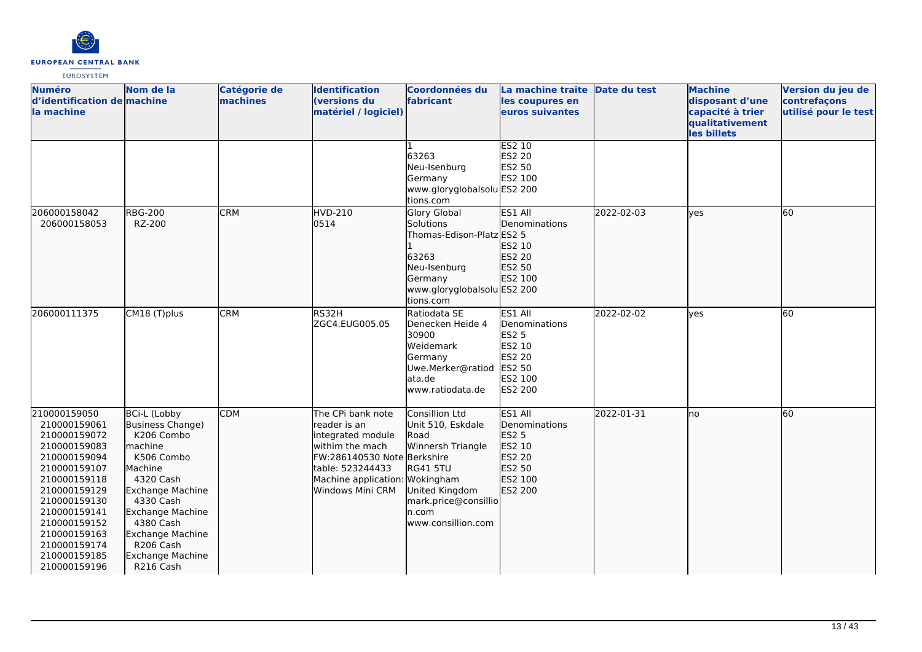

| <b>Numéro</b><br>d'identification de machine<br>la machine                                                                                                                                                                                   | Nom de la                                                                                                                                                                                                                                                                   | <b>Catégorie de</b><br>machines | <b>Identification</b><br>(versions du<br>matériel / logiciel)                                                                                                                       | <b>Coordonnées du</b><br>fabricant                                                                                                                                  | La machine traite Date du test<br>les coupures en<br>euros suivantes                                |            | <b>Machine</b><br>disposant d'une<br>capacité à trier<br>qualitativement<br>les billets | Version du jeu de<br>contrefaçons<br>utilisé pour le test |
|----------------------------------------------------------------------------------------------------------------------------------------------------------------------------------------------------------------------------------------------|-----------------------------------------------------------------------------------------------------------------------------------------------------------------------------------------------------------------------------------------------------------------------------|---------------------------------|-------------------------------------------------------------------------------------------------------------------------------------------------------------------------------------|---------------------------------------------------------------------------------------------------------------------------------------------------------------------|-----------------------------------------------------------------------------------------------------|------------|-----------------------------------------------------------------------------------------|-----------------------------------------------------------|
|                                                                                                                                                                                                                                              |                                                                                                                                                                                                                                                                             |                                 |                                                                                                                                                                                     | 63263<br>Neu-Isenburg<br>Germany<br>www.gloryglobalsolu ES2 200<br>tions.com                                                                                        | ES2 10<br><b>ES2 20</b><br>ES2 50<br>ES2 100                                                        |            |                                                                                         |                                                           |
| 206000158042<br>206000158053                                                                                                                                                                                                                 | <b>RBG-200</b><br>RZ-200                                                                                                                                                                                                                                                    | <b>CRM</b>                      | HVD-210<br>0514                                                                                                                                                                     | Glory Global<br>Solutions<br>Thomas-Edison-Platz ES2 5<br>63263<br>Neu-Isenburg<br>Germany<br>www.gloryglobalsolu ES2 200<br>tions.com                              | ES1 All<br>Denominations<br>ES2 10<br>ES2 20<br>ES2 50<br>ES2 100                                   | 2022-02-03 | lves                                                                                    | 60                                                        |
| 206000111375                                                                                                                                                                                                                                 | CM18 (T)plus                                                                                                                                                                                                                                                                | <b>CRM</b>                      | RS32H<br>ZGC4.EUG005.05                                                                                                                                                             | Ratiodata SE<br>Denecken Heide 4<br>30900<br>Weidemark<br>Germany<br>Uwe.Merker@ratiod<br>ata.de<br>www.ratiodata.de                                                | ES1 All<br>Denominations<br><b>ES2 5</b><br>ES2 10<br>ES2 20<br><b>ES2 50</b><br>ES2 100<br>ES2 200 | 2022-02-02 | lves                                                                                    | $\overline{60}$                                           |
| 210000159050<br>210000159061<br>210000159072<br>210000159083<br>210000159094<br>210000159107<br>210000159118<br>210000159129<br>210000159130<br>210000159141<br>210000159152<br>210000159163<br>210000159174<br>210000159185<br>210000159196 | <b>BCi-L (Lobby</b><br>Business Change)<br>K206 Combo<br>machine<br>K506 Combo<br>Machine<br>4320 Cash<br><b>Exchange Machine</b><br>4330 Cash<br><b>Exchange Machine</b><br>4380 Cash<br><b>Exchange Machine</b><br>R206 Cash<br>Exchange Machine<br>R <sub>216</sub> Cash | <b>CDM</b>                      | The CPi bank note<br>lreader is an<br>integrated module<br>withim the mach<br>FW:286140530 Note Berkshire<br>table: 523244433<br>Machine application: Wokingham<br>Windows Mini CRM | <b>Consillion Ltd</b><br>Unit 510, Eskdale<br>Road<br>Winnersh Triangle<br><b>RG41 5TU</b><br>United Kingdom<br>mark.price@consillio<br>n.com<br>www.consillion.com | <b>IES1 AII</b><br>Denominations<br>ES2 5<br>ES2 10<br>ES2 20<br>ES2 50<br>ES2 100<br>ES2 200       | 2022-01-31 | Ino                                                                                     | 60                                                        |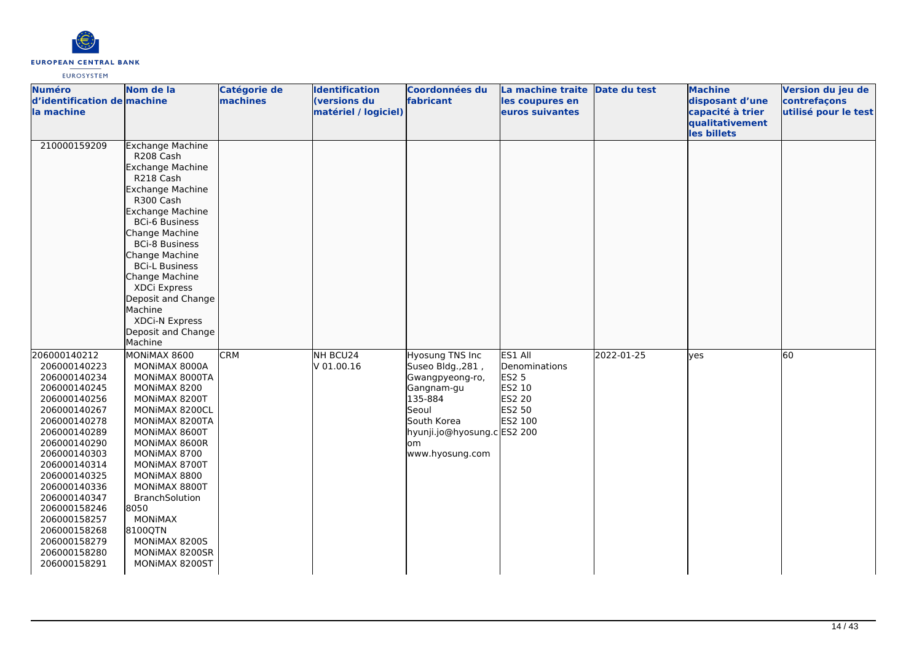

| <b>Numéro</b><br>d'identification de machine<br>la machine                                                                                                                                                                                                                                                                   | Nom de la                                                                                                                                                                                                                                                                                                                                                                     | Catégorie de<br>machines | <b>Identification</b><br>(versions du<br>matériel / logiciel) | Coordonnées du<br>fabricant                                                                                                                                       | La machine traite<br>les coupures en<br>euros suivantes                                  | Date du test | <b>Machine</b><br>disposant d'une<br>capacité à trier<br>qualitativement<br>les billets | Version du jeu de<br>contrefaçons<br>utilisé pour le test |
|------------------------------------------------------------------------------------------------------------------------------------------------------------------------------------------------------------------------------------------------------------------------------------------------------------------------------|-------------------------------------------------------------------------------------------------------------------------------------------------------------------------------------------------------------------------------------------------------------------------------------------------------------------------------------------------------------------------------|--------------------------|---------------------------------------------------------------|-------------------------------------------------------------------------------------------------------------------------------------------------------------------|------------------------------------------------------------------------------------------|--------------|-----------------------------------------------------------------------------------------|-----------------------------------------------------------|
| 210000159209                                                                                                                                                                                                                                                                                                                 | <b>Exchange Machine</b><br>R208 Cash<br>Exchange Machine<br>R218 Cash<br><b>Exchange Machine</b><br>R300 Cash<br><b>Exchange Machine</b><br><b>BCi-6 Business</b><br>Change Machine<br><b>BCi-8 Business</b><br>Change Machine<br><b>BCi-L Business</b><br>Change Machine<br>XDCi Express<br>Deposit and Change<br>Machine<br>XDCi-N Express<br>Deposit and Change<br>Machine |                          |                                                               |                                                                                                                                                                   |                                                                                          |              |                                                                                         |                                                           |
| 206000140212<br>206000140223<br>206000140234<br>206000140245<br>206000140256<br>206000140267<br>206000140278<br>206000140289<br>206000140290<br>206000140303<br>206000140314<br>206000140325<br>206000140336<br>206000140347<br>206000158246<br>206000158257<br>206000158268<br>206000158279<br>206000158280<br>206000158291 | MONIMAX 8600<br>MONIMAX 8000A<br>MONIMAX 8000TA<br>MONIMAX 8200<br>MONIMAX 8200T<br>MONIMAX 8200CL<br>MONIMAX 8200TA<br>MONIMAX 8600T<br>MONIMAX 8600R<br>MONIMAX 8700<br>MONIMAX 8700T<br>MONIMAX 8800<br>MONIMAX 8800T<br>BranchSolution<br>8050<br><b>MONIMAX</b><br>8100QTN<br>MONIMAX 8200S<br>MONIMAX 8200SR<br>MONIMAX 8200ST                                          | <b>CRM</b>               | NH BCU24<br>V 01.00.16                                        | Hyosung TNS Inc<br>Suseo Bldg., 281,<br>Gwangpyeong-ro,<br>Gangnam-gu<br>135-884<br>Seoul<br>South Korea<br>hyunji.jo@hyosung.c ES2 200<br>lom<br>www.hyosung.com | ES1 All<br>Denominations<br><b>ES2 5</b><br>ES2 10<br>ES2 20<br><b>ES2 50</b><br>ES2 100 | 2022-01-25   | yes                                                                                     | 60                                                        |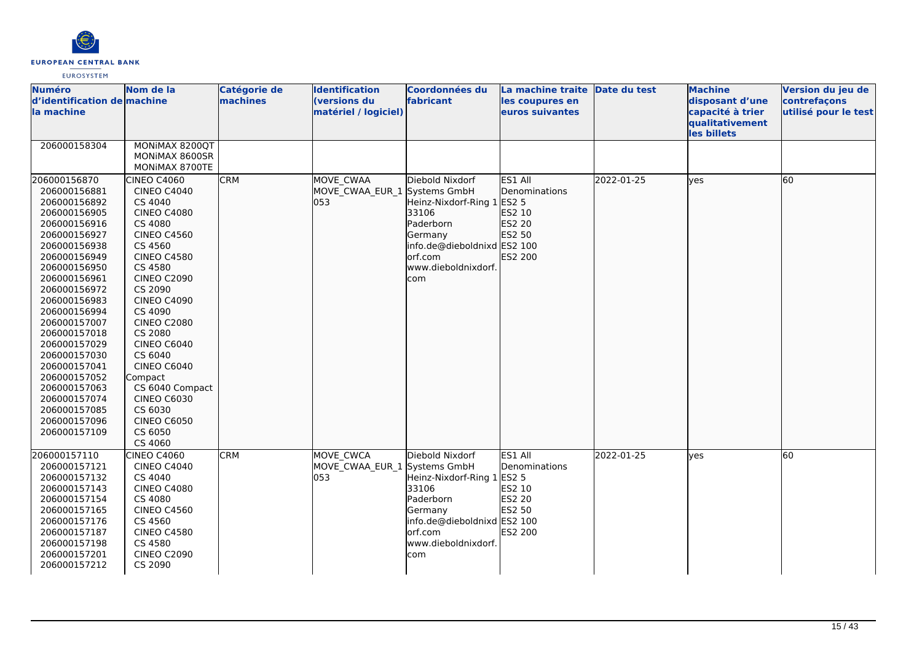

| <b>Numéro</b><br>d'identification de machine<br>la machine                                                                                                                                                                                                                                                                                                                                   | Nom de la                                                                                                                                                                                                                                                                                                                                                                                                     | Catégorie de<br>machines | <b>Identification</b><br>(versions du<br>matériel / logiciel) | Coordonnées du<br>fabricant                                                                                                                                      | La machine traite Date du test<br>les coupures en<br>euros suivantes                     |            | <b>Machine</b><br>disposant d'une<br>capacité à trier<br>qualitativement<br>les billets | Version du jeu de<br>contrefaçons<br>utilisé pour le test |
|----------------------------------------------------------------------------------------------------------------------------------------------------------------------------------------------------------------------------------------------------------------------------------------------------------------------------------------------------------------------------------------------|---------------------------------------------------------------------------------------------------------------------------------------------------------------------------------------------------------------------------------------------------------------------------------------------------------------------------------------------------------------------------------------------------------------|--------------------------|---------------------------------------------------------------|------------------------------------------------------------------------------------------------------------------------------------------------------------------|------------------------------------------------------------------------------------------|------------|-----------------------------------------------------------------------------------------|-----------------------------------------------------------|
| 206000158304                                                                                                                                                                                                                                                                                                                                                                                 | MONIMAX 8200QT<br>MONIMAX 8600SR<br>MONIMAX 8700TE                                                                                                                                                                                                                                                                                                                                                            |                          |                                                               |                                                                                                                                                                  |                                                                                          |            |                                                                                         |                                                           |
| 206000156870<br>206000156881<br>206000156892<br>206000156905<br>206000156916<br>206000156927<br>206000156938<br>206000156949<br>206000156950<br>206000156961<br>206000156972<br>206000156983<br>206000156994<br>206000157007<br>206000157018<br>206000157029<br>206000157030<br>206000157041<br>206000157052<br>206000157063<br>206000157074<br>206000157085<br>206000157096<br>206000157109 | <b>CINEO C4060</b><br><b>CINEO C4040</b><br>CS 4040<br><b>CINEO C4080</b><br>CS 4080<br><b>CINEO C4560</b><br>CS 4560<br><b>CINEO C4580</b><br>CS 4580<br><b>CINEO C2090</b><br>CS 2090<br><b>CINEO C4090</b><br>CS 4090<br><b>CINEO C2080</b><br>CS 2080<br>CINEO C6040<br>CS 6040<br>CINEO C6040<br>Compact<br>CS 6040 Compact<br><b>CINEO C6030</b><br>CS 6030<br><b>CINEO C6050</b><br>CS 6050<br>CS 4060 | <b>CRM</b>               | MOVE CWAA<br>MOVE_CWAA_EUR_1 Systems GmbH<br>053              | Diebold Nixdorf<br>Heinz-Nixdorf-Ring 1<br>33106<br>Paderborn<br>Germany<br>info.de@dieboldnixd ES2 100<br>orf.com<br>www.dieboldnixdorf.<br>com                 | ES1 All<br>Denominations<br>ES2 5<br>ES2 10<br>ES2 20<br>ES2 50<br>ES2 200               | 2022-01-25 | lyes                                                                                    | 60                                                        |
| 206000157110<br>206000157121<br>206000157132<br>206000157143<br>206000157154<br>206000157165<br>206000157176<br>206000157187<br>206000157198<br>206000157201<br>206000157212                                                                                                                                                                                                                 | <b>CINEO C4060</b><br><b>CINEO C4040</b><br>CS 4040<br><b>CINEO C4080</b><br>CS 4080<br><b>CINEO C4560</b><br>CS 4560<br><b>CINEO C4580</b><br>CS 4580<br><b>CINEO C2090</b><br>CS 2090                                                                                                                                                                                                                       | <b>CRM</b>               | <b>MOVE CWCA</b><br>MOVE_CWAA_EUR_1<br>053                    | Diebold Nixdorf<br>Systems GmbH<br>Heinz-Nixdorf-Ring 1<br>33106<br>Paderborn<br>Germany<br>info.de@dieboldnixd ES2 100<br>orf.com<br>www.dieboldnixdorf.<br>com | ES1 All<br>Denominations<br><b>ES2 5</b><br>ES2 10<br><b>ES2 20</b><br>ES2 50<br>ES2 200 | 2022-01-25 | yes                                                                                     | 60                                                        |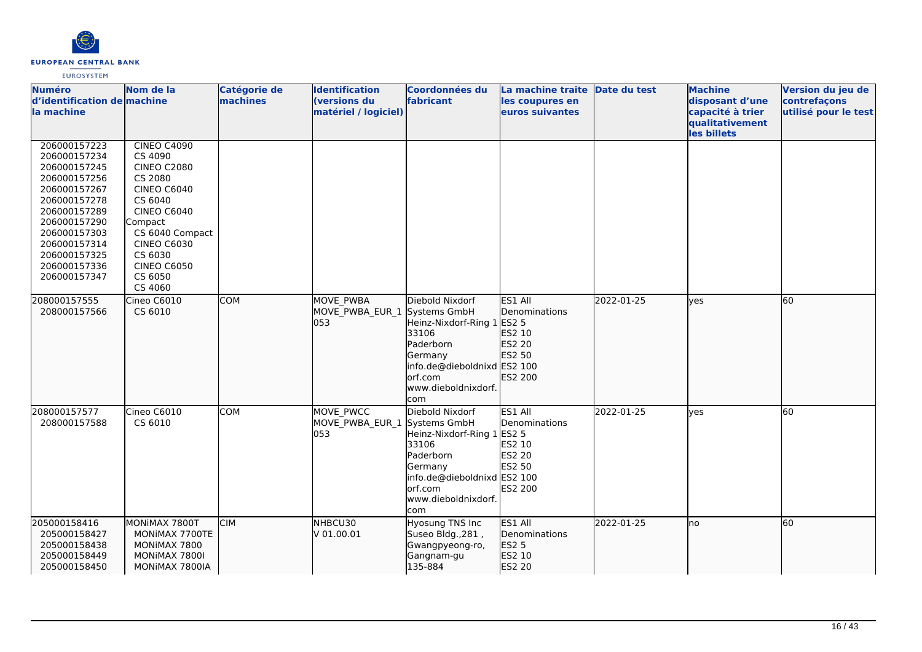

| <b>Numéro</b><br>d'identification de machine<br>la machine                                                                                   | Nom de la                                                                                                                                           | <b>Catégorie de</b><br>machines | <b>Identification</b><br>(versions du<br>matériel / logiciel) | Coordonnées du<br>fabricant                                                                                                                            | La machine traite Date du test<br>les coupures en<br>euros suivantes                     |            | <b>Machine</b><br>disposant d'une<br>capacité à trier<br>qualitativement | Version du jeu de<br>contrefaçons<br>utilisé pour le test |
|----------------------------------------------------------------------------------------------------------------------------------------------|-----------------------------------------------------------------------------------------------------------------------------------------------------|---------------------------------|---------------------------------------------------------------|--------------------------------------------------------------------------------------------------------------------------------------------------------|------------------------------------------------------------------------------------------|------------|--------------------------------------------------------------------------|-----------------------------------------------------------|
| 206000157223                                                                                                                                 | <b>CINEO C4090</b>                                                                                                                                  |                                 |                                                               |                                                                                                                                                        |                                                                                          |            | les billets                                                              |                                                           |
| 206000157234<br>206000157245<br>206000157256<br>206000157267<br>206000157278<br>206000157289<br>206000157290<br>206000157303<br>206000157314 | CS 4090<br><b>CINEO C2080</b><br>CS 2080<br><b>CINEO C6040</b><br>CS 6040<br><b>CINEO C6040</b><br>Compact<br>CS 6040 Compact<br><b>CINEO C6030</b> |                                 |                                                               |                                                                                                                                                        |                                                                                          |            |                                                                          |                                                           |
| 206000157325<br>206000157336<br>206000157347                                                                                                 | CS 6030<br><b>CINEO C6050</b><br>CS 6050<br>CS 4060                                                                                                 |                                 |                                                               |                                                                                                                                                        |                                                                                          |            |                                                                          |                                                           |
| 208000157555<br>208000157566                                                                                                                 | Cineo C6010<br>CS 6010                                                                                                                              | <b>COM</b>                      | <b>MOVE PWBA</b><br>MOVE PWBA EUR 1 Systems GmbH<br>053       | Diebold Nixdorf<br>Heinz-Nixdorf-Ring 1 ES2 5<br>33106<br>Paderborn<br>Germany<br>info.de@dieboldnixd ES2 100<br>orf.com<br>www.dieboldnixdorf.<br>com | ES1 All<br>Denominations<br>ES2 10<br>ES2 20<br>ES2 50<br>ES2 200                        | 2022-01-25 | lves                                                                     | 60                                                        |
| 208000157577<br>208000157588                                                                                                                 | Cineo C6010<br>CS 6010                                                                                                                              | <b>COM</b>                      | MOVE PWCC<br>MOVE_PWBA_EUR_1 Systems GmbH<br>053              | Diebold Nixdorf<br>Heinz-Nixdorf-Ring 1<br>33106<br>Paderborn<br>Germany<br>info.de@dieboldnixd ES2 100<br>orf.com<br>www.dieboldnixdorf.<br>com       | ES1 All<br>Denominations<br><b>ES2 5</b><br>ES2 10<br><b>ES2 20</b><br>ES2 50<br>ES2 200 | 2022-01-25 | lyes                                                                     | 60                                                        |
| 205000158416<br>205000158427<br>205000158438<br>205000158449<br>205000158450                                                                 | MONIMAX 7800T<br>MONIMAX 7700TE<br>MONIMAX 7800<br>MONIMAX 7800I<br>MONIMAX 7800IA                                                                  | <b>CIM</b>                      | NHBCU30<br>V 01.00.01                                         | <b>Hyosung TNS Inc</b><br>Suseo Bldg., 281,<br>Gwangpyeong-ro,<br>Gangnam-gu<br>135-884                                                                | ES1 All<br>Denominations<br>ES2 5<br>ES2 10<br>ES2 20                                    | 2022-01-25 | lno                                                                      | 60                                                        |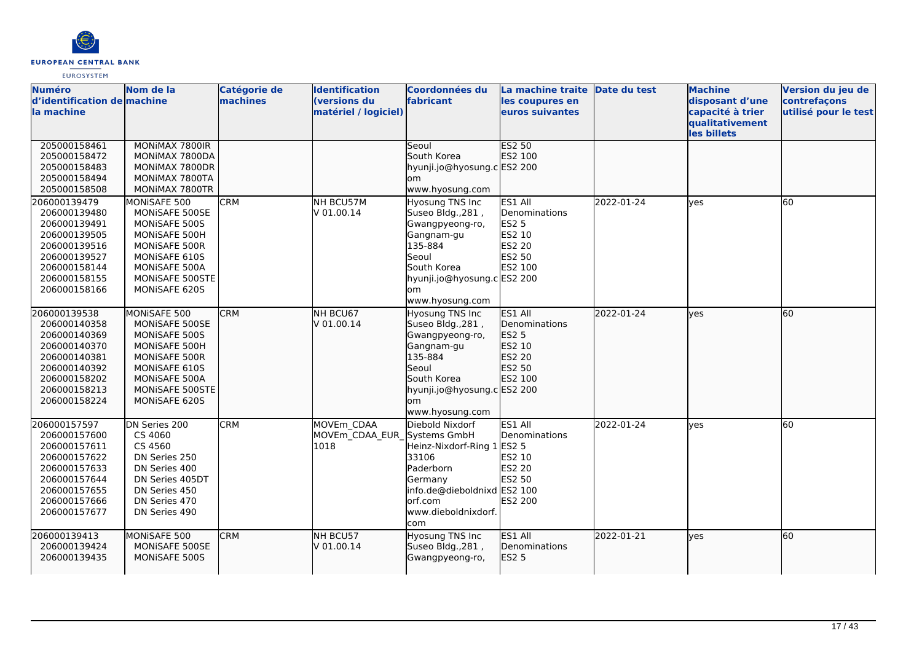

| <b>Numéro</b><br>d'identification de machine<br>la machine                                                                                   | Nom de la                                                                                                                                               | Catégorie de<br>machines | <b>Identification</b><br>(versions du<br>matériel / logiciel) | <b>Coordonnées du</b><br>fabricant                                                                                                                                       | La machine traite Date du test<br>les coupures en<br>euros suivantes              |            | <b>Machine</b><br>disposant d'une<br>capacité à trier<br>qualitativement<br>les billets | Version du jeu de<br>contrefaçons<br>utilisé pour le test |
|----------------------------------------------------------------------------------------------------------------------------------------------|---------------------------------------------------------------------------------------------------------------------------------------------------------|--------------------------|---------------------------------------------------------------|--------------------------------------------------------------------------------------------------------------------------------------------------------------------------|-----------------------------------------------------------------------------------|------------|-----------------------------------------------------------------------------------------|-----------------------------------------------------------|
| 205000158461<br>205000158472<br>205000158483<br>205000158494<br>205000158508                                                                 | MONIMAX 7800IR<br>MONIMAX 7800DA<br>MONIMAX 7800DR<br>MONIMAX 7800TA<br>MONIMAX 7800TR                                                                  |                          |                                                               | Seoul<br>South Korea<br>hyunji.jo@hyosung.c ES2 200<br>lom<br>www.hyosung.com                                                                                            | <b>ES2 50</b><br>ES2 100                                                          |            |                                                                                         |                                                           |
| 206000139479<br>206000139480<br>206000139491<br>206000139505<br>206000139516<br>206000139527<br>206000158144<br>206000158155<br>206000158166 | MONISAFE 500<br>MONISAFE 500SE<br>MONISAFE 500S<br>MONISAFE 500H<br>MONISAFE 500R<br>MONISAFE 610S<br>MONISAFE 500A<br>MONISAFE 500STE<br>MONISAFE 620S | <b>CRM</b>               | NH BCU57M<br>V 01.00.14                                       | Hyosung TNS Inc<br>Suseo Bldg., 281,<br>Gwangpyeong-ro,<br>Gangnam-gu<br>135-884<br>Seoul<br>South Korea<br>hyunji.jo@hyosung.c ES2 200<br>lom<br>www.hyosung.com        | ES1 All<br>Denominations<br><b>ES2 5</b><br>ES2 10<br>ES2 20<br>ES2 50<br>ES2 100 | 2022-01-24 | ves                                                                                     | 60                                                        |
| 206000139538<br>206000140358<br>206000140369<br>206000140370<br>206000140381<br>206000140392<br>206000158202<br>206000158213<br>206000158224 | MONISAFE 500<br>MONISAFE 500SE<br>MONISAFE 500S<br>MONISAFE 500H<br>MONISAFE 500R<br>MONISAFE 610S<br>MONISAFE 500A<br>MONISAFE 500STE<br>MONISAFE 620S | <b>CRM</b>               | NH BCU67<br>lv 01.00.14                                       | Hyosung TNS Inc<br>Suseo Bldg., 281,<br>Gwangpyeong-ro,<br>Gangnam-gu<br>135-884<br><b>Seoul</b><br>South Korea<br>hyunji.jo@hyosung.c ES2 200<br>lom<br>www.hyosung.com | ES1 All<br>Denominations<br>ES2 5<br>ES2 10<br>ES2 20<br>ES2 50<br>ES2 100        | 2022-01-24 | lves                                                                                    | 60                                                        |
| 206000157597<br>206000157600<br>206000157611<br>206000157622<br>206000157633<br>206000157644<br>206000157655<br>206000157666<br>206000157677 | DN Series 200<br>CS 4060<br>CS 4560<br>DN Series 250<br>DN Series 400<br>DN Series 405DT<br>DN Series 450<br>DN Series 470<br>DN Series 490             | <b>CRM</b>               | MOVEm CDAA<br>MOVEm CDAA EUR Systems GmbH<br>1018             | Diebold Nixdorf<br>Heinz-Nixdorf-Ring 1<br>33106<br>Paderborn<br>Germany<br>info.de@dieboldnixd ES2 100<br>lorf.com<br>www.dieboldnixdorf.<br>com                        | ES1 All<br>Denominations<br><b>ES2 5</b><br>ES2 10<br>ES2 20<br>ES2 50<br>ES2 200 | 2022-01-24 | <b>ves</b>                                                                              | 60                                                        |
| 206000139413<br>206000139424<br>206000139435                                                                                                 | MONISAFE 500<br>MONISAFE 500SE<br>MONISAFE 500S                                                                                                         | <b>CRM</b>               | NH BCU57<br>lv 01.00.14                                       | Hyosung TNS Inc<br>Suseo Bldg., 281,<br>Gwangpyeong-ro,                                                                                                                  | ES1 All<br><b>I</b> Denominations<br><b>ES2 5</b>                                 | 2022-01-21 | lves                                                                                    | $\overline{60}$                                           |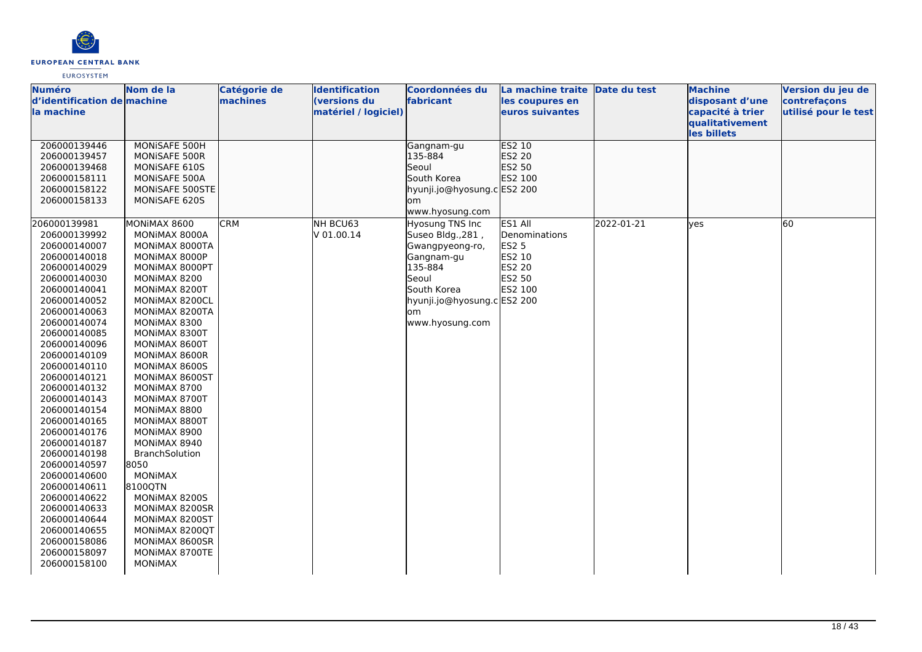

| <b>Numéro</b>               | Nom de la       | Catégorie de | <b>Identification</b> | <b>Coordonnées du</b>       | La machine traite Date du test |            | <b>Machine</b>   | Version du jeu de    |
|-----------------------------|-----------------|--------------|-----------------------|-----------------------------|--------------------------------|------------|------------------|----------------------|
| d'identification de machine |                 | machines     | (versions du          | fabricant                   | les coupures en                |            | disposant d'une  | contrefaçons         |
| la machine                  |                 |              | matériel / logiciel)  |                             | euros suivantes                |            | capacité à trier | utilisé pour le test |
|                             |                 |              |                       |                             |                                |            | qualitativement  |                      |
|                             |                 |              |                       |                             |                                |            | les billets      |                      |
| 206000139446                | MONISAFE 500H   |              |                       | Gangnam-gu                  | ES2 10                         |            |                  |                      |
| 206000139457                | MONISAFE 500R   |              |                       | 135-884                     | ES2 20                         |            |                  |                      |
| 206000139468                | MONISAFE 610S   |              |                       | Seoul                       | ES2 50                         |            |                  |                      |
| 206000158111                | MONISAFE 500A   |              |                       | South Korea                 | ES2 100                        |            |                  |                      |
| 206000158122                | MONISAFE 500STE |              |                       | hyunji.jo@hyosung.c ES2 200 |                                |            |                  |                      |
| 206000158133                | MONISAFE 620S   |              |                       | om                          |                                |            |                  |                      |
|                             |                 |              |                       | www.hyosung.com             |                                |            |                  |                      |
| 206000139981                | MONIMAX 8600    | <b>CRM</b>   | NH BCU63              | Hyosung TNS Inc             | ES1 All                        | 2022-01-21 | lyes             | 60                   |
| 206000139992                | MONIMAX 8000A   |              | V 01.00.14            | Suseo Bldg., 281,           | Denominations                  |            |                  |                      |
| 206000140007                | MONIMAX 8000TA  |              |                       | Gwangpyeong-ro,             | <b>ES2 5</b>                   |            |                  |                      |
| 206000140018                | MONIMAX 8000P   |              |                       | Gangnam-gu                  | ES2 10                         |            |                  |                      |
| 206000140029                | MONIMAX 8000PT  |              |                       | 135-884                     | <b>ES2 20</b>                  |            |                  |                      |
| 206000140030                | MONIMAX 8200    |              |                       | Seoul                       | ES2 50                         |            |                  |                      |
| 206000140041                | MONIMAX 8200T   |              |                       | South Korea                 | ES2 100                        |            |                  |                      |
| 206000140052                | MONIMAX 8200CL  |              |                       | hyunji.jo@hyosung.c ES2 200 |                                |            |                  |                      |
| 206000140063                | MONIMAX 8200TA  |              |                       | lom                         |                                |            |                  |                      |
| 206000140074                | MONIMAX 8300    |              |                       | www.hyosung.com             |                                |            |                  |                      |
| 206000140085                | MONIMAX 8300T   |              |                       |                             |                                |            |                  |                      |
| 206000140096                | MONIMAX 8600T   |              |                       |                             |                                |            |                  |                      |
| 206000140109                | MONIMAX 8600R   |              |                       |                             |                                |            |                  |                      |
| 206000140110                | MONIMAX 8600S   |              |                       |                             |                                |            |                  |                      |
| 206000140121                | MONIMAX 8600ST  |              |                       |                             |                                |            |                  |                      |
| 206000140132                | MONIMAX 8700    |              |                       |                             |                                |            |                  |                      |
| 206000140143                | MONIMAX 8700T   |              |                       |                             |                                |            |                  |                      |
| 206000140154                | MONIMAX 8800    |              |                       |                             |                                |            |                  |                      |
| 206000140165                | MONIMAX 8800T   |              |                       |                             |                                |            |                  |                      |
| 206000140176                | MONIMAX 8900    |              |                       |                             |                                |            |                  |                      |
| 206000140187                | MONIMAX 8940    |              |                       |                             |                                |            |                  |                      |
| 206000140198                | BranchSolution  |              |                       |                             |                                |            |                  |                      |
| 206000140597                | 8050            |              |                       |                             |                                |            |                  |                      |
| 206000140600                | <b>MONIMAX</b>  |              |                       |                             |                                |            |                  |                      |
| 206000140611                | 8100QTN         |              |                       |                             |                                |            |                  |                      |
| 206000140622                | MONIMAX 8200S   |              |                       |                             |                                |            |                  |                      |
| 206000140633                | MONIMAX 8200SR  |              |                       |                             |                                |            |                  |                      |
| 206000140644                | MONIMAX 8200ST  |              |                       |                             |                                |            |                  |                      |
| 206000140655                | MONIMAX 8200QT  |              |                       |                             |                                |            |                  |                      |
| 206000158086                | MONIMAX 8600SR  |              |                       |                             |                                |            |                  |                      |
| 206000158097                | MONIMAX 8700TE  |              |                       |                             |                                |            |                  |                      |
| 206000158100                | <b>MONIMAX</b>  |              |                       |                             |                                |            |                  |                      |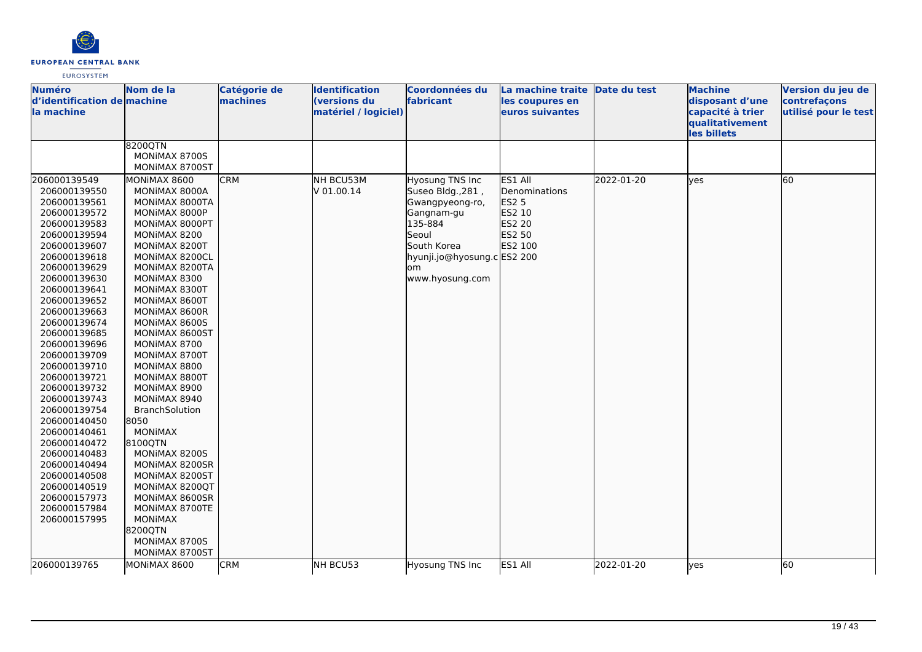

| <b>Numéro</b><br>d'identification de machine<br>la machine                                                                                                                                                                                                                                                                                                                                                                                                                                                                   | Nom de la                                                                                                                                                                                                                                                                                                                                                                                                                                                                                                                                                                                                | Catégorie de<br>machines | <b>Identification</b><br>(versions du<br>matériel / logiciel) | Coordonnées du<br>fabricant                                                                                                                                      | La machine traite<br>les coupures en<br>euros suivantes                           | Date du test | <b>Machine</b><br>disposant d'une<br>capacité à trier<br>qualitativement<br>les billets | Version du jeu de<br>contrefaçons<br>utilisé pour le test |
|------------------------------------------------------------------------------------------------------------------------------------------------------------------------------------------------------------------------------------------------------------------------------------------------------------------------------------------------------------------------------------------------------------------------------------------------------------------------------------------------------------------------------|----------------------------------------------------------------------------------------------------------------------------------------------------------------------------------------------------------------------------------------------------------------------------------------------------------------------------------------------------------------------------------------------------------------------------------------------------------------------------------------------------------------------------------------------------------------------------------------------------------|--------------------------|---------------------------------------------------------------|------------------------------------------------------------------------------------------------------------------------------------------------------------------|-----------------------------------------------------------------------------------|--------------|-----------------------------------------------------------------------------------------|-----------------------------------------------------------|
|                                                                                                                                                                                                                                                                                                                                                                                                                                                                                                                              | 8200QTN<br>MONIMAX 8700S<br>MONIMAX 8700ST                                                                                                                                                                                                                                                                                                                                                                                                                                                                                                                                                               |                          |                                                               |                                                                                                                                                                  |                                                                                   |              |                                                                                         |                                                           |
| 206000139549<br>206000139550<br>206000139561<br>206000139572<br>206000139583<br>206000139594<br>206000139607<br>206000139618<br>206000139629<br>206000139630<br>206000139641<br>206000139652<br>206000139663<br>206000139674<br>206000139685<br>206000139696<br>206000139709<br>206000139710<br>206000139721<br>206000139732<br>206000139743<br>206000139754<br>206000140450<br>206000140461<br>206000140472<br>206000140483<br>206000140494<br>206000140508<br>206000140519<br>206000157973<br>206000157984<br>206000157995 | MONIMAX 8600<br>MONIMAX 8000A<br>MONIMAX 8000TA<br>MONIMAX 8000P<br>MONIMAX 8000PT<br>MONIMAX 8200<br>MONIMAX 8200T<br>MONIMAX 8200CL<br>MONIMAX 8200TA<br>MONIMAX 8300<br>MONIMAX 8300T<br>MONIMAX 8600T<br>MONIMAX 8600R<br>MONIMAX 8600S<br>MONIMAX 8600ST<br>MONIMAX 8700<br>MONIMAX 8700T<br>MONIMAX 8800<br>MONIMAX 8800T<br>MONIMAX 8900<br>MONIMAX 8940<br><b>BranchSolution</b><br>8050<br><b>MONIMAX</b><br>8100QTN<br>MONIMAX 8200S<br>MONIMAX 8200SR<br>MONIMAX 8200ST<br>MONIMAX 8200QT<br>MONIMAX 8600SR<br>MONIMAX 8700TE<br><b>MONIMAX</b><br>8200QTN<br>MONIMAX 8700S<br>MONIMAX 8700ST | <b>CRM</b>               | NH BCU53M<br>V 01.00.14                                       | Hyosung TNS Inc<br>Suseo Bldg., 281,<br>Gwangpyeong-ro,<br>Gangnam-gu<br>135-884<br>Seoul<br>South Korea<br>hyunji.jo@hyosung.cES2 200<br>lom<br>www.hyosung.com | ES1 All<br>Denominations<br><b>ES2 5</b><br>ES2 10<br>ES2 20<br>ES2 50<br>ES2 100 | 2022-01-20   | lyes                                                                                    | 60                                                        |
| 206000139765                                                                                                                                                                                                                                                                                                                                                                                                                                                                                                                 | MONIMAX 8600                                                                                                                                                                                                                                                                                                                                                                                                                                                                                                                                                                                             | <b>CRM</b>               | NH BCU53                                                      | Hyosung TNS Inc                                                                                                                                                  | ES1 All                                                                           | 2022-01-20   | yes                                                                                     | 60                                                        |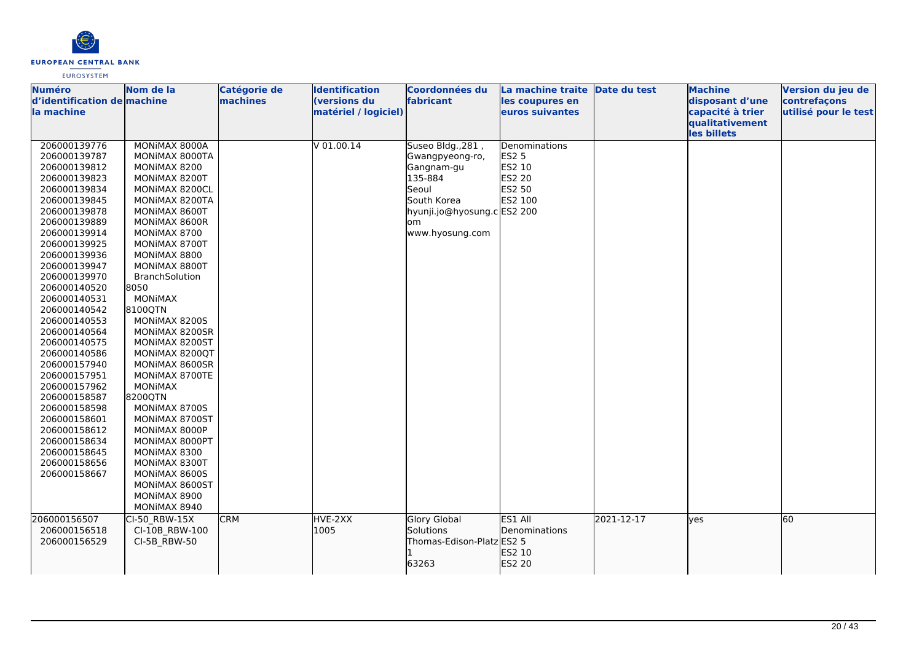

| machines<br>d'identification de machine<br>(versions du<br>fabricant<br>disposant d'une<br>contrefaçons<br>les coupures en<br>matériel / logiciel)<br>capacité à trier<br>utilisé pour le test<br>euros suivantes<br>qualitativement<br>les billets<br>$V$ 01.00.14<br>206000139776<br>MONIMAX 8000A<br>Suseo Bldg., 281,<br>Denominations<br>206000139787<br><b>ES2 5</b><br>MONIMAX 8000TA<br>Gwangpyeong-ro,<br>ES2 10<br>206000139812<br>MONIMAX 8200<br>Gangnam-gu<br>135-884<br>ES2 20<br>206000139823<br>MONIMAX 8200T<br>206000139834<br>Seoul<br>ES2 50<br>MONIMAX 8200CL<br>South Korea<br>ES2 100<br>206000139845<br>MONIMAX 8200TA<br>206000139878<br>MONIMAX 8600T<br>hyunji.jo@hyosung.c ES2 200<br>206000139889<br>MONIMAX 8600R<br>om<br>206000139914<br>www.hyosung.com<br>MONIMAX 8700<br>206000139925<br>MONIMAX 8700T<br>206000139936<br>MONIMAX 8800<br>MONIMAX 8800T<br>206000139947<br>206000139970<br>BranchSolution<br>206000140520<br>8050<br><b>MONIMAX</b><br>206000140531<br>8100QTN<br>206000140542<br>206000140553<br>MONIMAX 8200S<br>206000140564<br>MONIMAX 8200SR<br>206000140575<br>MONIMAX 8200ST<br>206000140586<br>MONIMAX 8200QT<br>206000157940<br>MONIMAX 8600SR<br>206000157951<br>MONIMAX 8700TE<br>206000157962<br><b>MONIMAX</b><br>206000158587<br>8200QTN<br>206000158598<br>MONIMAX 8700S<br>206000158601<br>MONIMAX 8700ST<br>206000158612<br>MONIMAX 8000P<br>206000158634<br>MONIMAX 8000PT<br>206000158645<br>MONIMAX 8300<br>206000158656<br>MONIMAX 8300T<br>206000158667<br>MONIMAX 8600S<br>MONIMAX 8600ST<br>MONIMAX 8900<br>MONIMAX 8940<br><b>CRM</b><br>HVE-2XX<br>ES1 All<br>2021-12-17<br>60<br><b>Glory Global</b><br>CI-50 RBW-15X<br>lves<br>CI-10B_RBW-100<br>Solutions<br>1005<br><b>Denominations</b><br>206000156518<br>Thomas-Edison-Platz ES2 5<br>CI-5B RBW-50<br>206000156529<br>ES2 10 | <b>Numéro</b> | Nom de la | <b>Catégorie de</b> | Identification | Coordonnées du | La machine traite Date du test | <b>Machine</b> | Version du jeu de |
|-------------------------------------------------------------------------------------------------------------------------------------------------------------------------------------------------------------------------------------------------------------------------------------------------------------------------------------------------------------------------------------------------------------------------------------------------------------------------------------------------------------------------------------------------------------------------------------------------------------------------------------------------------------------------------------------------------------------------------------------------------------------------------------------------------------------------------------------------------------------------------------------------------------------------------------------------------------------------------------------------------------------------------------------------------------------------------------------------------------------------------------------------------------------------------------------------------------------------------------------------------------------------------------------------------------------------------------------------------------------------------------------------------------------------------------------------------------------------------------------------------------------------------------------------------------------------------------------------------------------------------------------------------------------------------------------------------------------------------------------------------------------------------------------------------------------------------------------------------------------|---------------|-----------|---------------------|----------------|----------------|--------------------------------|----------------|-------------------|
|                                                                                                                                                                                                                                                                                                                                                                                                                                                                                                                                                                                                                                                                                                                                                                                                                                                                                                                                                                                                                                                                                                                                                                                                                                                                                                                                                                                                                                                                                                                                                                                                                                                                                                                                                                                                                                                                   |               |           |                     |                |                |                                |                |                   |
|                                                                                                                                                                                                                                                                                                                                                                                                                                                                                                                                                                                                                                                                                                                                                                                                                                                                                                                                                                                                                                                                                                                                                                                                                                                                                                                                                                                                                                                                                                                                                                                                                                                                                                                                                                                                                                                                   | la machine    |           |                     |                |                |                                |                |                   |
|                                                                                                                                                                                                                                                                                                                                                                                                                                                                                                                                                                                                                                                                                                                                                                                                                                                                                                                                                                                                                                                                                                                                                                                                                                                                                                                                                                                                                                                                                                                                                                                                                                                                                                                                                                                                                                                                   |               |           |                     |                |                |                                |                |                   |
|                                                                                                                                                                                                                                                                                                                                                                                                                                                                                                                                                                                                                                                                                                                                                                                                                                                                                                                                                                                                                                                                                                                                                                                                                                                                                                                                                                                                                                                                                                                                                                                                                                                                                                                                                                                                                                                                   |               |           |                     |                |                |                                |                |                   |
|                                                                                                                                                                                                                                                                                                                                                                                                                                                                                                                                                                                                                                                                                                                                                                                                                                                                                                                                                                                                                                                                                                                                                                                                                                                                                                                                                                                                                                                                                                                                                                                                                                                                                                                                                                                                                                                                   |               |           |                     |                |                |                                |                |                   |
|                                                                                                                                                                                                                                                                                                                                                                                                                                                                                                                                                                                                                                                                                                                                                                                                                                                                                                                                                                                                                                                                                                                                                                                                                                                                                                                                                                                                                                                                                                                                                                                                                                                                                                                                                                                                                                                                   |               |           |                     |                |                |                                |                |                   |
|                                                                                                                                                                                                                                                                                                                                                                                                                                                                                                                                                                                                                                                                                                                                                                                                                                                                                                                                                                                                                                                                                                                                                                                                                                                                                                                                                                                                                                                                                                                                                                                                                                                                                                                                                                                                                                                                   |               |           |                     |                |                |                                |                |                   |
|                                                                                                                                                                                                                                                                                                                                                                                                                                                                                                                                                                                                                                                                                                                                                                                                                                                                                                                                                                                                                                                                                                                                                                                                                                                                                                                                                                                                                                                                                                                                                                                                                                                                                                                                                                                                                                                                   |               |           |                     |                |                |                                |                |                   |
|                                                                                                                                                                                                                                                                                                                                                                                                                                                                                                                                                                                                                                                                                                                                                                                                                                                                                                                                                                                                                                                                                                                                                                                                                                                                                                                                                                                                                                                                                                                                                                                                                                                                                                                                                                                                                                                                   |               |           |                     |                |                |                                |                |                   |
|                                                                                                                                                                                                                                                                                                                                                                                                                                                                                                                                                                                                                                                                                                                                                                                                                                                                                                                                                                                                                                                                                                                                                                                                                                                                                                                                                                                                                                                                                                                                                                                                                                                                                                                                                                                                                                                                   |               |           |                     |                |                |                                |                |                   |
|                                                                                                                                                                                                                                                                                                                                                                                                                                                                                                                                                                                                                                                                                                                                                                                                                                                                                                                                                                                                                                                                                                                                                                                                                                                                                                                                                                                                                                                                                                                                                                                                                                                                                                                                                                                                                                                                   |               |           |                     |                |                |                                |                |                   |
|                                                                                                                                                                                                                                                                                                                                                                                                                                                                                                                                                                                                                                                                                                                                                                                                                                                                                                                                                                                                                                                                                                                                                                                                                                                                                                                                                                                                                                                                                                                                                                                                                                                                                                                                                                                                                                                                   |               |           |                     |                |                |                                |                |                   |
|                                                                                                                                                                                                                                                                                                                                                                                                                                                                                                                                                                                                                                                                                                                                                                                                                                                                                                                                                                                                                                                                                                                                                                                                                                                                                                                                                                                                                                                                                                                                                                                                                                                                                                                                                                                                                                                                   |               |           |                     |                |                |                                |                |                   |
|                                                                                                                                                                                                                                                                                                                                                                                                                                                                                                                                                                                                                                                                                                                                                                                                                                                                                                                                                                                                                                                                                                                                                                                                                                                                                                                                                                                                                                                                                                                                                                                                                                                                                                                                                                                                                                                                   |               |           |                     |                |                |                                |                |                   |
|                                                                                                                                                                                                                                                                                                                                                                                                                                                                                                                                                                                                                                                                                                                                                                                                                                                                                                                                                                                                                                                                                                                                                                                                                                                                                                                                                                                                                                                                                                                                                                                                                                                                                                                                                                                                                                                                   |               |           |                     |                |                |                                |                |                   |
|                                                                                                                                                                                                                                                                                                                                                                                                                                                                                                                                                                                                                                                                                                                                                                                                                                                                                                                                                                                                                                                                                                                                                                                                                                                                                                                                                                                                                                                                                                                                                                                                                                                                                                                                                                                                                                                                   |               |           |                     |                |                |                                |                |                   |
|                                                                                                                                                                                                                                                                                                                                                                                                                                                                                                                                                                                                                                                                                                                                                                                                                                                                                                                                                                                                                                                                                                                                                                                                                                                                                                                                                                                                                                                                                                                                                                                                                                                                                                                                                                                                                                                                   |               |           |                     |                |                |                                |                |                   |
|                                                                                                                                                                                                                                                                                                                                                                                                                                                                                                                                                                                                                                                                                                                                                                                                                                                                                                                                                                                                                                                                                                                                                                                                                                                                                                                                                                                                                                                                                                                                                                                                                                                                                                                                                                                                                                                                   |               |           |                     |                |                |                                |                |                   |
|                                                                                                                                                                                                                                                                                                                                                                                                                                                                                                                                                                                                                                                                                                                                                                                                                                                                                                                                                                                                                                                                                                                                                                                                                                                                                                                                                                                                                                                                                                                                                                                                                                                                                                                                                                                                                                                                   |               |           |                     |                |                |                                |                |                   |
|                                                                                                                                                                                                                                                                                                                                                                                                                                                                                                                                                                                                                                                                                                                                                                                                                                                                                                                                                                                                                                                                                                                                                                                                                                                                                                                                                                                                                                                                                                                                                                                                                                                                                                                                                                                                                                                                   |               |           |                     |                |                |                                |                |                   |
|                                                                                                                                                                                                                                                                                                                                                                                                                                                                                                                                                                                                                                                                                                                                                                                                                                                                                                                                                                                                                                                                                                                                                                                                                                                                                                                                                                                                                                                                                                                                                                                                                                                                                                                                                                                                                                                                   |               |           |                     |                |                |                                |                |                   |
|                                                                                                                                                                                                                                                                                                                                                                                                                                                                                                                                                                                                                                                                                                                                                                                                                                                                                                                                                                                                                                                                                                                                                                                                                                                                                                                                                                                                                                                                                                                                                                                                                                                                                                                                                                                                                                                                   |               |           |                     |                |                |                                |                |                   |
|                                                                                                                                                                                                                                                                                                                                                                                                                                                                                                                                                                                                                                                                                                                                                                                                                                                                                                                                                                                                                                                                                                                                                                                                                                                                                                                                                                                                                                                                                                                                                                                                                                                                                                                                                                                                                                                                   |               |           |                     |                |                |                                |                |                   |
|                                                                                                                                                                                                                                                                                                                                                                                                                                                                                                                                                                                                                                                                                                                                                                                                                                                                                                                                                                                                                                                                                                                                                                                                                                                                                                                                                                                                                                                                                                                                                                                                                                                                                                                                                                                                                                                                   |               |           |                     |                |                |                                |                |                   |
|                                                                                                                                                                                                                                                                                                                                                                                                                                                                                                                                                                                                                                                                                                                                                                                                                                                                                                                                                                                                                                                                                                                                                                                                                                                                                                                                                                                                                                                                                                                                                                                                                                                                                                                                                                                                                                                                   |               |           |                     |                |                |                                |                |                   |
|                                                                                                                                                                                                                                                                                                                                                                                                                                                                                                                                                                                                                                                                                                                                                                                                                                                                                                                                                                                                                                                                                                                                                                                                                                                                                                                                                                                                                                                                                                                                                                                                                                                                                                                                                                                                                                                                   |               |           |                     |                |                |                                |                |                   |
|                                                                                                                                                                                                                                                                                                                                                                                                                                                                                                                                                                                                                                                                                                                                                                                                                                                                                                                                                                                                                                                                                                                                                                                                                                                                                                                                                                                                                                                                                                                                                                                                                                                                                                                                                                                                                                                                   |               |           |                     |                |                |                                |                |                   |
|                                                                                                                                                                                                                                                                                                                                                                                                                                                                                                                                                                                                                                                                                                                                                                                                                                                                                                                                                                                                                                                                                                                                                                                                                                                                                                                                                                                                                                                                                                                                                                                                                                                                                                                                                                                                                                                                   |               |           |                     |                |                |                                |                |                   |
|                                                                                                                                                                                                                                                                                                                                                                                                                                                                                                                                                                                                                                                                                                                                                                                                                                                                                                                                                                                                                                                                                                                                                                                                                                                                                                                                                                                                                                                                                                                                                                                                                                                                                                                                                                                                                                                                   |               |           |                     |                |                |                                |                |                   |
|                                                                                                                                                                                                                                                                                                                                                                                                                                                                                                                                                                                                                                                                                                                                                                                                                                                                                                                                                                                                                                                                                                                                                                                                                                                                                                                                                                                                                                                                                                                                                                                                                                                                                                                                                                                                                                                                   |               |           |                     |                |                |                                |                |                   |
|                                                                                                                                                                                                                                                                                                                                                                                                                                                                                                                                                                                                                                                                                                                                                                                                                                                                                                                                                                                                                                                                                                                                                                                                                                                                                                                                                                                                                                                                                                                                                                                                                                                                                                                                                                                                                                                                   |               |           |                     |                |                |                                |                |                   |
|                                                                                                                                                                                                                                                                                                                                                                                                                                                                                                                                                                                                                                                                                                                                                                                                                                                                                                                                                                                                                                                                                                                                                                                                                                                                                                                                                                                                                                                                                                                                                                                                                                                                                                                                                                                                                                                                   |               |           |                     |                |                |                                |                |                   |
|                                                                                                                                                                                                                                                                                                                                                                                                                                                                                                                                                                                                                                                                                                                                                                                                                                                                                                                                                                                                                                                                                                                                                                                                                                                                                                                                                                                                                                                                                                                                                                                                                                                                                                                                                                                                                                                                   |               |           |                     |                |                |                                |                |                   |
|                                                                                                                                                                                                                                                                                                                                                                                                                                                                                                                                                                                                                                                                                                                                                                                                                                                                                                                                                                                                                                                                                                                                                                                                                                                                                                                                                                                                                                                                                                                                                                                                                                                                                                                                                                                                                                                                   |               |           |                     |                |                |                                |                |                   |
|                                                                                                                                                                                                                                                                                                                                                                                                                                                                                                                                                                                                                                                                                                                                                                                                                                                                                                                                                                                                                                                                                                                                                                                                                                                                                                                                                                                                                                                                                                                                                                                                                                                                                                                                                                                                                                                                   |               |           |                     |                |                |                                |                |                   |
|                                                                                                                                                                                                                                                                                                                                                                                                                                                                                                                                                                                                                                                                                                                                                                                                                                                                                                                                                                                                                                                                                                                                                                                                                                                                                                                                                                                                                                                                                                                                                                                                                                                                                                                                                                                                                                                                   |               |           |                     |                |                |                                |                |                   |
|                                                                                                                                                                                                                                                                                                                                                                                                                                                                                                                                                                                                                                                                                                                                                                                                                                                                                                                                                                                                                                                                                                                                                                                                                                                                                                                                                                                                                                                                                                                                                                                                                                                                                                                                                                                                                                                                   |               |           |                     |                |                |                                |                |                   |
|                                                                                                                                                                                                                                                                                                                                                                                                                                                                                                                                                                                                                                                                                                                                                                                                                                                                                                                                                                                                                                                                                                                                                                                                                                                                                                                                                                                                                                                                                                                                                                                                                                                                                                                                                                                                                                                                   |               |           |                     |                |                |                                |                |                   |
|                                                                                                                                                                                                                                                                                                                                                                                                                                                                                                                                                                                                                                                                                                                                                                                                                                                                                                                                                                                                                                                                                                                                                                                                                                                                                                                                                                                                                                                                                                                                                                                                                                                                                                                                                                                                                                                                   | 206000156507  |           |                     |                |                |                                |                |                   |
|                                                                                                                                                                                                                                                                                                                                                                                                                                                                                                                                                                                                                                                                                                                                                                                                                                                                                                                                                                                                                                                                                                                                                                                                                                                                                                                                                                                                                                                                                                                                                                                                                                                                                                                                                                                                                                                                   |               |           |                     |                |                |                                |                |                   |
|                                                                                                                                                                                                                                                                                                                                                                                                                                                                                                                                                                                                                                                                                                                                                                                                                                                                                                                                                                                                                                                                                                                                                                                                                                                                                                                                                                                                                                                                                                                                                                                                                                                                                                                                                                                                                                                                   |               |           |                     |                |                |                                |                |                   |
|                                                                                                                                                                                                                                                                                                                                                                                                                                                                                                                                                                                                                                                                                                                                                                                                                                                                                                                                                                                                                                                                                                                                                                                                                                                                                                                                                                                                                                                                                                                                                                                                                                                                                                                                                                                                                                                                   |               |           |                     |                |                |                                |                |                   |
|                                                                                                                                                                                                                                                                                                                                                                                                                                                                                                                                                                                                                                                                                                                                                                                                                                                                                                                                                                                                                                                                                                                                                                                                                                                                                                                                                                                                                                                                                                                                                                                                                                                                                                                                                                                                                                                                   |               |           |                     |                | 63263          | ES2 20                         |                |                   |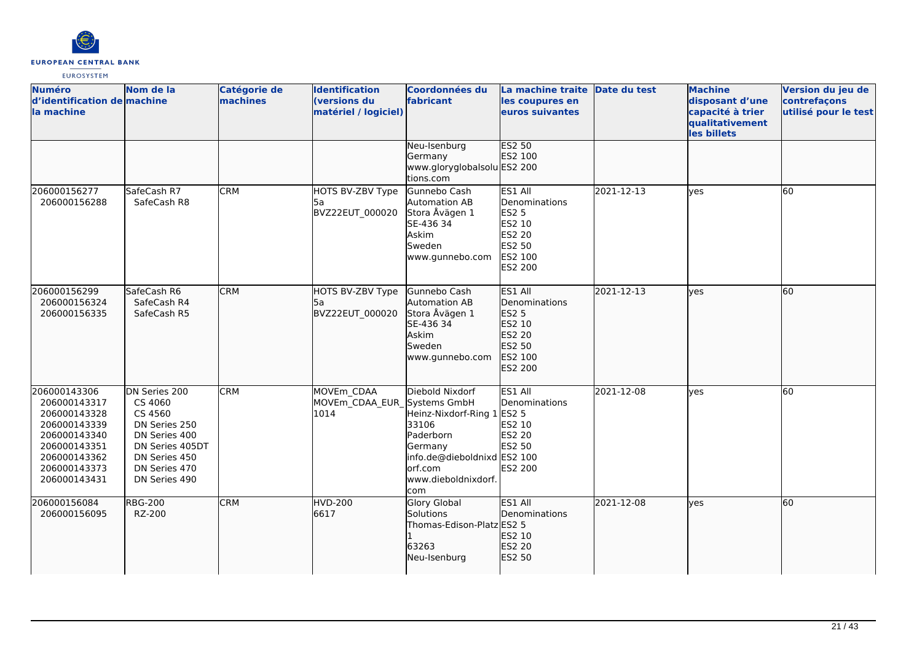

| <b>Numéro</b><br>d'identification de machine<br>la machine                                                                                   | Nom de la                                                                                                                                   | Catégorie de<br>machines | <b>Identification</b><br><b>(versions du</b><br>matériel / logiciel) | <b>Coordonnées du</b><br>fabricant                                                                                                                     | La machine traite Date du test<br>les coupures en<br>euros suivantes                                |            | <b>Machine</b><br>disposant d'une<br>capacité à trier<br>qualitativement<br>les billets | Version du jeu de<br>contrefaçons<br>utilisé pour le test |
|----------------------------------------------------------------------------------------------------------------------------------------------|---------------------------------------------------------------------------------------------------------------------------------------------|--------------------------|----------------------------------------------------------------------|--------------------------------------------------------------------------------------------------------------------------------------------------------|-----------------------------------------------------------------------------------------------------|------------|-----------------------------------------------------------------------------------------|-----------------------------------------------------------|
|                                                                                                                                              |                                                                                                                                             |                          |                                                                      | Neu-Isenburg<br>Germany<br>www.gloryglobalsolu ES2 200<br>tions.com                                                                                    | <b>ES2 50</b><br>ES2 100                                                                            |            |                                                                                         |                                                           |
| 206000156277<br>206000156288                                                                                                                 | SafeCash R7<br>SafeCash R8                                                                                                                  | <b>CRM</b>               | HOTS BV-ZBV Type<br>l5a<br>BVZ22EUT 000020                           | Gunnebo Cash<br>Automation AB<br>Stora Åvägen 1<br>SE-436 34<br>Askim<br>Sweden<br>www.gunnebo.com                                                     | ES1 All<br>Denominations<br><b>ES2 5</b><br><b>ES2 10</b><br>ES2 20<br>ES2 50<br>ES2 100<br>ES2 200 | 2021-12-13 | <b>l</b> ves                                                                            | 60                                                        |
| 206000156299<br>206000156324<br>206000156335                                                                                                 | SafeCash R6<br>SafeCash R4<br>SafeCash R5                                                                                                   | <b>CRM</b>               | HOTS BV-ZBV Type<br>5а<br>BVZ22EUT_000020                            | Gunnebo Cash<br>Automation AB<br>Stora Åvägen 1<br>SE-436 34<br>Askim<br>Sweden<br>www.gunnebo.com                                                     | ES1 All<br>Denominations<br>ES2 5<br>ES2 10<br>ES2 20<br>ES2 50<br>ES2 100<br>ES2 200               | 2021-12-13 | lves                                                                                    | 60                                                        |
| 206000143306<br>206000143317<br>206000143328<br>206000143339<br>206000143340<br>206000143351<br>206000143362<br>206000143373<br>206000143431 | DN Series 200<br>CS 4060<br>CS 4560<br>DN Series 250<br>DN Series 400<br>DN Series 405DT<br>DN Series 450<br>DN Series 470<br>DN Series 490 | <b>CRM</b>               | MOVEm_CDAA<br>MOVEm_CDAA_EUR_Systems GmbH<br>1014                    | Diebold Nixdorf<br>Heinz-Nixdorf-Ring 1 ES2 5<br>33106<br>Paderborn<br>Germany<br>info.de@dieboldnixd ES2 100<br>orf.com<br>www.dieboldnixdorf.<br>com | ES1 All<br>Denominations<br>ES2 10<br>ES2 20<br>ES2 50<br><b>ES2 200</b>                            | 2021-12-08 | <b>ves</b>                                                                              | 60                                                        |
| 206000156084<br>206000156095                                                                                                                 | <b>RBG-200</b><br>RZ-200                                                                                                                    | <b>CRM</b>               | <b>HVD-200</b><br>6617                                               | <b>Glory Global</b><br>Solutions<br>Thomas-Edison-Platz ES2 5<br>63263<br>Neu-Isenburg                                                                 | ES1 All<br>Denominations<br>ES2 10<br>ES2 20<br>ES2 50                                              | 2021-12-08 | lves                                                                                    | 60                                                        |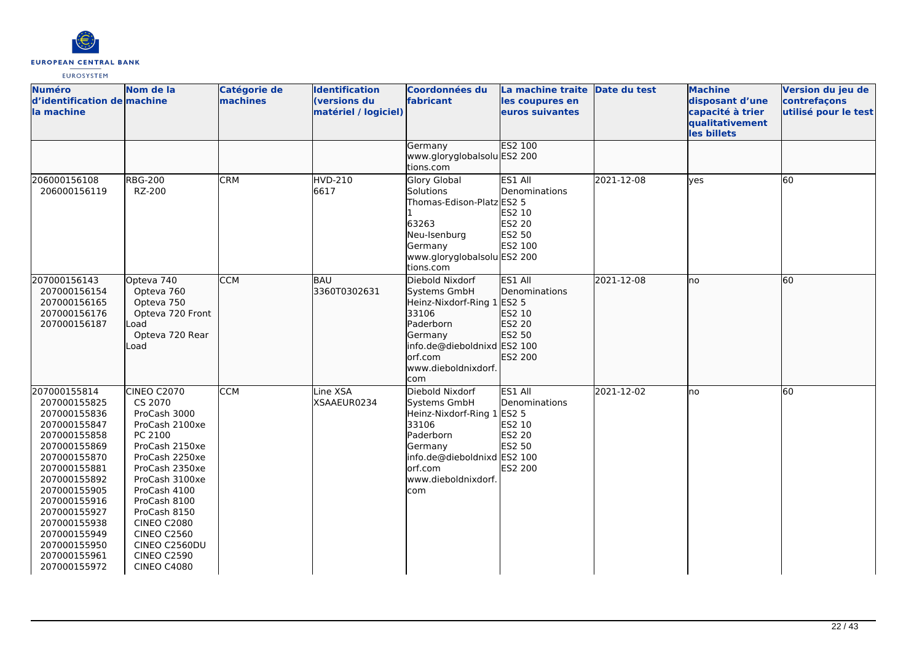

| <b>Numéro</b><br>d'identification de machine<br>la machine                                                                                                                                                                                                                   | Nom de la                                                                                                                                                                                                                                                                                                   | Catégorie de<br>machines | <b>Identification</b><br><b>(versions du</b><br>matériel / logiciel) | Coordonnées du<br>fabricant                                                                                                                                            | La machine traite Date du test<br>les coupures en<br>euros suivantes                            |            | <b>Machine</b><br>disposant d'une<br>capacité à trier<br>qualitativement<br>les billets | Version du jeu de<br>contrefaçons<br>utilisé pour le test |
|------------------------------------------------------------------------------------------------------------------------------------------------------------------------------------------------------------------------------------------------------------------------------|-------------------------------------------------------------------------------------------------------------------------------------------------------------------------------------------------------------------------------------------------------------------------------------------------------------|--------------------------|----------------------------------------------------------------------|------------------------------------------------------------------------------------------------------------------------------------------------------------------------|-------------------------------------------------------------------------------------------------|------------|-----------------------------------------------------------------------------------------|-----------------------------------------------------------|
|                                                                                                                                                                                                                                                                              |                                                                                                                                                                                                                                                                                                             |                          |                                                                      | Germany<br>www.gloryglobalsolu ES2 200<br>tions.com                                                                                                                    | <b>ES2 100</b>                                                                                  |            |                                                                                         |                                                           |
| 206000156108<br>206000156119                                                                                                                                                                                                                                                 | <b>RBG-200</b><br>RZ-200                                                                                                                                                                                                                                                                                    | <b>CRM</b>               | <b>HVD-210</b><br>6617                                               | Glory Global<br>Solutions<br>Thomas-Edison-Platz ES2 5<br>63263<br>Neu-Isenburg<br>Germany<br>www.gloryglobalsolu ES2 200<br>tions.com                                 | ES1 All<br>Denominations<br>ES2 10<br><b>ES2 20</b><br><b>ES2 50</b><br>ES2 100                 | 2021-12-08 | <b>ves</b>                                                                              | 60                                                        |
| 207000156143<br>207000156154<br>207000156165<br>207000156176<br>207000156187                                                                                                                                                                                                 | Opteva 740<br>Opteva 760<br>Opteva 750<br>Opteva 720 Front<br>Load<br>Opteva 720 Rear<br>Load                                                                                                                                                                                                               | <b>CCM</b>               | BAU<br>3360T0302631                                                  | Diebold Nixdorf<br>Systems GmbH<br>Heinz-Nixdorf-Ring 1 ES2 5<br>33106<br>Paderborn<br>Germany<br>info.de@dieboldnixd ES2 100<br>orf.com<br>www.dieboldnixdorf.<br>com | ES1 All<br>Denominations<br>ES2 10<br>ES2 20<br>ES2 50<br>ES2 200                               | 2021-12-08 | Ino                                                                                     | 60                                                        |
| 207000155814<br>207000155825<br>207000155836<br>207000155847<br>207000155858<br>207000155869<br>207000155870<br>207000155881<br>207000155892<br>207000155905<br>207000155916<br>207000155927<br>207000155938<br>207000155949<br>207000155950<br>207000155961<br>207000155972 | <b>CINEO C2070</b><br>CS 2070<br>ProCash 3000<br>ProCash 2100xe<br>PC 2100<br>ProCash 2150xe<br>ProCash 2250xe<br>ProCash 2350xe<br>ProCash 3100xe<br>ProCash 4100<br>ProCash 8100<br>ProCash 8150<br><b>CINEO C2080</b><br><b>CINEO C2560</b><br>CINEO C2560DU<br><b>CINEO C2590</b><br><b>CINEO C4080</b> | <b>CCM</b>               | Line XSA<br>XSAAEUR0234                                              | Diebold Nixdorf<br>Systems GmbH<br>Heinz-Nixdorf-Ring 1<br>33106<br>Paderborn<br>Germany<br>info.de@dieboldnixd ES2 100<br>orf.com<br>www.dieboldnixdorf.<br>com       | ES1 All<br>Denominations<br><b>ES2 5</b><br>ES2 10<br><b>ES2 20</b><br><b>ES2 50</b><br>ES2 200 | 2021-12-02 | no                                                                                      | 60                                                        |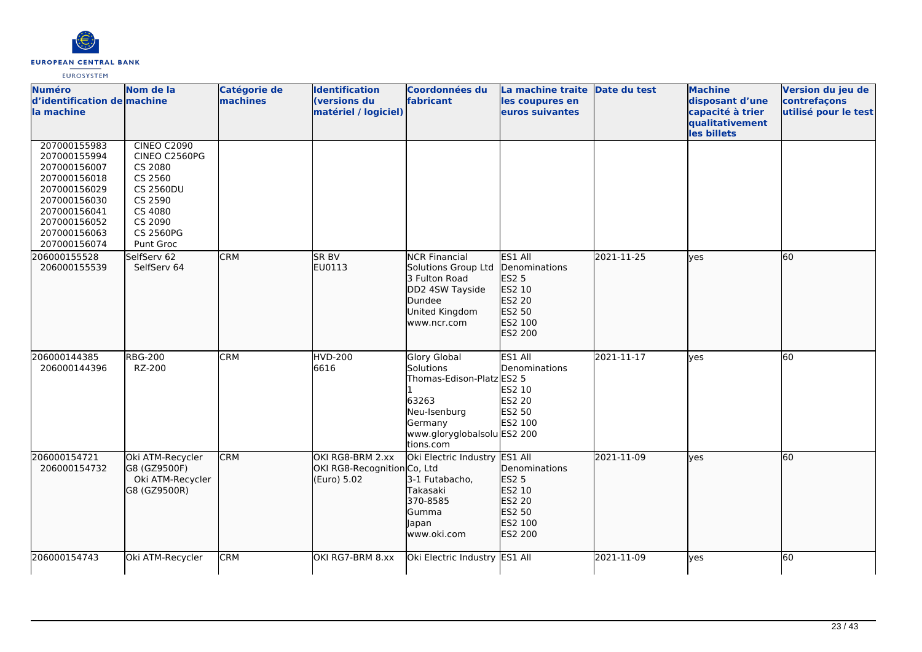

| <b>Numéro</b><br>d'identification de machine<br>la machine                                                                                                   | Nom de la                                                                                                                                | <b>Catégorie de</b><br>machines | <b>Identification</b><br>(versions du<br>matériel / logiciel)  | Coordonnées du<br>fabricant                                                                                                                   | La machine traite Date du test<br>les coupures en<br>euros suivantes                         |            | <b>Machine</b><br>disposant d'une<br>capacité à trier | Version du jeu de<br>contrefaçons<br>utilisé pour le test |
|--------------------------------------------------------------------------------------------------------------------------------------------------------------|------------------------------------------------------------------------------------------------------------------------------------------|---------------------------------|----------------------------------------------------------------|-----------------------------------------------------------------------------------------------------------------------------------------------|----------------------------------------------------------------------------------------------|------------|-------------------------------------------------------|-----------------------------------------------------------|
|                                                                                                                                                              |                                                                                                                                          |                                 |                                                                |                                                                                                                                               |                                                                                              |            | qualitativement<br>les billets                        |                                                           |
| 207000155983<br>207000155994<br>207000156007<br>207000156018<br>207000156029<br>207000156030<br>207000156041<br>207000156052<br>207000156063<br>207000156074 | <b>CINEO C2090</b><br>CINEO C2560PG<br>CS 2080<br>CS 2560<br><b>CS 2560DU</b><br>CS 2590<br>CS 4080<br>CS 2090<br>CS 2560PG<br>Punt Groc |                                 |                                                                |                                                                                                                                               |                                                                                              |            |                                                       |                                                           |
| 206000155528<br>206000155539                                                                                                                                 | SelfServ 62<br>SelfServ 64                                                                                                               | <b>CRM</b>                      | SR <sub>BV</sub><br>EU0113                                     | <b>NCR Financial</b><br>Solutions Group Ltd<br>3 Fulton Road<br>DD2 4SW Tayside<br>Dundee<br>United Kingdom<br>www.ncr.com                    | ES1 All<br>Denominations<br><b>ES2 5</b><br>ES2 10<br>ES2 20<br>ES2 50<br>ES2 100<br>ES2 200 | 2021-11-25 | lves                                                  | 60                                                        |
| 206000144385<br>206000144396                                                                                                                                 | <b>RBG-200</b><br>RZ-200                                                                                                                 | <b>CRM</b>                      | <b>HVD-200</b><br>6616                                         | <b>Glory Global</b><br>Solutions<br>Thomas-Edison-Platz ES2 5<br>63263<br>Neu-Isenburg<br>Germany<br>www.gloryglobalsolu ES2 200<br>tions.com | ES1 All<br>Denominations<br>ES2 10<br><b>ES2 20</b><br><b>ES2 50</b><br>ES2 100              | 2021-11-17 | <b>ves</b>                                            | 60                                                        |
| 206000154721<br>206000154732                                                                                                                                 | Oki ATM-Recycler<br>G8 (GZ9500F)<br>Oki ATM-Recycler<br>G8 (GZ9500R)                                                                     | <b>CRM</b>                      | OKI RG8-BRM 2.xx<br>OKI RG8-Recognition Co, Ltd<br>(Euro) 5.02 | Oki Electric Industry ES1 All<br>3-1 Futabacho,<br>Takasaki<br>370-8585<br>Gumma<br>Japan<br>www.oki.com                                      | Denominations<br><b>ES2 5</b><br>ES2 10<br>ES2 20<br>ES2 50<br>ES2 100<br>ES2 200            | 2021-11-09 | lves                                                  | 60                                                        |
| 206000154743                                                                                                                                                 | Oki ATM-Recycler                                                                                                                         | <b>CRM</b>                      | OKI RG7-BRM 8.xx                                               | Oki Electric Industry ES1 All                                                                                                                 |                                                                                              | 2021-11-09 | lyes                                                  | 60                                                        |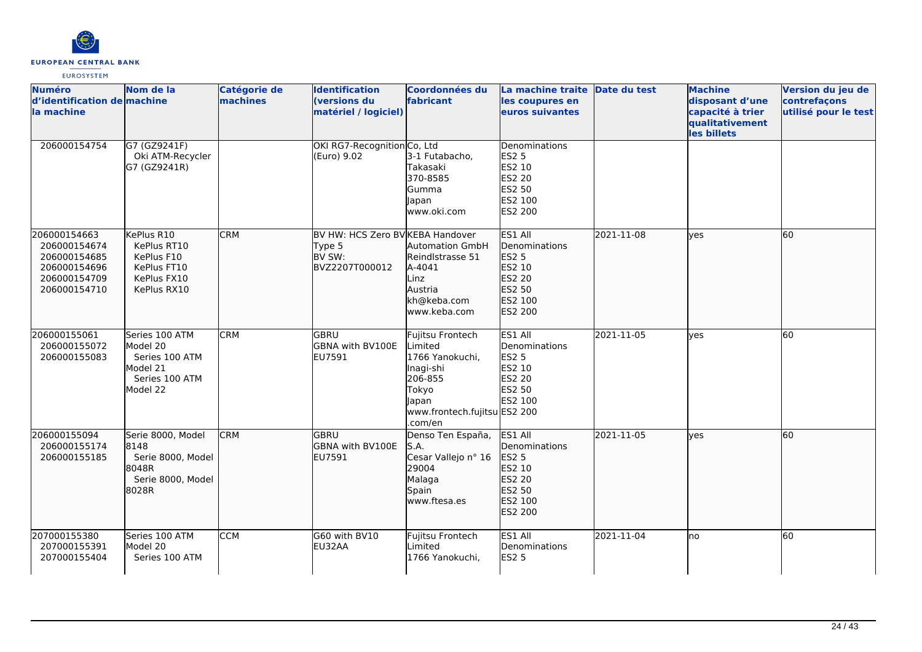

| <b>Numéro</b><br>d'identification de machine<br>la machine                                   | Nom de la                                                                              | Catégorie de<br>machines | <b>Identification</b><br><b>(versions du</b><br>matériel / logiciel)   | Coordonnées du<br>fabricant                                                                                                         | La machine traite Date du test<br>les coupures en<br>euros suivantes                         |            | <b>Machine</b><br>disposant d'une<br>capacité à trier<br>qualitativement<br>les billets | Version du jeu de<br>contrefaçons<br>utilisé pour le test |
|----------------------------------------------------------------------------------------------|----------------------------------------------------------------------------------------|--------------------------|------------------------------------------------------------------------|-------------------------------------------------------------------------------------------------------------------------------------|----------------------------------------------------------------------------------------------|------------|-----------------------------------------------------------------------------------------|-----------------------------------------------------------|
| 206000154754                                                                                 | G7 (GZ9241F)<br>Oki ATM-Recycler<br>G7 (GZ9241R)                                       |                          | OKI RG7-Recognition Co, Ltd<br>(Euro) 9.02                             | 3-1 Futabacho,<br>Takasaki<br>370-8585<br>Gumma<br>Japan<br>www.oki.com                                                             | Denominations<br><b>ES2 5</b><br>ES2 10<br>ES2 20<br>ES2 50<br>ES2 100<br>ES2 200            |            |                                                                                         |                                                           |
| 206000154663<br>206000154674<br>206000154685<br>206000154696<br>206000154709<br>206000154710 | KePlus R10<br>KePlus RT10<br>KePlus F10<br>KePlus FT10<br>KePlus FX10<br>KePlus RX10   | <b>CRM</b>               | BV HW: HCS Zero BV KEBA Handover<br>Type 5<br>BV SW:<br>BVZ2207T000012 | <b>Automation GmbH</b><br>Reindlstrasse 51<br>A-4041<br>Linz<br>Austria<br>kh@keba.com<br>www.keba.com                              | ES1 All<br>Denominations<br><b>ES2 5</b><br>ES2 10<br>ES2 20<br>ES2 50<br>ES2 100<br>ES2 200 | 2021-11-08 | lves                                                                                    | 60                                                        |
| 206000155061<br>206000155072<br>206000155083                                                 | Series 100 ATM<br>Model 20<br>Series 100 ATM<br>Model 21<br>Series 100 ATM<br>Model 22 | <b>CRM</b>               | GBRU<br>GBNA with BV100E<br>EU7591                                     | Fujitsu Frontech<br>Limited<br>1766 Yanokuchi,<br>Inagi-shi<br>206-855<br>Tokyo<br>Japan<br>www.frontech.fujitsu ES2 200<br>.com/en | ES1 All<br>Denominations<br><b>ES2 5</b><br>ES2 10<br>ES2 20<br>ES2 50<br>ES2 100            | 2021-11-05 | <b>ves</b>                                                                              | 60                                                        |
| 206000155094<br>206000155174<br>206000155185                                                 | Serie 8000, Model<br>8148<br>Serie 8000, Model<br>8048R<br>Serie 8000, Model<br>8028R  | <b>CRM</b>               | <b>GBRU</b><br>GBNA with BV100E<br>EU7591                              | Denso Ten España,<br>S.A.<br>Cesar Vallejo nº 16<br>29004<br>Malaga<br>Spain<br>www.ftesa.es                                        | ES1 All<br>Denominations<br><b>ES2 5</b><br>ES2 10<br>ES2 20<br>ES2 50<br>ES2 100<br>ES2 200 | 2021-11-05 | lves                                                                                    | 60                                                        |
| 207000155380<br>207000155391<br>207000155404                                                 | Series 100 ATM<br>Model 20<br>Series 100 ATM                                           | <b>CCM</b>               | G60 with BV10<br>EU32AA                                                | Fujitsu Frontech<br>Limited<br>1766 Yanokuchi,                                                                                      | ES1 All<br>Denominations<br><b>ES2 5</b>                                                     | 2021-11-04 | lno                                                                                     | 60                                                        |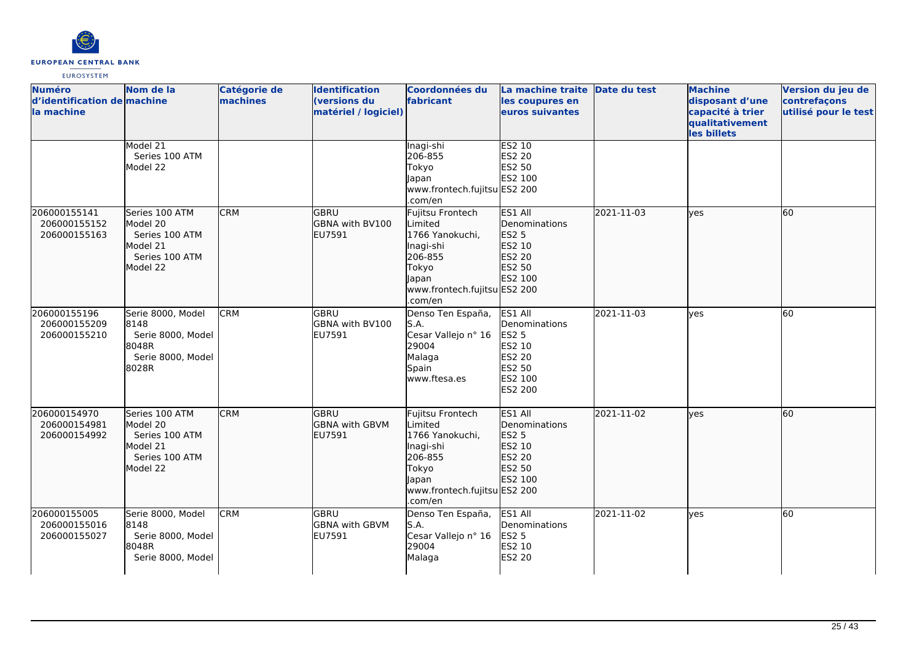

| <b>Numéro</b><br>d'identification de machine<br>lla machine | Nom de la                                                                              | Catégorie de<br>machines | <b>Identification</b><br>(versions du<br>matériel / logiciel) | Coordonnées du<br>fabricant                                                                                                                | La machine traite Date du test<br>les coupures en<br>euros suivantes                         |            | <b>Machine</b><br>disposant d'une<br>capacité à trier<br>qualitativement<br>les billets | Version du jeu de<br>contrefaçons<br>utilisé pour le test |
|-------------------------------------------------------------|----------------------------------------------------------------------------------------|--------------------------|---------------------------------------------------------------|--------------------------------------------------------------------------------------------------------------------------------------------|----------------------------------------------------------------------------------------------|------------|-----------------------------------------------------------------------------------------|-----------------------------------------------------------|
|                                                             | Model 21<br>Series 100 ATM<br>Model 22                                                 |                          |                                                               | Inagi-shi<br>206-855<br>Tokyo<br>Japan<br>www.frontech.fujitsu ES2 200<br>.com/en                                                          | ES2 10<br>ES2 20<br>ES2 50<br>ES2 100                                                        |            |                                                                                         |                                                           |
| 206000155141<br>206000155152<br>206000155163                | Series 100 ATM<br>Model 20<br>Series 100 ATM<br>Model 21<br>Series 100 ATM<br>Model 22 | <b>CRM</b>               | GBRU<br>GBNA with BV100<br><b>EU7591</b>                      | Fujitsu Frontech<br>Limited<br>1766 Yanokuchi,<br>Inagi-shi<br>206-855<br>Tokyo<br>Japan<br>www.frontech.fujitsu ES2 200<br>.com/en        | ES1 All<br>Denominations<br><b>ES2 5</b><br>ES2 10<br>ES2 20<br>ES2 50<br>ES2 100            | 2021-11-03 | <b>lyes</b>                                                                             | 60                                                        |
| 206000155196<br>206000155209<br>206000155210                | Serie 8000, Model<br>8148<br>Serie 8000, Model<br>8048R<br>Serie 8000, Model<br>8028R  | <b>CRM</b>               | <b>GBRU</b><br>GBNA with BV100<br>EU7591                      | Denso Ten España,<br>S.A.<br>Cesar Vallejo nº 16<br>29004<br>Malaga<br>Spain<br>www.ftesa.es                                               | ES1 All<br>Denominations<br><b>ES2 5</b><br>ES2 10<br>ES2 20<br>ES2 50<br>ES2 100<br>ES2 200 | 2021-11-03 | lves                                                                                    | 60                                                        |
| 206000154970<br>206000154981<br>206000154992                | Series 100 ATM<br>Model 20<br>Series 100 ATM<br>Model 21<br>Series 100 ATM<br>Model 22 | <b>CRM</b>               | <b>GBRU</b><br><b>GBNA with GBVM</b><br>EU7591                | Fujitsu Frontech<br>Limited<br>1766 Yanokuchi,<br>Inagi-shi<br>206-855<br>Tokyo<br><b>Japan</b><br>www.frontech.fujitsu ES2 200<br>.com/en | ES1 All<br>Denominations<br>ES2 5<br>ES2 10<br>ES2 20<br>ES2 50<br>ES2 100                   | 2021-11-02 | lyes                                                                                    | 60                                                        |
| 206000155005<br>206000155016<br>206000155027                | Serie 8000, Model<br>8148<br>Serie 8000, Model<br>8048R<br>Serie 8000, Model           | <b>CRM</b>               | <b>GBRU</b><br>GBNA with GBVM<br>EU7591                       | Denso Ten España,<br>S.A.<br>Cesar Vallejo nº 16<br>29004<br>Malaga                                                                        | ES1 All<br>Denominations<br><b>ES2 5</b><br>ES2 10<br><b>ES2 20</b>                          | 2021-11-02 | lyes                                                                                    | 60                                                        |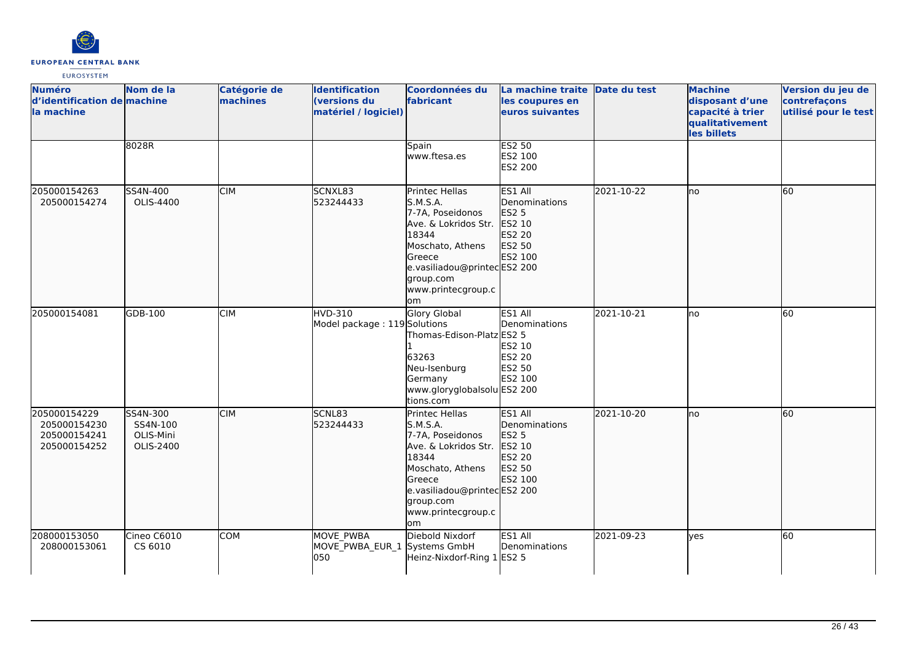

| <b>Numéro</b><br>d'identification de machine<br>la machine   | Nom de la                                      | Catégorie de<br>machines | <b>Identification</b><br>(versions du<br>matériel / logiciel) | <b>Coordonnées du</b><br>fabricant                                                                                                                                                    | La machine traite Date du test<br>les coupures en<br>euros suivantes              |            | <b>Machine</b><br>disposant d'une<br>capacité à trier<br>qualitativement<br>les billets | Version du jeu de<br>contrefaçons<br>utilisé pour le test |
|--------------------------------------------------------------|------------------------------------------------|--------------------------|---------------------------------------------------------------|---------------------------------------------------------------------------------------------------------------------------------------------------------------------------------------|-----------------------------------------------------------------------------------|------------|-----------------------------------------------------------------------------------------|-----------------------------------------------------------|
|                                                              | 8028R                                          |                          |                                                               | Spain<br>www.ftesa.es                                                                                                                                                                 | <b>ES2 50</b><br>ES2 100<br>ES2 200                                               |            |                                                                                         |                                                           |
| 205000154263<br>205000154274                                 | SS4N-400<br>OLIS-4400                          | <b>CIM</b>               | SCNXL83<br>523244433                                          | Printec Hellas<br>S.M.S.A.<br>7-7A, Poseidonos<br>Ave. & Lokridos Str.<br>18344<br>Moschato, Athens<br>Greece<br>e.vasiliadou@printecES2 200<br>group.com<br>www.printecgroup.c<br>om | ES1 All<br>Denominations<br>ES2 5<br>ES2 10<br>ES2 20<br>ES2 50<br>ES2 100        | 2021-10-22 | lno                                                                                     | 60                                                        |
| 205000154081                                                 | GDB-100                                        | <b>CIM</b>               | <b>HVD-310</b><br>Model package: 119 Solutions                | <b>Glory Global</b><br>Thomas-Edison-Platz ES2 5<br>63263<br>Neu-Isenburg<br>Germany<br>www.gloryglobalsolu ES2 200<br>tions.com                                                      | ES1 All<br>Denominations<br>ES2 10<br>ES2 20<br><b>ES2 50</b><br>ES2 100          | 2021-10-21 | lno                                                                                     | 60                                                        |
| 205000154229<br>205000154230<br>205000154241<br>205000154252 | SS4N-300<br>SS4N-100<br>OLIS-Mini<br>OLIS-2400 | <b>CIM</b>               | SCNL83<br>523244433                                           | Printec Hellas<br>S.M.S.A.<br>7-7A, Poseidonos<br>Ave. & Lokridos Str.<br>18344<br>Moschato, Athens<br>Greece<br>e.vasiliadou@printecES2 200<br>group.com<br>www.printecgroup.c<br>om | ES1 All<br>Denominations<br><b>ES2 5</b><br>ES2 10<br>ES2 20<br>ES2 50<br>ES2 100 | 2021-10-20 | lno                                                                                     | 60                                                        |
| 208000153050<br>208000153061                                 | Cineo C6010<br>CS 6010                         | <b>COM</b>               | MOVE PWBA<br>MOVE_PWBA_EUR_1 Systems GmbH<br>050              | Diebold Nixdorf<br>Heinz-Nixdorf-Ring 1 ES2 5                                                                                                                                         | ES1 All<br>Denominations                                                          | 2021-09-23 | ves                                                                                     | 60                                                        |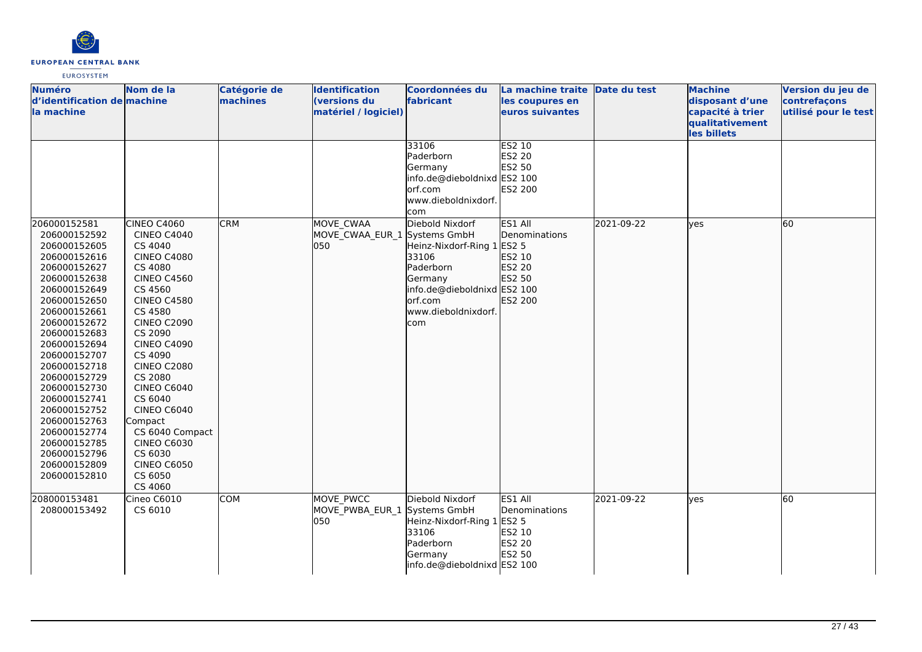

| <b>Numéro</b><br>d'identification de machine<br>la machine                                                                                                                                                                                                                                                                                                                   | Nom de la                                                                                                                                                                                                                                                                                                                                                                                             | Catégorie de<br>machines | <b>Identification</b><br>(versions du<br>matériel / logiciel) | Coordonnées du<br>fabricant                                                                                                   | La machine traite Date du test<br>les coupures en<br>euros suivantes   |            | <b>Machine</b><br>disposant d'une<br>capacité à trier<br>qualitativement | Version du jeu de<br>contrefaçons<br>utilisé pour le test |
|------------------------------------------------------------------------------------------------------------------------------------------------------------------------------------------------------------------------------------------------------------------------------------------------------------------------------------------------------------------------------|-------------------------------------------------------------------------------------------------------------------------------------------------------------------------------------------------------------------------------------------------------------------------------------------------------------------------------------------------------------------------------------------------------|--------------------------|---------------------------------------------------------------|-------------------------------------------------------------------------------------------------------------------------------|------------------------------------------------------------------------|------------|--------------------------------------------------------------------------|-----------------------------------------------------------|
| 206000152581                                                                                                                                                                                                                                                                                                                                                                 | CINEO C4060                                                                                                                                                                                                                                                                                                                                                                                           | <b>CRM</b>               | MOVE CWAA                                                     | 33106<br>Paderborn<br>Germany<br>info.de@dieboldnixd ES2 100<br>orf.com<br>www.dieboldnixdorf.<br>com<br>Diebold Nixdorf      | <b>ES2 10</b><br>ES2 20<br>ES2 50<br>ES2 200<br>ES1 All                | 2021-09-22 | les billets<br>lves                                                      | 60                                                        |
| 206000152592<br>206000152605<br>206000152616<br>206000152627<br>206000152638<br>206000152649<br>206000152650<br>206000152661<br>206000152672<br>206000152683<br>206000152694<br>206000152707<br>206000152718<br>206000152729<br>206000152730<br>206000152741<br>206000152752<br>206000152763<br>206000152774<br>206000152785<br>206000152796<br>206000152809<br>206000152810 | <b>CINEO C4040</b><br>CS 4040<br><b>CINEO C4080</b><br>CS 4080<br><b>CINEO C4560</b><br>CS 4560<br><b>CINEO C4580</b><br>CS 4580<br><b>CINEO C2090</b><br>CS 2090<br><b>CINEO C4090</b><br>CS 4090<br><b>CINEO C2080</b><br>CS 2080<br><b>CINEO C6040</b><br>CS 6040<br><b>CINEO C6040</b><br>Compact<br>CS 6040 Compact<br><b>CINEO C6030</b><br>CS 6030<br><b>CINEO C6050</b><br>CS 6050<br>CS 4060 |                          | MOVE_CWAA_EUR_1 Systems GmbH<br>050                           | Heinz-Nixdorf-Ring 1<br>33106<br>Paderborn<br>Germany<br>info.de@dieboldnixd ES2 100<br>orf.com<br>www.dieboldnixdorf.<br>com | Denominations<br><b>ES2 5</b><br>ES2 10<br>ES2 20<br>ES2 50<br>ES2 200 |            |                                                                          |                                                           |
| 208000153481<br>208000153492                                                                                                                                                                                                                                                                                                                                                 | Cineo C6010<br>CS 6010                                                                                                                                                                                                                                                                                                                                                                                | COM                      | MOVE PWCC<br>MOVE_PWBA_EUR_1<br>050                           | Diebold Nixdorf<br>Systems GmbH<br>Heinz-Nixdorf-Ring 1<br>33106<br>Paderborn<br>Germany<br>info.de@dieboldnixd ES2 100       | ES1 All<br>Denominations<br><b>ES2 5</b><br>ES2 10<br>ES2 20<br>ES2 50 | 2021-09-22 | yes                                                                      | 60                                                        |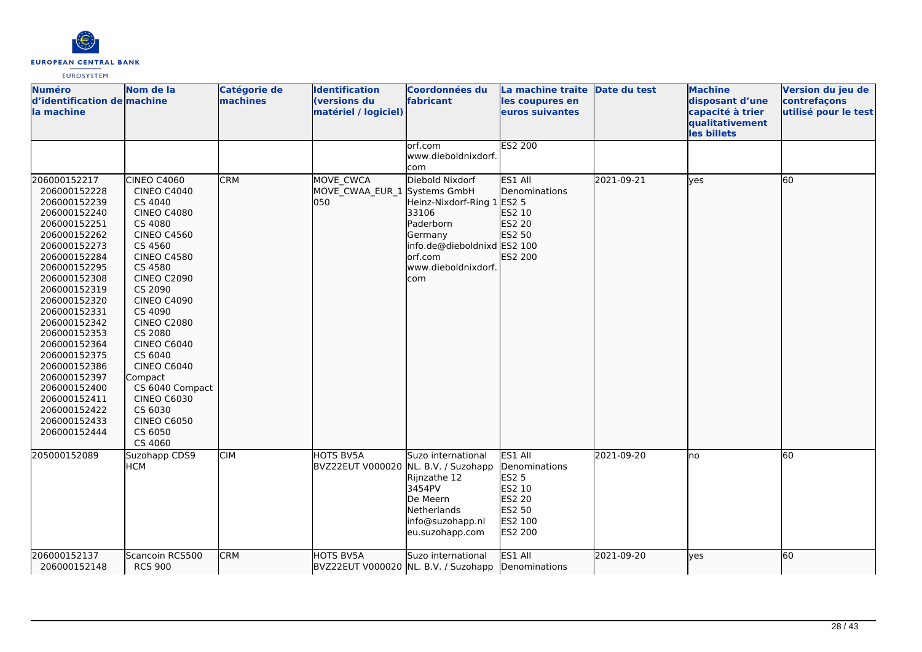

| <b>Numéro</b><br>d'identification de machine<br>la machine                                                                                                                                                                                                                                                                                                                                   | Nom de la                                                                                                                                                                                                                                                                                                                                                                                                     | Catégorie de<br>machines | <b>Identification</b><br>(versions du<br>matériel / logiciel) | Coordonnées du<br>fabricant                                                                                                                      | La machine traite Date du test<br>les coupures en<br>euros suivantes                                |            | <b>Machine</b><br>disposant d'une<br>capacité à trier<br>qualitativement<br>les billets | Version du jeu de<br>contrefaçons<br>utilisé pour le test |
|----------------------------------------------------------------------------------------------------------------------------------------------------------------------------------------------------------------------------------------------------------------------------------------------------------------------------------------------------------------------------------------------|---------------------------------------------------------------------------------------------------------------------------------------------------------------------------------------------------------------------------------------------------------------------------------------------------------------------------------------------------------------------------------------------------------------|--------------------------|---------------------------------------------------------------|--------------------------------------------------------------------------------------------------------------------------------------------------|-----------------------------------------------------------------------------------------------------|------------|-----------------------------------------------------------------------------------------|-----------------------------------------------------------|
|                                                                                                                                                                                                                                                                                                                                                                                              |                                                                                                                                                                                                                                                                                                                                                                                                               |                          |                                                               | orf.com<br>www.dieboldnixdorf.<br>com                                                                                                            | <b>ES2 200</b>                                                                                      |            |                                                                                         |                                                           |
| 206000152217<br>206000152228<br>206000152239<br>206000152240<br>206000152251<br>206000152262<br>206000152273<br>206000152284<br>206000152295<br>206000152308<br>206000152319<br>206000152320<br>206000152331<br>206000152342<br>206000152353<br>206000152364<br>206000152375<br>206000152386<br>206000152397<br>206000152400<br>206000152411<br>206000152422<br>206000152433<br>206000152444 | CINEO C4060<br><b>CINEO C4040</b><br>CS 4040<br><b>CINEO C4080</b><br>CS 4080<br><b>CINEO C4560</b><br>CS 4560<br><b>CINEO C4580</b><br>CS 4580<br><b>CINEO C2090</b><br>CS 2090<br><b>CINEO C4090</b><br>CS 4090<br><b>CINEO C2080</b><br>CS 2080<br>CINEO C6040<br>CS 6040<br><b>CINEO C6040</b><br>Compact<br>CS 6040 Compact<br><b>CINEO C6030</b><br>CS 6030<br><b>CINEO C6050</b><br>CS 6050<br>CS 4060 | <b>CRM</b>               | MOVE_CWCA<br>MOVE_CWAA_EUR_1 Systems GmbH<br>050              | Diebold Nixdorf<br>Heinz-Nixdorf-Ring 1<br>33106<br>Paderborn<br>Germany<br>info.de@dieboldnixd ES2 100<br>orf.com<br>www.dieboldnixdorf.<br>com | ES1 All<br><b>IDenominations</b><br>ES2 5<br>ES2 10<br>ES2 20<br>ES2 50<br>ES2 200                  | 2021-09-21 | lyes                                                                                    | 60                                                        |
| 205000152089                                                                                                                                                                                                                                                                                                                                                                                 | Suzohapp CDS9<br><b>HCM</b>                                                                                                                                                                                                                                                                                                                                                                                   | <b>CIM</b>               | <b>HOTS BV5A</b><br>BVZ22EUT V000020                          | Suzo international<br>NL. B.V. / Suzohapp<br>Rijnzathe 12<br>3454PV<br>De Meern<br>Netherlands<br>info@suzohapp.nl<br>eu.suzohapp.com            | ES1 All<br>Denominations<br><b>ES2 5</b><br>ES2 10<br>ES2 20<br>ES2 50<br>ES2 100<br><b>ES2 200</b> | 2021-09-20 | lno                                                                                     | 60                                                        |
| 206000152137<br>206000152148                                                                                                                                                                                                                                                                                                                                                                 | Scancoin RCS500<br><b>RCS 900</b>                                                                                                                                                                                                                                                                                                                                                                             | <b>CRM</b>               | <b>HOTS BV5A</b>                                              | Suzo international<br>BVZ22EUT V000020 NL. B.V. / Suzohapp                                                                                       | ES1 All<br>Denominations                                                                            | 2021-09-20 | lyes                                                                                    | 60                                                        |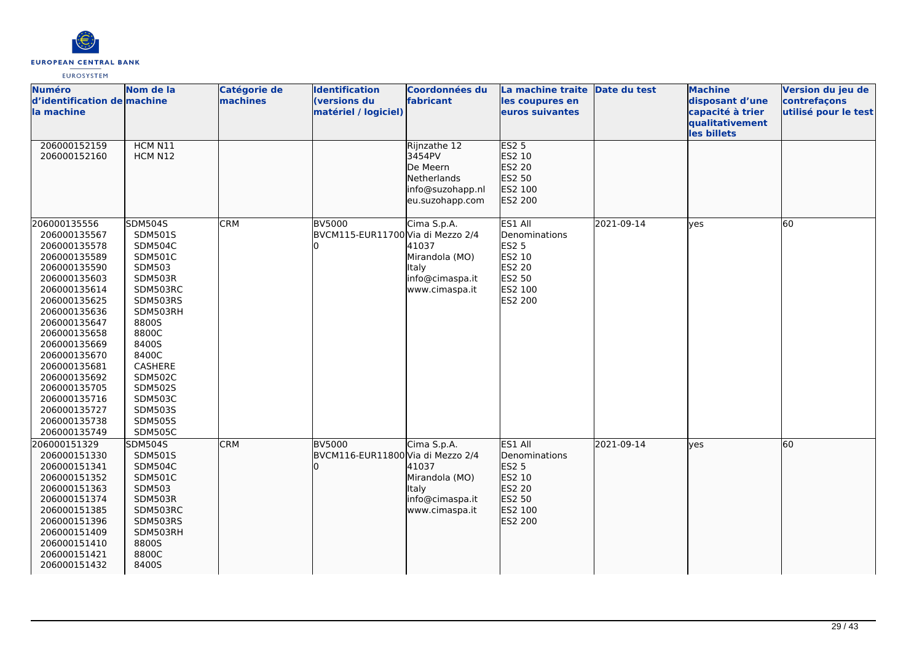

| <b>Numéro</b>                | Nom de la                 | Catégorie de | <b>Identification</b>             | <b>Coordonnées du</b> | La machine traite Date du test |            | <b>Machine</b>                 | Version du jeu de    |
|------------------------------|---------------------------|--------------|-----------------------------------|-----------------------|--------------------------------|------------|--------------------------------|----------------------|
| d'identification de machine  |                           | machines     | (versions du                      | fabricant             | les coupures en                |            | disposant d'une                | contrefaçons         |
| la machine                   |                           |              | matériel / logiciel)              |                       | euros suivantes                |            | capacité à trier               | utilisé pour le test |
|                              |                           |              |                                   |                       |                                |            | qualitativement<br>les billets |                      |
| 206000152159                 | HCM N11                   |              |                                   | Rijnzathe 12          | <b>ES2 5</b>                   |            |                                |                      |
| 206000152160                 | HCM N12                   |              |                                   | 3454PV                | ES2 10                         |            |                                |                      |
|                              |                           |              |                                   | De Meern              | ES2 20                         |            |                                |                      |
|                              |                           |              |                                   | Netherlands           | ES2 50                         |            |                                |                      |
|                              |                           |              |                                   | info@suzohapp.nl      | ES2 100                        |            |                                |                      |
|                              |                           |              |                                   | eu.suzohapp.com       | ES2 200                        |            |                                |                      |
|                              |                           |              |                                   |                       |                                |            |                                |                      |
| 206000135556                 | <b>SDM504S</b>            | <b>CRM</b>   | <b>BV5000</b>                     | Cima S.p.A.           | ES1 All                        | 2021-09-14 | yes                            | 60                   |
| 206000135567                 | SDM501S                   |              | BVCM115-EUR11700 Via di Mezzo 2/4 |                       | Denominations                  |            |                                |                      |
| 206000135578                 | SDM504C                   |              |                                   | 41037                 | <b>ES2 5</b>                   |            |                                |                      |
| 206000135589                 | <b>SDM501C</b>            |              |                                   | Mirandola (MO)        | ES2 10                         |            |                                |                      |
| 206000135590                 | SDM503                    |              |                                   | Italy                 | <b>ES2 20</b>                  |            |                                |                      |
| 206000135603                 | SDM503R                   |              |                                   | info@cimaspa.it       | <b>ES2 50</b>                  |            |                                |                      |
| 206000135614                 | SDM503RC                  |              |                                   | www.cimaspa.it        | ES2 100                        |            |                                |                      |
| 206000135625                 | SDM503RS                  |              |                                   |                       | ES2 200                        |            |                                |                      |
| 206000135636                 | SDM503RH                  |              |                                   |                       |                                |            |                                |                      |
| 206000135647                 | 8800S                     |              |                                   |                       |                                |            |                                |                      |
| 206000135658                 | 8800C                     |              |                                   |                       |                                |            |                                |                      |
| 206000135669                 | 8400S                     |              |                                   |                       |                                |            |                                |                      |
| 206000135670                 | 8400C                     |              |                                   |                       |                                |            |                                |                      |
| 206000135681<br>206000135692 | CASHERE<br><b>SDM502C</b> |              |                                   |                       |                                |            |                                |                      |
|                              | <b>SDM502S</b>            |              |                                   |                       |                                |            |                                |                      |
| 206000135705<br>206000135716 | SDM503C                   |              |                                   |                       |                                |            |                                |                      |
| 206000135727                 | <b>SDM503S</b>            |              |                                   |                       |                                |            |                                |                      |
| 206000135738                 | <b>SDM505S</b>            |              |                                   |                       |                                |            |                                |                      |
| 206000135749                 | <b>SDM505C</b>            |              |                                   |                       |                                |            |                                |                      |
| 206000151329                 | <b>SDM504S</b>            | <b>CRM</b>   | <b>BV5000</b>                     | Cima S.p.A.           | ES1 All                        | 2021-09-14 | lves                           | 60                   |
| 206000151330                 | SDM501S                   |              | BVCM116-EUR11800 Via di Mezzo 2/4 |                       | Denominations                  |            |                                |                      |
| 206000151341                 | <b>SDM504C</b>            |              |                                   | 41037                 | <b>ES2 5</b>                   |            |                                |                      |
| 206000151352                 | <b>SDM501C</b>            |              |                                   | Mirandola (MO)        | ES2 10                         |            |                                |                      |
| 206000151363                 | <b>SDM503</b>             |              |                                   | ltaly                 | ES2 20                         |            |                                |                      |
| 206000151374                 | SDM503R                   |              |                                   | info@cimaspa.it       | ES2 50                         |            |                                |                      |
| 206000151385                 | SDM503RC                  |              |                                   | www.cimaspa.it        | ES2 100                        |            |                                |                      |
| 206000151396                 | SDM503RS                  |              |                                   |                       | ES2 200                        |            |                                |                      |
| 206000151409                 | SDM503RH                  |              |                                   |                       |                                |            |                                |                      |
| 206000151410                 | 8800S                     |              |                                   |                       |                                |            |                                |                      |
| 206000151421                 | 8800C                     |              |                                   |                       |                                |            |                                |                      |
| 206000151432                 | 8400S                     |              |                                   |                       |                                |            |                                |                      |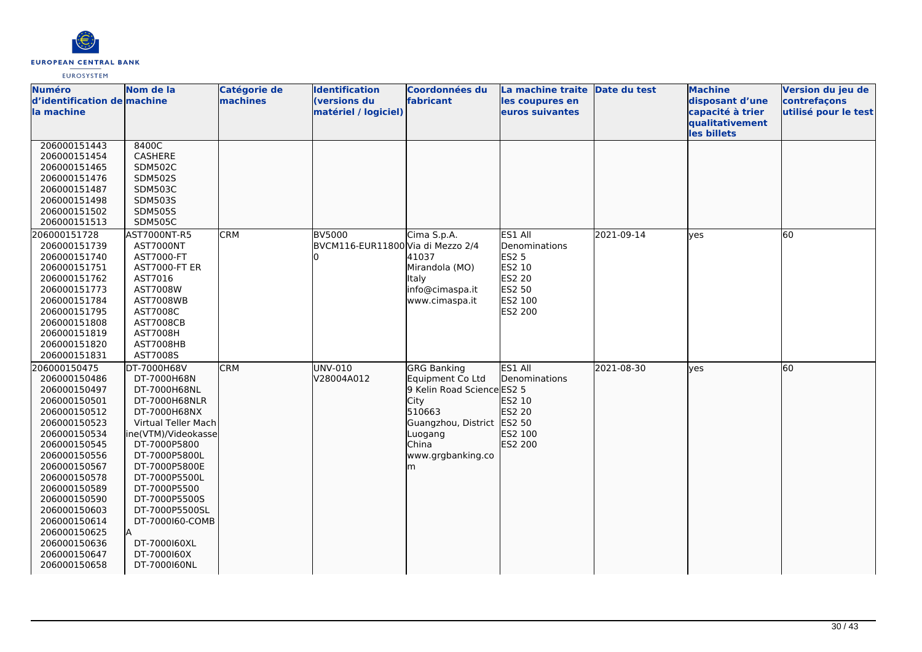

| <b>Numéro</b>               | Nom de la            | Catégorie de | <b>Identification</b>             | <b>Coordonnées du</b>      | La machine traite Date du test |            | <b>Machine</b>   | Version du jeu de    |
|-----------------------------|----------------------|--------------|-----------------------------------|----------------------------|--------------------------------|------------|------------------|----------------------|
| d'identification de machine |                      | machines     | (versions du                      | fabricant                  | les coupures en                |            | disposant d'une  | contrefaçons         |
| lla machine                 |                      |              | matériel / logiciel)              |                            | euros suivantes                |            | capacité à trier | utilisé pour le test |
|                             |                      |              |                                   |                            |                                |            | qualitativement  |                      |
|                             |                      |              |                                   |                            |                                |            | les billets      |                      |
| 206000151443                | 8400C                |              |                                   |                            |                                |            |                  |                      |
| 206000151454                | CASHERE              |              |                                   |                            |                                |            |                  |                      |
| 206000151465                | <b>SDM502C</b>       |              |                                   |                            |                                |            |                  |                      |
| 206000151476                | <b>SDM502S</b>       |              |                                   |                            |                                |            |                  |                      |
| 206000151487                | <b>SDM503C</b>       |              |                                   |                            |                                |            |                  |                      |
| 206000151498                | <b>SDM503S</b>       |              |                                   |                            |                                |            |                  |                      |
| 206000151502                | <b>SDM505S</b>       |              |                                   |                            |                                |            |                  |                      |
| 206000151513                | <b>SDM505C</b>       |              |                                   |                            |                                |            |                  |                      |
| 206000151728                | AST7000NT-R5         | <b>CRM</b>   | <b>BV5000</b>                     | Cima S.p.A.                | ES1 All                        | 2021-09-14 | lves             | 60                   |
| 206000151739                | AST7000NT            |              | BVCM116-EUR11800 Via di Mezzo 2/4 |                            | Denominations                  |            |                  |                      |
| 206000151740                | AST7000-FT           |              |                                   | 41037                      | <b>ES2 5</b>                   |            |                  |                      |
| 206000151751                | <b>AST7000-FT ER</b> |              |                                   | Mirandola (MO)             | ES2 10                         |            |                  |                      |
| 206000151762                | AST7016              |              |                                   | <b>Italy</b>               | ES2 20                         |            |                  |                      |
| 206000151773                | AST7008W             |              |                                   | info@cimaspa.it            | ES2 50                         |            |                  |                      |
| 206000151784                | AST7008WB            |              |                                   | www.cimaspa.it             | ES2 100                        |            |                  |                      |
| 206000151795                | AST7008C             |              |                                   |                            | ES2 200                        |            |                  |                      |
| 206000151808                | <b>AST7008CB</b>     |              |                                   |                            |                                |            |                  |                      |
| 206000151819                | <b>AST7008H</b>      |              |                                   |                            |                                |            |                  |                      |
| 206000151820                | AST7008HB            |              |                                   |                            |                                |            |                  |                      |
| 206000151831                | AST7008S             |              |                                   |                            |                                |            |                  |                      |
| 206000150475                | DT-7000H68V          | <b>CRM</b>   | UNV-010                           | <b>GRG Banking</b>         | ES1 All                        | 2021-08-30 | lyes             | 60                   |
| 206000150486                | DT-7000H68N          |              | V28004A012                        | Equipment Co Ltd           | Denominations                  |            |                  |                      |
| 206000150497                | DT-7000H68NL         |              |                                   | 9 Kelin Road Science ES2 5 |                                |            |                  |                      |
| 206000150501                | DT-7000H68NLR        |              |                                   | City                       | ES2 10                         |            |                  |                      |
| 206000150512                | DT-7000H68NX         |              |                                   | 510663                     | ES2 20                         |            |                  |                      |
| 206000150523                | Virtual Teller Mach  |              |                                   | Guangzhou, District ES2 50 |                                |            |                  |                      |
| 206000150534                | ine(VTM)/Videokasse  |              |                                   | Luogang                    | ES2 100                        |            |                  |                      |
| 206000150545                | DT-7000P5800         |              |                                   | China                      | ES2 200                        |            |                  |                      |
| 206000150556                | DT-7000P5800L        |              |                                   | www.grgbanking.co          |                                |            |                  |                      |
| 206000150567                | DT-7000P5800E        |              |                                   | m                          |                                |            |                  |                      |
| 206000150578                | DT-7000P5500L        |              |                                   |                            |                                |            |                  |                      |
| 206000150589                | DT-7000P5500         |              |                                   |                            |                                |            |                  |                      |
| 206000150590                | DT-7000P5500S        |              |                                   |                            |                                |            |                  |                      |
| 206000150603                | DT-7000P5500SL       |              |                                   |                            |                                |            |                  |                      |
| 206000150614                | DT-7000160-COMB      |              |                                   |                            |                                |            |                  |                      |
| 206000150625                |                      |              |                                   |                            |                                |            |                  |                      |
| 206000150636                | DT-7000160XL         |              |                                   |                            |                                |            |                  |                      |
| 206000150647                | DT-7000160X          |              |                                   |                            |                                |            |                  |                      |
| 206000150658                | DT-7000160NL         |              |                                   |                            |                                |            |                  |                      |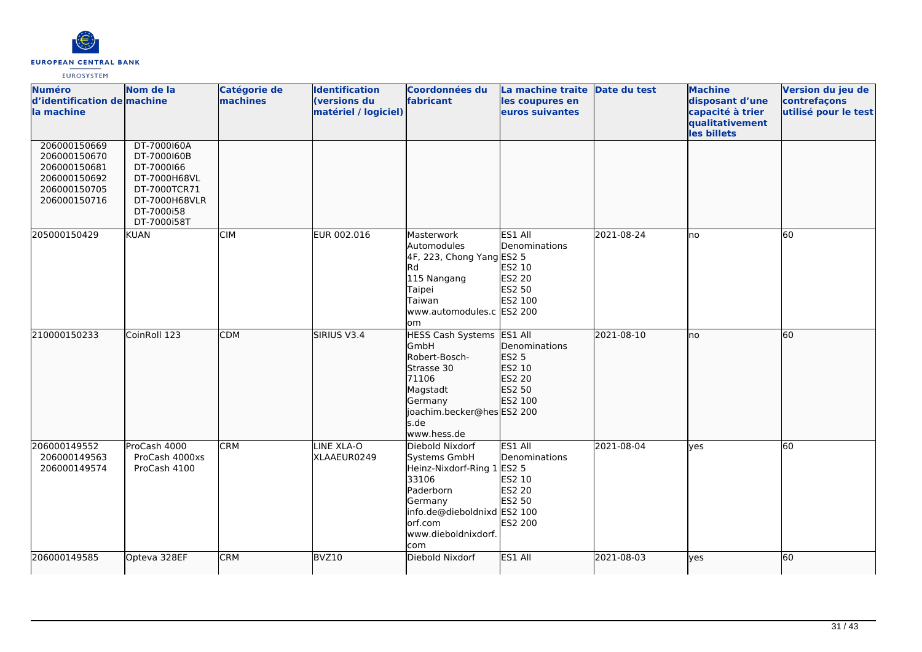

| <b>Numéro</b><br>d'identification de machine<br>la machine<br>206000150669   | Nom de la<br>DT-7000160A                                                                                | Catégorie de<br>machines | <b>Identification</b><br>(versions du<br>matériel / logiciel) | <b>Coordonnées du</b><br>fabricant                                                                                                                                | La machine traite Date du test<br>les coupures en<br>euros suivantes              |            | <b>Machine</b><br>disposant d'une<br>capacité à trier<br>qualitativement<br>les billets | Version du jeu de<br>contrefaçons<br>utilisé pour le test |
|------------------------------------------------------------------------------|---------------------------------------------------------------------------------------------------------|--------------------------|---------------------------------------------------------------|-------------------------------------------------------------------------------------------------------------------------------------------------------------------|-----------------------------------------------------------------------------------|------------|-----------------------------------------------------------------------------------------|-----------------------------------------------------------|
| 206000150670<br>206000150681<br>206000150692<br>206000150705<br>206000150716 | DT-7000160B<br>DT-7000166<br>DT-7000H68VL<br>DT-7000TCR71<br>DT-7000H68VLR<br>DT-7000i58<br>DT-7000i58T |                          |                                                               |                                                                                                                                                                   |                                                                                   |            |                                                                                         |                                                           |
| 205000150429                                                                 | <b>KUAN</b>                                                                                             | <b>CIM</b>               | EUR 002.016                                                   | Masterwork<br>Automodules<br>4F, 223, Chong Yang ES2 5<br><b>Rd</b><br>115 Nangang<br>Taipei<br>Taiwan<br>www.automodules.c ES2 200<br>lom                        | ES1 All<br>Denominations<br>ES2 10<br><b>ES2 20</b><br>ES2 50<br>ES2 100          | 2021-08-24 | no                                                                                      | 60                                                        |
| 210000150233                                                                 | CoinRoll 123                                                                                            | <b>CDM</b>               | SIRIUS V3.4                                                   | HESS Cash Systems ES1 All<br>GmbH<br>Robert-Bosch-<br>Strasse 30<br>71106<br>Magstadt<br>Germany<br>joachim.becker@hes ES2 200<br>s.de<br>www.hess.de             | Denominations<br><b>ES2 5</b><br>ES2 10<br>ES2 20<br>ES2 50<br>ES2 100            | 2021-08-10 | <b>I</b> no                                                                             | 60                                                        |
| 206000149552<br>206000149563<br>206000149574                                 | ProCash 4000<br>ProCash 4000xs<br>ProCash 4100                                                          | <b>CRM</b>               | LINE XLA-O<br>XLAAEUR0249                                     | Diebold Nixdorf<br>Systems GmbH<br>Heinz-Nixdorf-Ring 1<br>33106<br>Paderborn<br>Germany<br>info.de@dieboldnixd ES2 100<br>lorf.com<br>www.dieboldnixdorf.<br>com | ES1 All<br>Denominations<br><b>ES2 5</b><br>ES2 10<br>ES2 20<br>ES2 50<br>ES2 200 | 2021-08-04 | <b>ves</b>                                                                              | 60                                                        |
| 206000149585                                                                 | Opteva 328EF                                                                                            | <b>CRM</b>               | BVZ10                                                         | Diebold Nixdorf                                                                                                                                                   | ES1 All                                                                           | 2021-08-03 | <b>yes</b>                                                                              | 60                                                        |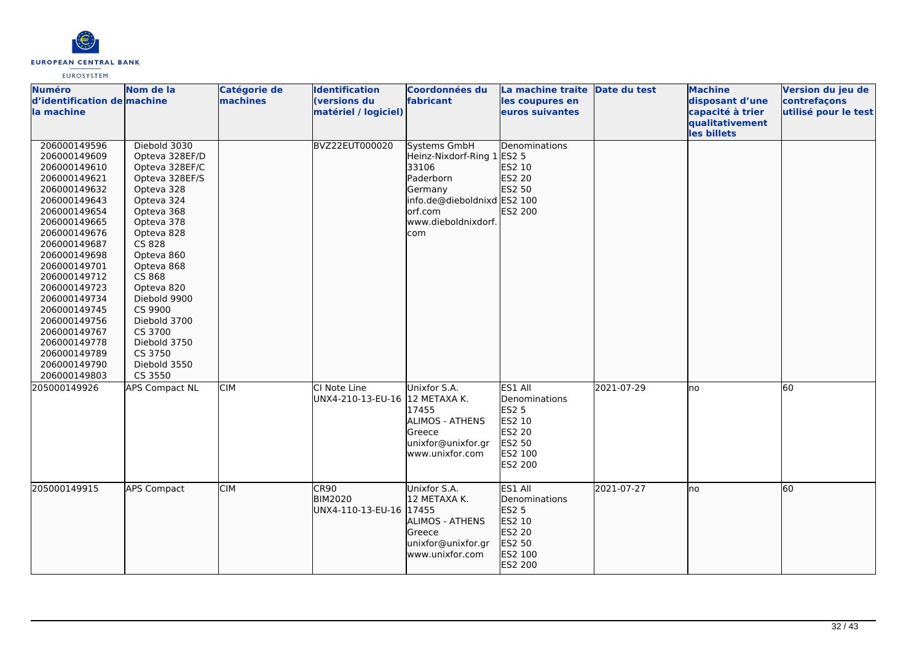

| <b>Numéro</b><br>d'identification de machine<br>la machine                                                                                                                                                                                                                                                                                                   | Nom de la                                                                                                                                                                                                                                                                                                          | Catégorie de<br>machines | <b>Identification</b><br>(versions du<br>matériel / logiciel) | <b>Coordonnées du</b><br>fabricant                                                                                                                   | La machine traite Date du test<br>les coupures en<br>euros suivantes                                |            | <b>Machine</b><br>disposant d'une<br>capacité à trier<br>qualitativement<br>les billets | Version du jeu de<br>contrefaçons<br>utilisé pour le test |
|--------------------------------------------------------------------------------------------------------------------------------------------------------------------------------------------------------------------------------------------------------------------------------------------------------------------------------------------------------------|--------------------------------------------------------------------------------------------------------------------------------------------------------------------------------------------------------------------------------------------------------------------------------------------------------------------|--------------------------|---------------------------------------------------------------|------------------------------------------------------------------------------------------------------------------------------------------------------|-----------------------------------------------------------------------------------------------------|------------|-----------------------------------------------------------------------------------------|-----------------------------------------------------------|
| 206000149596<br>206000149609<br>206000149610<br>206000149621<br>206000149632<br>206000149643<br>206000149654<br>206000149665<br>206000149676<br>206000149687<br>206000149698<br>206000149701<br>206000149712<br>206000149723<br>206000149734<br>206000149745<br>206000149756<br>206000149767<br>206000149778<br>206000149789<br>206000149790<br>206000149803 | Diebold 3030<br>Opteva 328EF/D<br>Opteva 328EF/C<br>Opteva 328EF/S<br>Opteva 328<br>Opteva 324<br>Opteva 368<br>Opteva 378<br>Opteva 828<br>CS 828<br>Opteva 860<br>Opteva 868<br>CS 868<br>Opteva 820<br>Diebold 9900<br>CS 9900<br>Diebold 3700<br>CS 3700<br>Diebold 3750<br>CS 3750<br>Diebold 3550<br>CS 3550 |                          | <b>BVZ22EUT000020</b>                                         | Systems GmbH<br>Heinz-Nixdorf-Ring 1 ES2 5<br>33106<br>Paderborn<br>Germany<br>info.de@dieboldnixd ES2 100<br>lorf.com<br>www.dieboldnixdorf.<br>com | Denominations<br>ES2 10<br>ES2 20<br>ES2 50<br>ES2 200                                              |            |                                                                                         |                                                           |
| 205000149926                                                                                                                                                                                                                                                                                                                                                 | <b>APS Compact NL</b>                                                                                                                                                                                                                                                                                              | <b>CIM</b>               | CI Note Line<br>UNX4-210-13-EU-16 12 METAXA K.                | Unixfor S.A.<br>17455<br>ALIMOS - ATHENS<br>lGreece<br>unixfor@unixfor.gr<br>www.unixfor.com                                                         | ES1 All<br>Denominations<br><b>ES2 5</b><br>ES2 10<br>ES2 20<br>ES2 50<br>ES2 100<br><b>ES2 200</b> | 2021-07-29 | Ino                                                                                     | 60                                                        |
| 205000149915                                                                                                                                                                                                                                                                                                                                                 | <b>APS Compact</b>                                                                                                                                                                                                                                                                                                 | <b>CIM</b>               | ICR90<br><b>BIM2020</b><br>UNX4-110-13-EU-16 17455            | Unixfor S.A.<br>12 METAXA K.<br>ALIMOS - ATHENS<br>Greece<br>unixfor@unixfor.gr<br>www.unixfor.com                                                   | ES1 All<br>Denominations<br><b>ES2 5</b><br>ES2 10<br>ES2 20<br>ES2 50<br>ES2 100<br>ES2 200        | 2021-07-27 | no                                                                                      | 60                                                        |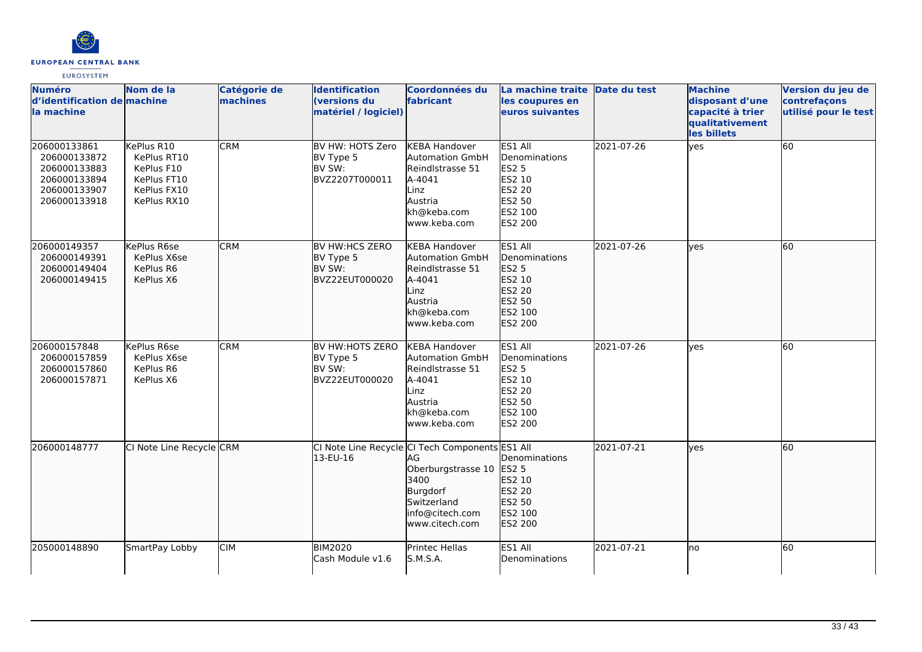

| <b>Numéro</b><br>d'identification de machine<br>la machine                                   | Nom de la                                                                            | Catégorie de<br>machines | <b>Identification</b><br>(versions du<br>matériel / logiciel)  | Coordonnées du<br>fabricant                                                                                                                         | La machine traite Date du test<br>les coupures en<br>euros suivantes                                       |            | <b>Machine</b><br>disposant d'une<br>capacité à trier<br>qualitativement<br>les billets | Version du jeu de<br>contrefaçons<br>utilisé pour le test |
|----------------------------------------------------------------------------------------------|--------------------------------------------------------------------------------------|--------------------------|----------------------------------------------------------------|-----------------------------------------------------------------------------------------------------------------------------------------------------|------------------------------------------------------------------------------------------------------------|------------|-----------------------------------------------------------------------------------------|-----------------------------------------------------------|
| 206000133861<br>206000133872<br>206000133883<br>206000133894<br>206000133907<br>206000133918 | KePlus R10<br>KePlus RT10<br>KePlus F10<br>KePlus FT10<br>KePlus FX10<br>KePlus RX10 | CRM                      | BV HW: HOTS Zero<br>BV Type 5<br>BV SW:<br>BVZ2207T000011      | <b>KEBA Handover</b><br><b>Automation GmbH</b><br>Reindlstrasse 51<br>A-4041<br>Linz<br>Austria<br>kh@keba.com<br>www.keba.com                      | ES1 All<br>Denominations<br><b>ES2 5</b><br>ES2 10<br><b>ES2 20</b><br>ES2 50<br>ES2 100<br><b>ES2 200</b> | 2021-07-26 | lyes                                                                                    | 60                                                        |
| 206000149357<br>206000149391<br>206000149404<br>206000149415                                 | KePlus R6se<br>KePlus X6se<br>KePlus R6<br>KePlus X6                                 | <b>CRM</b>               | <b>BV HW:HCS ZERO</b><br>BV Type 5<br>BV SW:<br>BVZ22EUT000020 | <b>KEBA Handover</b><br><b>Automation GmbH</b><br>Reindlstrasse 51<br>A-4041<br>Linz<br>Austria<br>kh@keba.com<br>www.keba.com                      | ES1 All<br>Denominations<br>ES2 5<br>ES2 10<br>ES2 20<br>ES2 50<br>ES2 100<br>ES2 200                      | 2021-07-26 | ves                                                                                     | 60                                                        |
| 206000157848<br>206000157859<br>206000157860<br>206000157871                                 | KePlus R6se<br>KePlus X6se<br>KePlus R6<br>KePlus X6                                 | CRM                      | BV HW:HOTS ZERO<br>BV Type 5<br>BV SW:<br>BVZ22EUT000020       | <b>KEBA Handover</b><br><b>Automation GmbH</b><br>Reindlstrasse 51<br>A-4041<br>Linz<br>Austria<br>kh@keba.com<br>www.keba.com                      | ES1 All<br>Denominations<br><b>ES2 5</b><br>ES2 10<br><b>ES2 20</b><br>ES2 50<br>ES2 100<br><b>ES2 200</b> | 2021-07-26 | ves                                                                                     | 60                                                        |
| 206000148777                                                                                 | CI Note Line Recycle CRM                                                             |                          | 13-EU-16                                                       | CI Note Line Recycle CI Tech Components ES1 All<br>AG<br>Oberburgstrasse 10<br>3400<br>Burgdorf<br>Switzerland<br>info@citech.com<br>www.citech.com | Denominations<br><b>ES2 5</b><br>ES2 10<br>ES2 20<br>ES2 50<br>ES2 100<br>ES2 200                          | 2021-07-21 | lves                                                                                    | 60                                                        |
| 205000148890                                                                                 | SmartPay Lobby                                                                       | <b>CIM</b>               | <b>BIM2020</b><br>Cash Module v1.6                             | Printec Hellas<br><b>S.M.S.A.</b>                                                                                                                   | ES1 All<br>Denominations                                                                                   | 2021-07-21 | lno                                                                                     | 60                                                        |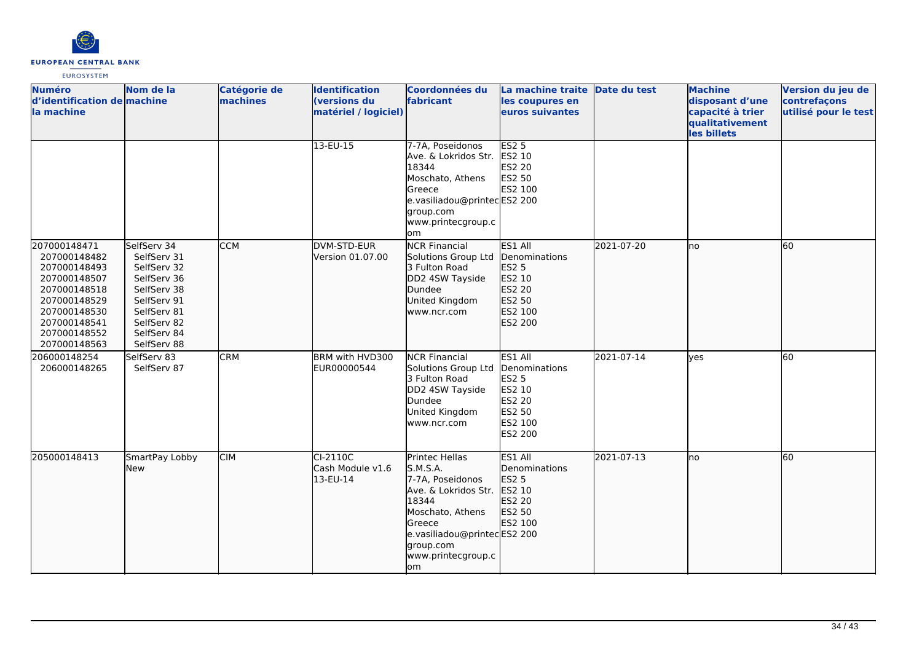

| <b>Numéro</b><br>d'identification de machine<br>la machine                                                                                                   | Nom de la                                                                                                                                          | Catégorie de<br>machines | <b>Identification</b><br>(versions du<br>matériel / logiciel) | <b>Coordonnées du</b><br>fabricant                                                                                                                                                     | La machine traite Date du test<br>les coupures en<br>euros suivantes                                       |            | <b>Machine</b><br>disposant d'une<br>capacité à trier<br>qualitativement<br>les billets | Version du jeu de<br>contrefaçons<br>utilisé pour le test |
|--------------------------------------------------------------------------------------------------------------------------------------------------------------|----------------------------------------------------------------------------------------------------------------------------------------------------|--------------------------|---------------------------------------------------------------|----------------------------------------------------------------------------------------------------------------------------------------------------------------------------------------|------------------------------------------------------------------------------------------------------------|------------|-----------------------------------------------------------------------------------------|-----------------------------------------------------------|
|                                                                                                                                                              |                                                                                                                                                    |                          | 13-EU-15                                                      | 7-7A. Poseidonos<br>Ave. & Lokridos Str.<br>18344<br>Moschato, Athens<br>Greece<br>e.vasiliadou@printecES2 200<br>group.com<br>www.printecgroup.c<br>om                                | <b>ES2 5</b><br>ES2 10<br>ES2 20<br>ES2 50<br>ES2 100                                                      |            |                                                                                         |                                                           |
| 207000148471<br>207000148482<br>207000148493<br>207000148507<br>207000148518<br>207000148529<br>207000148530<br>207000148541<br>207000148552<br>207000148563 | SelfServ 34<br>SelfServ 31<br>SelfServ 32<br>SelfServ 36<br>SelfServ 38<br>SelfServ 91<br>SelfServ 81<br>SelfServ 82<br>SelfServ 84<br>SelfServ 88 | <b>CCM</b>               | DVM-STD-EUR<br>Version 01.07.00                               | <b>NCR Financial</b><br>Solutions Group Ltd<br>3 Fulton Road<br>DD2 4SW Tayside<br>Dundee<br>United Kingdom<br>www.ncr.com                                                             | ES1 All<br>Denominations<br><b>ES2 5</b><br>ES2 10<br>ES2 20<br>ES2 50<br>ES2 100<br>ES2 200               | 2021-07-20 | lno                                                                                     | 60                                                        |
| 206000148254<br>206000148265                                                                                                                                 | SelfServ 83<br>SelfServ 87                                                                                                                         | <b>CRM</b>               | BRM with HVD300<br>EUR00000544                                | <b>NCR Financial</b><br>Solutions Group Ltd<br>3 Fulton Road<br>DD2 4SW Tayside<br>Dundee<br>United Kingdom<br>www.ncr.com                                                             | ES1 All<br>Denominations<br><b>ES2 5</b><br>ES2 10<br><b>ES2 20</b><br>ES2 50<br>ES2 100<br><b>ES2 200</b> | 2021-07-14 | <b>l</b> ves                                                                            | 60                                                        |
| 205000148413                                                                                                                                                 | SmartPay Lobby<br>lNew                                                                                                                             | <b>CIM</b>               | CI-2110C<br>Cash Module v1.6<br>13-EU-14                      | Printec Hellas<br>S.M.S.A.<br>7-7A, Poseidonos<br>Ave. & Lokridos Str.<br>18344<br>Moschato, Athens<br>Greece<br>e.vasiliadou@printecES2 200<br>group.com<br>www.printecgroup.c<br>lom | ES1 All<br>Denominations<br>ES2 5<br>ES2 10<br><b>ES2 20</b><br>ES2 50<br>ES2 100                          | 2021-07-13 | lno                                                                                     | 60                                                        |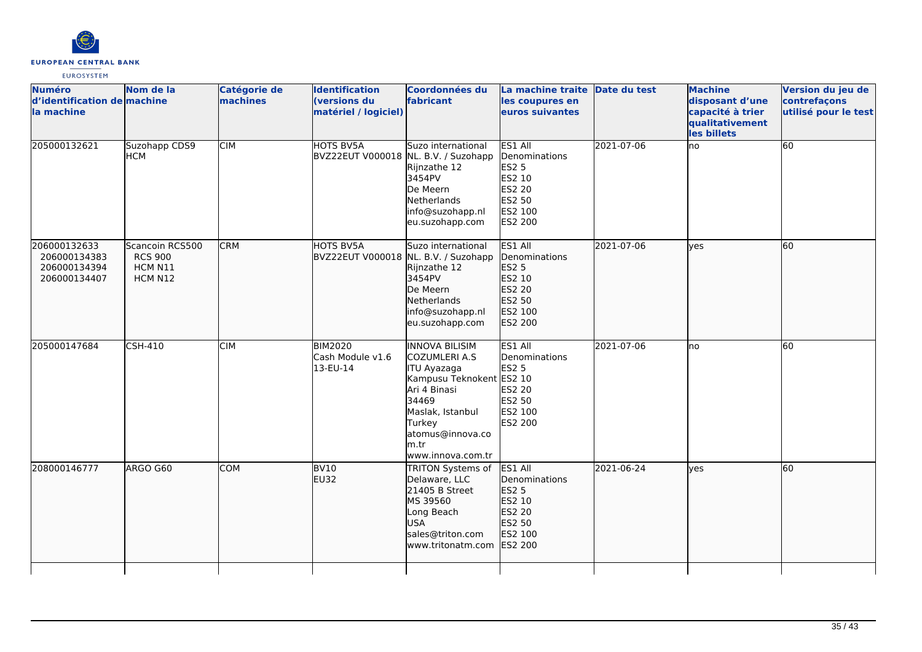

| <b>Numéro</b><br>d'identification de machine<br>la machine   | Nom de la                                               | Catégorie de<br>machines | <b>Identification</b><br>(versions du<br>matériel / logiciel) | Coordonnées du<br>fabricant                                                                                                                                                                              | La machine traite Date du test<br>les coupures en<br>euros suivantes                                |            | <b>Machine</b><br>disposant d'une<br>capacité à trier<br>qualitativement<br>les billets | Version du jeu de<br>contrefaçons<br>utilisé pour le test |
|--------------------------------------------------------------|---------------------------------------------------------|--------------------------|---------------------------------------------------------------|----------------------------------------------------------------------------------------------------------------------------------------------------------------------------------------------------------|-----------------------------------------------------------------------------------------------------|------------|-----------------------------------------------------------------------------------------|-----------------------------------------------------------|
| 205000132621                                                 | Suzohapp CDS9<br><b>HCM</b>                             | <b>CIM</b>               | <b>HOTS BV5A</b>                                              | Suzo international<br>BVZ22EUT V000018 NL. B.V. / Suzohapp<br>Rijnzathe 12<br>3454PV<br>De Meern<br>Netherlands<br>info@suzohapp.nl<br>eu.suzohapp.com                                                   | ES1 All<br>Denominations<br><b>ES2 5</b><br>ES2 10<br>ES2 20<br>ES2 50<br>ES2 100<br><b>ES2 200</b> | 2021-07-06 | ho                                                                                      | 60                                                        |
| 206000132633<br>206000134383<br>206000134394<br>206000134407 | Scancoin RCS500<br><b>RCS 900</b><br>HCM N11<br>HCM N12 | <b>CRM</b>               | HOTS BV5A                                                     | Suzo international<br>BVZ22EUT V000018 NL. B.V. / Suzohapp<br>Rijnzathe 12<br>3454PV<br>De Meern<br>Netherlands<br>info@suzohapp.nl<br>eu.suzohapp.com                                                   | ES1 All<br>Denominations<br>ES2 5<br>ES2 10<br>ES2 20<br>ES2 50<br>ES2 100<br>ES2 200               | 2021-07-06 | lyes                                                                                    | 60                                                        |
| 205000147684                                                 | <b>CSH-410</b>                                          | <b>CIM</b>               | <b>BIM2020</b><br>Cash Module v1.6<br>13-EU-14                | <b>INNOVA BILISIM</b><br><b>COZUMLERI A.S</b><br><b>ITU Ayazaga</b><br>Kampusu Teknokent ES2 10<br>Ari 4 Binasi<br>34469<br>Maslak, Istanbul<br>Turkey<br>atomus@innova.co<br>lm.tr<br>www.innova.com.tr | ES1 All<br>Denominations<br><b>ES2 5</b><br><b>ES2 20</b><br>ES2 50<br>ES2 100<br>ES2 200           | 2021-07-06 | no                                                                                      | 60                                                        |
| 208000146777                                                 | ARGO G60                                                | <b>COM</b>               | BV <sub>10</sub><br>EU32                                      | <b>TRITON Systems of</b><br>Delaware, LLC<br>21405 B Street<br>MS 39560<br>Long Beach<br><b>USA</b><br>sales@triton.com<br>www.tritonatm.com                                                             | ES1 All<br>Denominations<br>ES2 5<br>ES2 10<br>ES2 20<br>ES2 50<br>ES2 100<br>ES2 200               | 2021-06-24 | lyes                                                                                    | 60                                                        |
|                                                              |                                                         |                          |                                                               |                                                                                                                                                                                                          |                                                                                                     |            |                                                                                         |                                                           |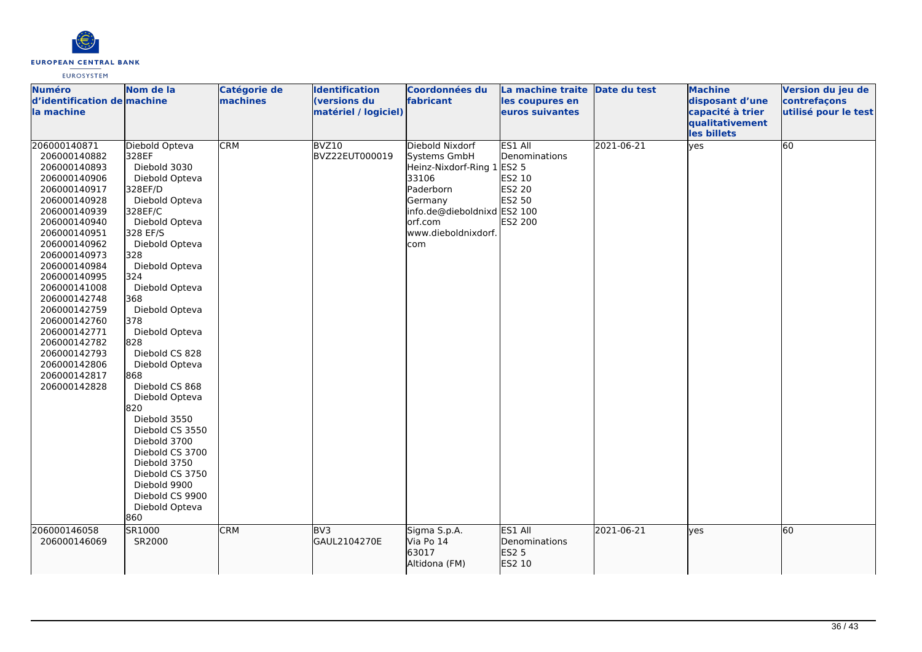

| <b>Numéro</b><br>d'identification de machine<br>la machine                                                                                                                                                                                                                                                                                                                   | Nom de la                                                                                                                                                                                                                                                                                                                                                                                                                                                                                                               | Catégorie de<br>machines | <b>Identification</b><br>(versions du<br>matériel / logiciel) | Coordonnées du<br>fabricant                                                                                                                                            | La machine traite Date du test<br>les coupures en<br>euros suivantes     |            | <b>Machine</b><br>disposant d'une<br>capacité à trier<br>qualitativement<br>les billets | Version du jeu de<br>contrefaçons<br>utilisé pour le test |
|------------------------------------------------------------------------------------------------------------------------------------------------------------------------------------------------------------------------------------------------------------------------------------------------------------------------------------------------------------------------------|-------------------------------------------------------------------------------------------------------------------------------------------------------------------------------------------------------------------------------------------------------------------------------------------------------------------------------------------------------------------------------------------------------------------------------------------------------------------------------------------------------------------------|--------------------------|---------------------------------------------------------------|------------------------------------------------------------------------------------------------------------------------------------------------------------------------|--------------------------------------------------------------------------|------------|-----------------------------------------------------------------------------------------|-----------------------------------------------------------|
| 206000140871<br>206000140882<br>206000140893<br>206000140906<br>206000140917<br>206000140928<br>206000140939<br>206000140940<br>206000140951<br>206000140962<br>206000140973<br>206000140984<br>206000140995<br>206000141008<br>206000142748<br>206000142759<br>206000142760<br>206000142771<br>206000142782<br>206000142793<br>206000142806<br>206000142817<br>206000142828 | Diebold Opteva<br>328EF<br>Diebold 3030<br>Diebold Opteva<br>328EF/D<br>Diebold Opteva<br>328EF/C<br>Diebold Opteva<br>328 EF/S<br>Diebold Opteva<br>328<br>Diebold Opteva<br>324<br>Diebold Opteva<br>368<br>Diebold Opteva<br>378<br>Diebold Opteva<br>828<br>Diebold CS 828<br>Diebold Opteva<br>868<br>Diebold CS 868<br>Diebold Opteva<br>820<br>Diebold 3550<br>Diebold CS 3550<br>Diebold 3700<br>Diebold CS 3700<br>Diebold 3750<br>Diebold CS 3750<br>Diebold 9900<br>Diebold CS 9900<br>Diebold Opteva<br>860 | <b>CRM</b>               | BVZ10<br>BVZ22EUT000019                                       | Diebold Nixdorf<br>Systems GmbH<br>Heinz-Nixdorf-Ring 1 ES2 5<br>33106<br>Paderborn<br>Germany<br>info.de@dieboldnixd ES2 100<br>orf.com<br>www.dieboldnixdorf.<br>com | ES1 All<br>Denominations<br>ES2 10<br>ES2 20<br>ES2 50<br><b>ES2 200</b> | 2021-06-21 | yes                                                                                     | 60                                                        |
| 206000146058<br>206000146069                                                                                                                                                                                                                                                                                                                                                 | SR1000<br>SR2000                                                                                                                                                                                                                                                                                                                                                                                                                                                                                                        | <b>CRM</b>               | BV3<br>GAUL2104270E                                           | Sigma S.p.A.<br>Via Po 14<br>63017<br>Altidona (FM)                                                                                                                    | ES1 All<br>Denominations<br><b>ES2 5</b><br>ES2 10                       | 2021-06-21 | lyes                                                                                    | 60                                                        |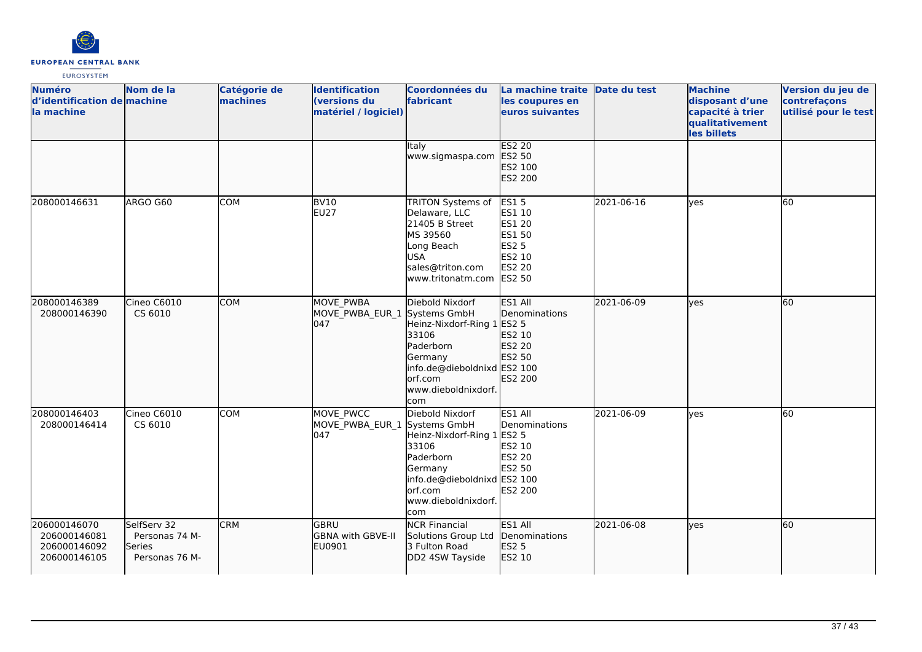

| <b>Numéro</b><br>d'identification de machine<br>la machine   | Nom de la                                                 | Catégorie de<br>machines | <b>Identification</b><br>(versions du<br>matériel / logiciel) | Coordonnées du<br>fabricant                                                                                                                                            | La machine traite Date du test<br>les coupures en<br>euros suivantes                                  |            | <b>Machine</b><br>disposant d'une<br>capacité à trier<br>qualitativement<br>les billets | Version du jeu de<br>contrefaçons<br>utilisé pour le test |
|--------------------------------------------------------------|-----------------------------------------------------------|--------------------------|---------------------------------------------------------------|------------------------------------------------------------------------------------------------------------------------------------------------------------------------|-------------------------------------------------------------------------------------------------------|------------|-----------------------------------------------------------------------------------------|-----------------------------------------------------------|
|                                                              |                                                           |                          |                                                               | <b>Italy</b><br>www.sigmaspa.com                                                                                                                                       | <b>ES2 20</b><br>ES2 50<br>ES2 100<br>ES2 200                                                         |            |                                                                                         |                                                           |
| 208000146631                                                 | ARGO G60                                                  | COM                      | <b>BV10</b><br><b>EU27</b>                                    | TRITON Systems of<br>Delaware, LLC<br>21405 B Street<br>MS 39560<br>Long Beach<br><b>USA</b><br>sales@triton.com<br>www.tritonatm.com                                  | <b>ES15</b><br>ES1 10<br><b>ES1 20</b><br>ES1 50<br><b>ES2 5</b><br>ES2 10<br>ES2 20<br><b>ES2 50</b> | 2021-06-16 | yes                                                                                     | 60                                                        |
| 208000146389<br>208000146390                                 | Cineo C6010<br>CS 6010                                    | <b>COM</b>               | MOVE PWBA<br>MOVE_PWBA_EUR_1<br>047                           | Diebold Nixdorf<br>Systems GmbH<br>Heinz-Nixdorf-Ring 1<br>33106<br>Paderborn<br>Germany<br>info.de@dieboldnixd ES2 100<br>orf.com<br>www.dieboldnixdorf.<br>com       | ES1 All<br>Denominations<br>ES2 5<br>ES2 10<br>ES2 20<br>ES2 50<br>ES2 200                            | 2021-06-09 | lyes                                                                                    | 60                                                        |
| 208000146403<br>208000146414                                 | Cineo C6010<br>CS 6010                                    | <b>COM</b>               | MOVE PWCC<br>MOVE_PWBA_EUR_1<br>047                           | Diebold Nixdorf<br>Systems GmbH<br>Heinz-Nixdorf-Ring 1 ES2 5<br>33106<br>Paderborn<br>Germany<br>info.de@dieboldnixd ES2 100<br>orf.com<br>www.dieboldnixdorf.<br>com | ES1 All<br>Denominations<br>ES2 10<br><b>ES2 20</b><br>ES2 50<br>ES2 200                              | 2021-06-09 | <b>l</b> ves                                                                            | 60                                                        |
| 206000146070<br>206000146081<br>206000146092<br>206000146105 | SelfServ 32<br>Personas 74 M-<br>Series<br>Personas 76 M- | <b>CRM</b>               | lgbru<br>GBNA with GBVE-II<br>EU0901                          | <b>NCR Financial</b><br>Solutions Group Ltd<br>3 Fulton Road<br>DD2 4SW Tayside                                                                                        | ES1 All<br>Denominations<br>ES2 5<br>ES2 10                                                           | 2021-06-08 | lyes                                                                                    | 60                                                        |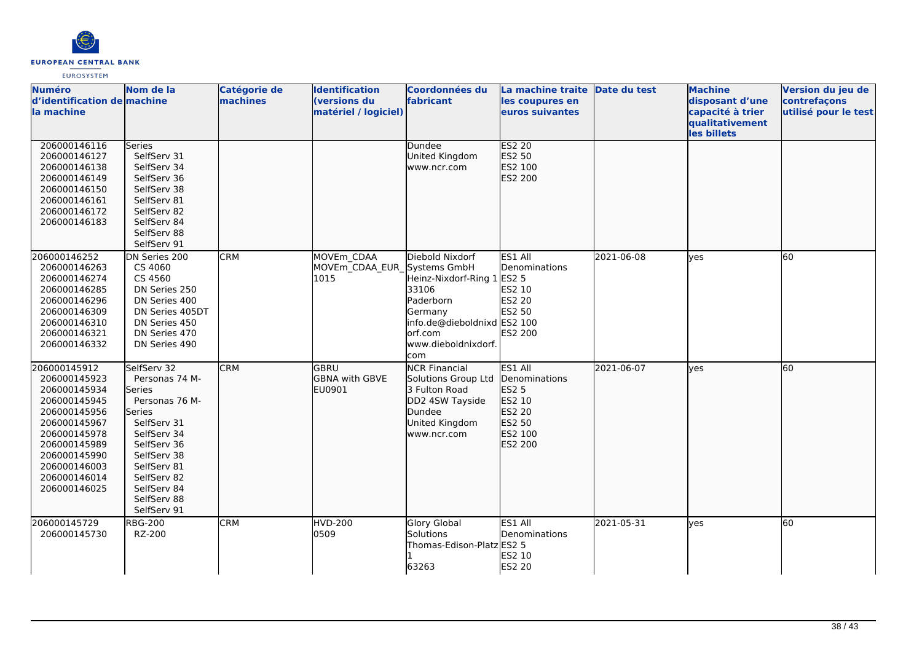

| <b>Numéro</b>                | Nom de la                  | Catégorie de | <b>Identification</b>                     | Coordonnées du              | La machine traite Date du test |            | <b>Machine</b>   | Version du jeu de    |
|------------------------------|----------------------------|--------------|-------------------------------------------|-----------------------------|--------------------------------|------------|------------------|----------------------|
| d'identification de machine  |                            | machines     | (versions du                              | fabricant                   | les coupures en                |            | disposant d'une  | contrefaçons         |
| la machine                   |                            |              | matériel / logiciel)                      |                             | euros suivantes                |            | capacité à trier | utilisé pour le test |
|                              |                            |              |                                           |                             |                                |            | qualitativement  |                      |
|                              |                            |              |                                           |                             |                                |            | les billets      |                      |
| 206000146116                 | Series                     |              |                                           | Dundee                      | <b>ES2 20</b>                  |            |                  |                      |
| 206000146127                 | SelfServ 31                |              |                                           | United Kingdom              | ES2 50                         |            |                  |                      |
| 206000146138                 | SelfServ 34                |              |                                           | www.ncr.com                 | ES2 100                        |            |                  |                      |
| 206000146149                 | SelfServ 36                |              |                                           |                             | ES2 200                        |            |                  |                      |
| 206000146150                 | SelfServ 38                |              |                                           |                             |                                |            |                  |                      |
| 206000146161<br>206000146172 | SelfServ 81                |              |                                           |                             |                                |            |                  |                      |
|                              | SelfServ 82                |              |                                           |                             |                                |            |                  |                      |
| 206000146183                 | SelfServ 84<br>SelfServ 88 |              |                                           |                             |                                |            |                  |                      |
|                              | SelfServ 91                |              |                                           |                             |                                |            |                  |                      |
|                              |                            |              |                                           |                             |                                |            |                  |                      |
| 206000146252                 | DN Series 200              | <b>CRM</b>   | MOVEm CDAA<br>MOVEm CDAA EUR Systems GmbH | Diebold Nixdorf             | ES1 All<br>Denominations       | 2021-06-08 | yes              | 60                   |
| 206000146263                 | CS 4060<br>CS 4560         |              | 1015                                      | Heinz-Nixdorf-Ring 1        |                                |            |                  |                      |
| 206000146274                 | DN Series 250              |              |                                           | 33106                       | <b>ES2 5</b><br>ES2 10         |            |                  |                      |
| 206000146285<br>206000146296 | DN Series 400              |              |                                           | Paderborn                   | <b>ES2 20</b>                  |            |                  |                      |
| 206000146309                 | DN Series 405DT            |              |                                           | Germany                     | ES2 50                         |            |                  |                      |
| 206000146310                 | DN Series 450              |              |                                           | info.de@dieboldnixd ES2 100 |                                |            |                  |                      |
| 206000146321                 | DN Series 470              |              |                                           | orf.com                     | <b>ES2 200</b>                 |            |                  |                      |
| 206000146332                 | DN Series 490              |              |                                           | www.dieboldnixdorf.         |                                |            |                  |                      |
|                              |                            |              |                                           | com                         |                                |            |                  |                      |
| 206000145912                 | SelfServ 32                | <b>CRM</b>   | lgbru                                     | <b>NCR Financial</b>        | ES1 All                        | 2021-06-07 | lyes             | 60                   |
| 206000145923                 | Personas 74 M-             |              | GBNA with GBVE                            | Solutions Group Ltd         | Denominations                  |            |                  |                      |
| 206000145934                 | Series                     |              | EU0901                                    | 3 Fulton Road               | <b>ES2 5</b>                   |            |                  |                      |
| 206000145945                 | Personas 76 M-             |              |                                           | DD2 4SW Tayside             | ES2 10                         |            |                  |                      |
| 206000145956                 | Series                     |              |                                           | Dundee                      | ES2 20                         |            |                  |                      |
| 206000145967                 | SelfServ 31                |              |                                           | United Kingdom              | ES2 50                         |            |                  |                      |
| 206000145978                 | SelfServ 34                |              |                                           | www.ncr.com                 | ES2 100                        |            |                  |                      |
| 206000145989                 | SelfServ 36                |              |                                           |                             | ES2 200                        |            |                  |                      |
| 206000145990                 | SelfServ 38                |              |                                           |                             |                                |            |                  |                      |
| 206000146003                 | SelfServ 81                |              |                                           |                             |                                |            |                  |                      |
| 206000146014                 | SelfServ 82                |              |                                           |                             |                                |            |                  |                      |
| 206000146025                 | SelfServ 84                |              |                                           |                             |                                |            |                  |                      |
|                              | SelfServ 88                |              |                                           |                             |                                |            |                  |                      |
|                              | SelfServ 91                |              |                                           |                             |                                |            |                  |                      |
| 206000145729                 | <b>RBG-200</b>             | <b>CRM</b>   | <b>HVD-200</b>                            | <b>Glory Global</b>         | ES1 All                        | 2021-05-31 | yes              | 60                   |
| 206000145730                 | RZ-200                     |              | 0509                                      | Solutions                   | Denominations                  |            |                  |                      |
|                              |                            |              |                                           | Thomas-Edison-Platz ES2 5   |                                |            |                  |                      |
|                              |                            |              |                                           |                             | ES2 10                         |            |                  |                      |
|                              |                            |              |                                           | 63263                       | ES2 20                         |            |                  |                      |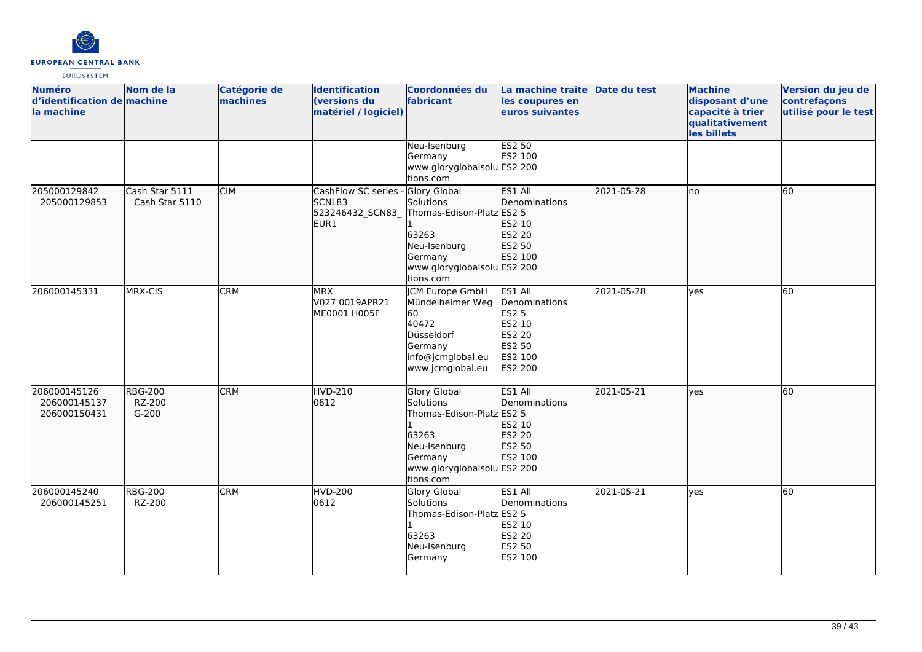

| <b>Numéro</b><br>d'identification de machine<br>la machine | Nom de la                           | Catégorie de<br>machines | <b>Identification</b><br>(versions du<br>matériel / logiciel) | <b>Coordonnées du</b><br>fabricant                                                                                                            | La machine traite<br>les coupures en<br>euros suivantes                                      | Date du test | <b>Machine</b><br>disposant d'une<br>capacité à trier<br>qualitativement<br>les billets | Version du jeu de<br>contrefaçons<br>utilisé pour le test |
|------------------------------------------------------------|-------------------------------------|--------------------------|---------------------------------------------------------------|-----------------------------------------------------------------------------------------------------------------------------------------------|----------------------------------------------------------------------------------------------|--------------|-----------------------------------------------------------------------------------------|-----------------------------------------------------------|
|                                                            |                                     |                          |                                                               | Neu-Isenburg<br>Germany<br>www.gloryglobalsolu ES2 200<br>tions.com                                                                           | <b>ES2 50</b><br>ES2 100                                                                     |              |                                                                                         |                                                           |
| 205000129842<br>205000129853                               | Cash Star 5111<br>Cash Star 5110    | <b>CIM</b>               | CashFlow SC series<br>SCNL83<br>523246432_SCN83_<br>EUR1      | Glory Global<br>Solutions<br>Thomas-Edison-Platz ES2 5<br>63263<br>Neu-Isenburg<br>Germany<br>www.gloryglobalsolu ES2 200<br>tions.com        | ES1 All<br>Denominations<br>ES2 10<br>ES2 20<br>ES2 50<br>ES2 100                            | 2021-05-28   | Ino                                                                                     | 60                                                        |
| 206000145331                                               | MRX-CIS                             | <b>CRM</b>               | <b>MRX</b><br>V027 0019APR21<br>ME0001 H005F                  | <b>CM Europe GmbH</b><br>Mündelheimer Weg<br>60<br>40472<br>Düsseldorf<br>Germany<br>info@jcmglobal.eu<br>www.jcmglobal.eu                    | ES1 All<br>Denominations<br><b>ES2 5</b><br>ES2 10<br>ES2 20<br>ES2 50<br>ES2 100<br>ES2 200 | 2021-05-28   | <b>l</b> ves                                                                            | $\overline{60}$                                           |
| 206000145126<br>206000145137<br>206000150431               | <b>RBG-200</b><br>RZ-200<br>$G-200$ | <b>CRM</b>               | <b>HVD-210</b><br>0612                                        | <b>Glory Global</b><br>Solutions<br>Thomas-Edison-Platz ES2 5<br>63263<br>Neu-Isenburg<br>Germany<br>www.gloryglobalsolu ES2 200<br>tions.com | ES1 All<br><b>Denominations</b><br>ES2 10<br>ES2 20<br>ES2 50<br>ES2 100                     | 2021-05-21   | lyes                                                                                    | 60                                                        |
| 206000145240<br>206000145251                               | <b>RBG-200</b><br>RZ-200            | <b>CRM</b>               | <b>HVD-200</b><br>0612                                        | Glory Global<br>Solutions<br>Thomas-Edison-Platz ES2 5<br>63263<br>Neu-Isenburg<br>Germany                                                    | ES1 All<br>Denominations<br>ES2 10<br><b>ES2 20</b><br>ES2 50<br>ES2 100                     | 2021-05-21   | lyes                                                                                    | 60                                                        |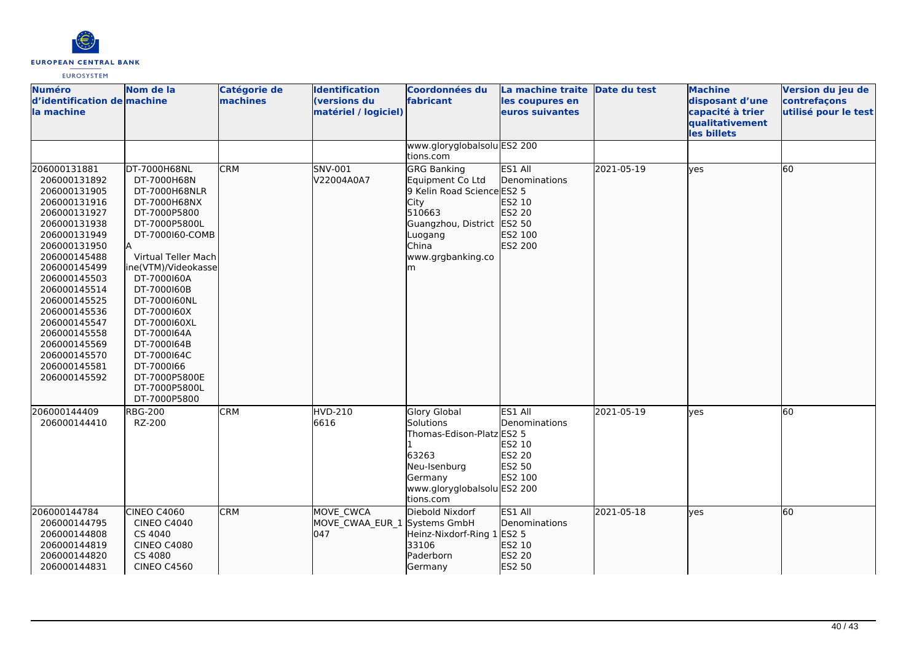

| <b>Numéro</b><br>d'identification de machine<br>la machine                                                                                                                                                                                                                                                                                   | Nom de la                                                                                                                                                                                                                                                                                                                                                                  | Catégorie de<br>machines | <b>Identification</b><br>(versions du<br>matériel / logiciel) | Coordonnées du<br>fabricant                                                                                                                                                               | La machine traite Date du test<br>les coupures en<br>euros suivantes          |                          | <b>Machine</b><br>disposant d'une<br>capacité à trier<br>qualitativement<br>les billets | Version du jeu de<br>contrefaçons<br>utilisé pour le test |
|----------------------------------------------------------------------------------------------------------------------------------------------------------------------------------------------------------------------------------------------------------------------------------------------------------------------------------------------|----------------------------------------------------------------------------------------------------------------------------------------------------------------------------------------------------------------------------------------------------------------------------------------------------------------------------------------------------------------------------|--------------------------|---------------------------------------------------------------|-------------------------------------------------------------------------------------------------------------------------------------------------------------------------------------------|-------------------------------------------------------------------------------|--------------------------|-----------------------------------------------------------------------------------------|-----------------------------------------------------------|
|                                                                                                                                                                                                                                                                                                                                              |                                                                                                                                                                                                                                                                                                                                                                            |                          |                                                               | www.gloryglobalsolu ES2 200<br>tions.com                                                                                                                                                  |                                                                               |                          |                                                                                         |                                                           |
| 206000131881<br>206000131892<br>206000131905<br>206000131916<br>206000131927<br>206000131938<br>206000131949<br>206000131950<br>206000145488<br>206000145499<br>206000145503<br>206000145514<br>206000145525<br>206000145536<br>206000145547<br>206000145558<br>206000145569<br>206000145570<br>206000145581<br>206000145592<br>206000144409 | DT-7000H68NL<br>DT-7000H68N<br>DT-7000H68NLR<br>DT-7000H68NX<br>DT-7000P5800<br>DT-7000P5800L<br>DT-7000160-COMB<br>Virtual Teller Mach<br>ine(VTM)/Videokasse<br>DT-7000160A<br>DT-7000160B<br>DT-7000160NL<br>DT-7000160X<br>DT-7000160XL<br>DT-7000164A<br>DT-7000164B<br>DT-7000164C<br>DT-7000166<br>DT-7000P5800E<br>DT-7000P5800L<br>DT-7000P5800<br><b>RBG-200</b> | <b>CRM</b><br><b>CRM</b> | SNV-001<br>V22004A0A7<br>HVD-210                              | <b>GRG Banking</b><br>Equipment Co Ltd<br>9 Kelin Road Science ES2 5<br>City<br>510663<br>Guangzhou, District ES2 50<br>Luogang<br>China<br>www.grgbanking.co<br>m<br><b>Glory Global</b> | ES1 All<br>Denominations<br>ES2 10<br>ES2 20<br>ES2 100<br>ES2 200<br>ES1 All | 2021-05-19<br>2021-05-19 | yes<br>yes                                                                              | 60<br>60                                                  |
| 206000144410                                                                                                                                                                                                                                                                                                                                 | RZ-200                                                                                                                                                                                                                                                                                                                                                                     |                          | 6616                                                          | Solutions<br>Thomas-Edison-Platz ES2 5<br>63263<br>Neu-Isenburg<br>Germany<br>www.gloryglobalsolu ES2 200<br>tions.com                                                                    | Denominations<br>ES2 10<br>ES2 20<br>ES2 50<br>ES2 100                        |                          |                                                                                         |                                                           |
| 206000144784<br>206000144795<br>206000144808<br>206000144819<br>206000144820<br>206000144831                                                                                                                                                                                                                                                 | CINEO C4060<br><b>CINEO C4040</b><br>CS 4040<br><b>CINEO C4080</b><br>CS 4080<br><b>CINEO C4560</b>                                                                                                                                                                                                                                                                        | <b>CRM</b>               | MOVE CWCA<br>MOVE_CWAA_EUR_1 Systems GmbH<br>047              | Diebold Nixdorf<br>Heinz-Nixdorf-Ring 1<br>33106<br>Paderborn<br>Germany                                                                                                                  | ES1 All<br>Denominations<br>ES2 5<br>ES2 10<br>ES2 20<br>ES2 50               | 2021-05-18               | lyes                                                                                    | 60                                                        |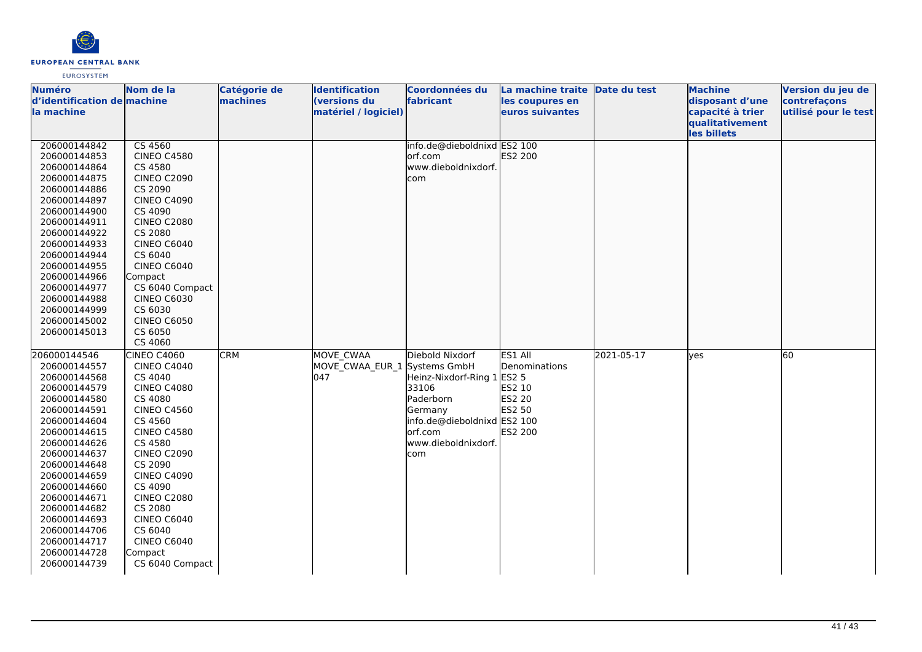

| <b>Numéro</b>               | Nom de la          | Catégorie de | <b>Identification</b> | Coordonnées du              | La machine traite Date du test |            | <b>Machine</b>   | Version du jeu de    |
|-----------------------------|--------------------|--------------|-----------------------|-----------------------------|--------------------------------|------------|------------------|----------------------|
| d'identification de machine |                    | machines     | (versions du          | fabricant                   | les coupures en                |            | disposant d'une  | contrefaçons         |
| la machine                  |                    |              | matériel / logiciel)  |                             | euros suivantes                |            | capacité à trier | utilisé pour le test |
|                             |                    |              |                       |                             |                                |            | qualitativement  |                      |
|                             |                    |              |                       |                             |                                |            | les billets      |                      |
| 206000144842                | CS 4560            |              |                       | info.de@dieboldnixd ES2 100 |                                |            |                  |                      |
| 206000144853                | <b>CINEO C4580</b> |              |                       | orf.com                     | ES2 200                        |            |                  |                      |
| 206000144864                | CS 4580            |              |                       | www.dieboldnixdorf.         |                                |            |                  |                      |
| 206000144875                | <b>CINEO C2090</b> |              |                       | com                         |                                |            |                  |                      |
| 206000144886                | CS 2090            |              |                       |                             |                                |            |                  |                      |
| 206000144897                | <b>CINEO C4090</b> |              |                       |                             |                                |            |                  |                      |
| 206000144900                | CS 4090            |              |                       |                             |                                |            |                  |                      |
| 206000144911                | <b>CINEO C2080</b> |              |                       |                             |                                |            |                  |                      |
| 206000144922                | CS 2080            |              |                       |                             |                                |            |                  |                      |
| 206000144933                | <b>CINEO C6040</b> |              |                       |                             |                                |            |                  |                      |
| 206000144944                | CS 6040            |              |                       |                             |                                |            |                  |                      |
| 206000144955                | <b>CINEO C6040</b> |              |                       |                             |                                |            |                  |                      |
| 206000144966                | Compact            |              |                       |                             |                                |            |                  |                      |
| 206000144977                | CS 6040 Compact    |              |                       |                             |                                |            |                  |                      |
| 206000144988                | <b>CINEO C6030</b> |              |                       |                             |                                |            |                  |                      |
| 206000144999                | CS 6030            |              |                       |                             |                                |            |                  |                      |
| 206000145002                | <b>CINEO C6050</b> |              |                       |                             |                                |            |                  |                      |
| 206000145013                | CS 6050            |              |                       |                             |                                |            |                  |                      |
|                             | CS 4060            |              |                       |                             |                                |            |                  |                      |
| 206000144546                | <b>CINEO C4060</b> | <b>CRM</b>   | MOVE CWAA             | Diebold Nixdorf             | ES1 All                        | 2021-05-17 | yes              | 60                   |
| 206000144557                | <b>CINEO C4040</b> |              | MOVE_CWAA_EUR_1       | Systems GmbH                | Denominations                  |            |                  |                      |
| 206000144568                | CS 4040            |              | 047                   | Heinz-Nixdorf-Ring 1        | <b>ES2 5</b>                   |            |                  |                      |
| 206000144579                | <b>CINEO C4080</b> |              |                       | 33106                       | ES2 10                         |            |                  |                      |
| 206000144580                | CS 4080            |              |                       | Paderborn                   | ES2 20                         |            |                  |                      |
| 206000144591                | <b>CINEO C4560</b> |              |                       | Germany                     | ES2 50                         |            |                  |                      |
| 206000144604                | CS 4560            |              |                       | info.de@dieboldnixd ES2 100 |                                |            |                  |                      |
| 206000144615                | <b>CINEO C4580</b> |              |                       | lorf.com                    | <b>ES2 200</b>                 |            |                  |                      |
| 206000144626                | CS 4580            |              |                       | www.dieboldnixdorf.         |                                |            |                  |                      |
| 206000144637                | <b>CINEO C2090</b> |              |                       | com                         |                                |            |                  |                      |
| 206000144648                | CS 2090            |              |                       |                             |                                |            |                  |                      |
| 206000144659                | <b>CINEO C4090</b> |              |                       |                             |                                |            |                  |                      |
| 206000144660                | CS 4090            |              |                       |                             |                                |            |                  |                      |
| 206000144671                | <b>CINEO C2080</b> |              |                       |                             |                                |            |                  |                      |
| 206000144682                | CS 2080            |              |                       |                             |                                |            |                  |                      |
| 206000144693                | CINEO C6040        |              |                       |                             |                                |            |                  |                      |
| 206000144706                | CS 6040            |              |                       |                             |                                |            |                  |                      |
| 206000144717                | <b>CINEO C6040</b> |              |                       |                             |                                |            |                  |                      |
| 206000144728                | Compact            |              |                       |                             |                                |            |                  |                      |
| 206000144739                | CS 6040 Compact    |              |                       |                             |                                |            |                  |                      |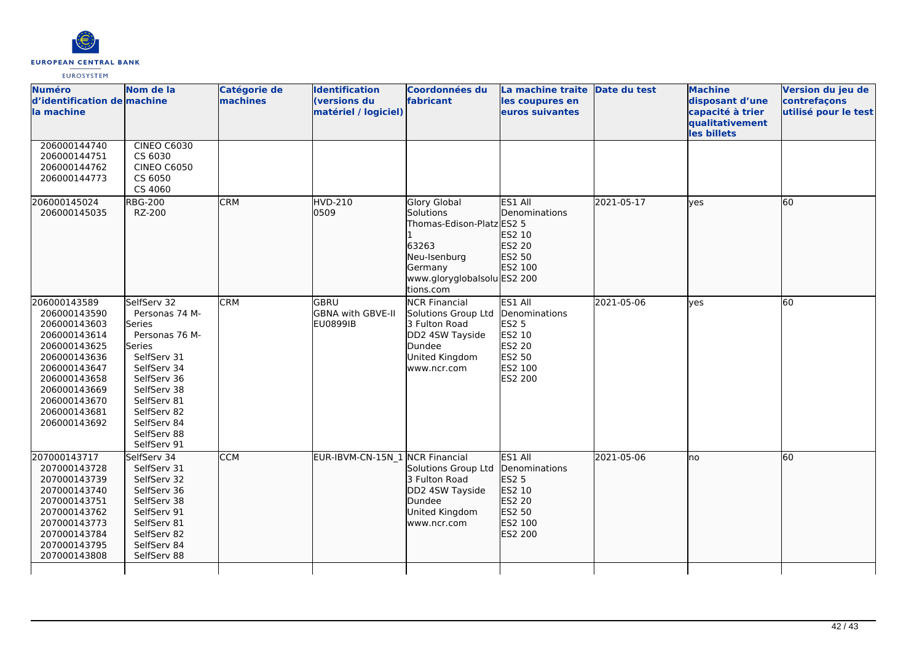

| <b>Numéro</b><br>d'identification de machine<br>la machine                                                                                                                                   | Nom de la                                                                                                                                                                                                  | Catégorie de<br>machines | <b>Identification</b><br>(versions du<br>matériel / logiciel) | <b>Coordonnées du</b><br>fabricant                                                                                                            | La machine traite<br>les coupures en<br>euros suivantes                                             | Date du test | <b>Machine</b><br>disposant d'une<br>capacité à trier<br>qualitativement<br>les billets | Version du jeu de<br>contrefaçons<br>utilisé pour le test |
|----------------------------------------------------------------------------------------------------------------------------------------------------------------------------------------------|------------------------------------------------------------------------------------------------------------------------------------------------------------------------------------------------------------|--------------------------|---------------------------------------------------------------|-----------------------------------------------------------------------------------------------------------------------------------------------|-----------------------------------------------------------------------------------------------------|--------------|-----------------------------------------------------------------------------------------|-----------------------------------------------------------|
| 206000144740<br>206000144751<br>206000144762<br>206000144773                                                                                                                                 | <b>CINEO C6030</b><br>CS 6030<br><b>CINEO C6050</b><br>CS 6050<br>CS 4060                                                                                                                                  |                          |                                                               |                                                                                                                                               |                                                                                                     |              |                                                                                         |                                                           |
| 206000145024<br>206000145035                                                                                                                                                                 | <b>RBG-200</b><br>RZ-200                                                                                                                                                                                   | <b>CRM</b>               | <b>HVD-210</b><br>0509                                        | <b>Glory Global</b><br>Solutions<br>Thomas-Edison-Platz ES2 5<br>63263<br>Neu-Isenburg<br>Germany<br>www.gloryglobalsolu ES2 200<br>tions.com | ES1 All<br><b>IDenominations</b><br>ES2 10<br>ES2 20<br>ES2 50<br>ES2 100                           | 2021-05-17   | lves                                                                                    | 60                                                        |
| 206000143589<br>206000143590<br>206000143603<br>206000143614<br>206000143625<br>206000143636<br>206000143647<br>206000143658<br>206000143669<br>206000143670<br>206000143681<br>206000143692 | SelfServ 32<br>Personas 74 M-<br>Series<br>Personas 76 M-<br>Series<br>SelfServ 31<br>SelfServ 34<br>SelfServ 36<br>SelfServ 38<br>SelfServ 81<br>SelfServ 82<br>SelfServ 84<br>SelfServ 88<br>SelfServ 91 | <b>CRM</b>               | lgbru<br><b>GBNA with GBVE-II</b><br><b>EU0899IB</b>          | <b>NCR Financial</b><br>Solutions Group Ltd<br>3 Fulton Road<br>DD2 4SW Tayside<br>Dundee<br>United Kingdom<br>www.ncr.com                    | ES1 All<br>Denominations<br><b>ES2 5</b><br>ES2 10<br><b>ES2 20</b><br>ES2 50<br>ES2 100<br>ES2 200 | 2021-05-06   | <b>ves</b>                                                                              | 60                                                        |
| 207000143717<br>207000143728<br>207000143739<br>207000143740<br>207000143751<br>207000143762<br>207000143773<br>207000143784<br>207000143795<br>207000143808                                 | SelfServ 34<br>SelfServ 31<br>SelfServ 32<br>SelfServ 36<br>SelfServ 38<br>SelfServ 91<br>SelfServ 81<br>SelfServ 82<br>SelfServ 84<br>SelfServ 88                                                         | <b>CCM</b>               | EUR-IBVM-CN-15N 1 NCR Financial                               | Solutions Group Ltd<br>3 Fulton Road<br>DD2 4SW Tayside<br>Dundee<br>United Kingdom<br>www.ncr.com                                            | ES1 All<br>Denominations<br>ES2 5<br>ES2 10<br>ES2 20<br>ES2 50<br>ES2 100<br>ES2 200               | 2021-05-06   | Ino                                                                                     | $\overline{60}$                                           |
|                                                                                                                                                                                              |                                                                                                                                                                                                            |                          |                                                               |                                                                                                                                               |                                                                                                     |              |                                                                                         |                                                           |